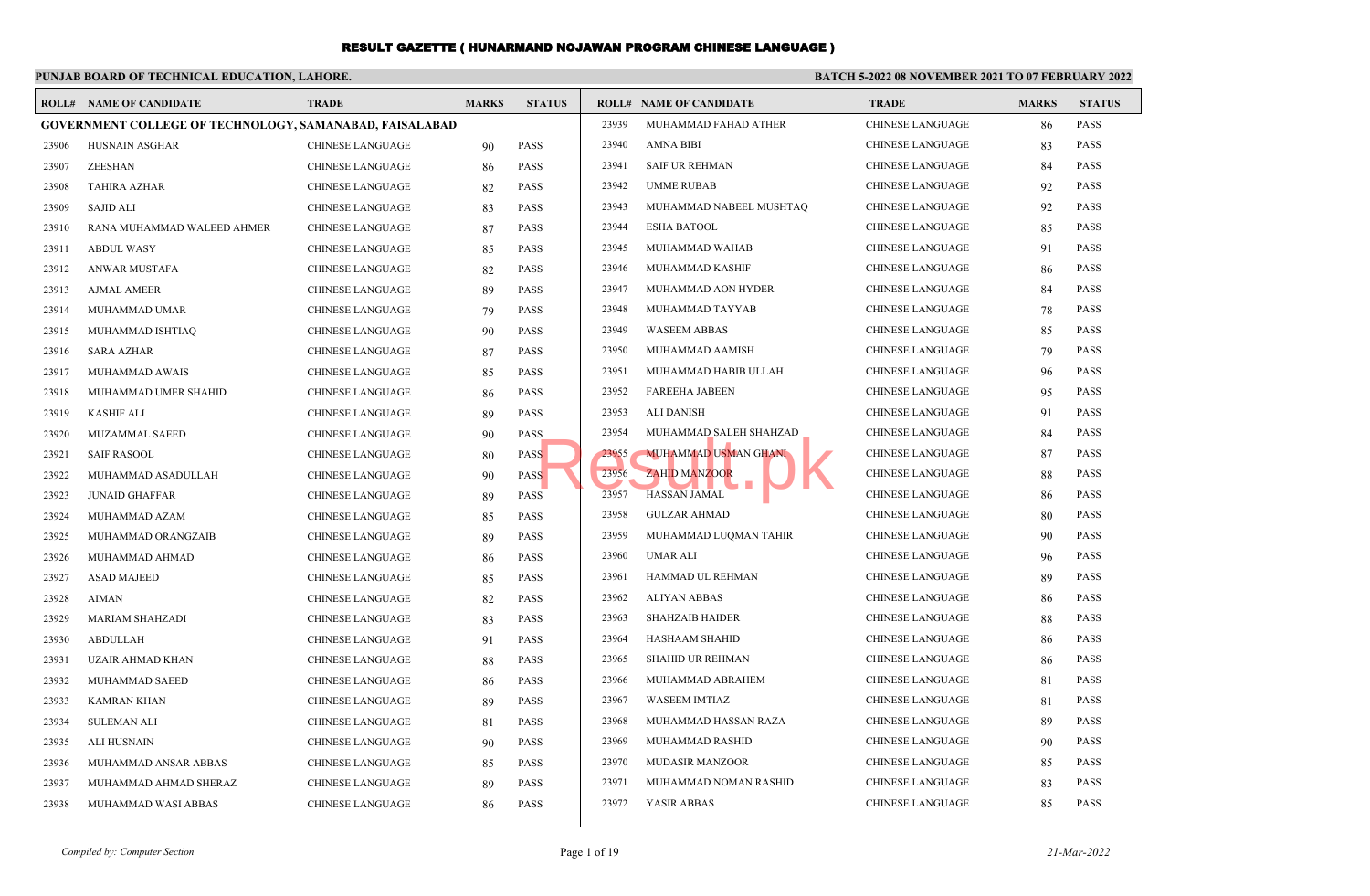### **PUNJAB BOARD OF TECHNICAL EDUCATION, LAHORE.**

### **BATCH 5-2022 08 NOVEMBER 2021 TO 07 FEBRUARY 2022**

|       | <b>ROLL# NAME OF CANDIDATE</b>                                 | TRADE                   | <b>MARKS</b> | <b>STATUS</b> |       | <b>ROLL# NAME OF CANDIDATE</b> | <b>TRADE</b>            | <b>MARKS</b> | <b>STATUS</b> |
|-------|----------------------------------------------------------------|-------------------------|--------------|---------------|-------|--------------------------------|-------------------------|--------------|---------------|
|       | <b>GOVERNMENT COLLEGE OF TECHNOLOGY, SAMANABAD, FAISALABAD</b> |                         |              |               | 23939 | MUHAMMAD FAHAD ATHER           | <b>CHINESE LANGUAGE</b> | 86           | <b>PASS</b>   |
| 23906 | HUSNAIN ASGHAR                                                 | <b>CHINESE LANGUAGE</b> | 90           | <b>PASS</b>   | 23940 | <b>AMNA BIBI</b>               | <b>CHINESE LANGUAGE</b> | 83           | <b>PASS</b>   |
| 23907 | <b>ZEESHAN</b>                                                 | <b>CHINESE LANGUAGE</b> | 86           | <b>PASS</b>   | 23941 | <b>SAIF UR REHMAN</b>          | <b>CHINESE LANGUAGE</b> | 84           | <b>PASS</b>   |
| 23908 | <b>TAHIRA AZHAR</b>                                            | <b>CHINESE LANGUAGE</b> | 82           | <b>PASS</b>   | 23942 | <b>UMME RUBAB</b>              | <b>CHINESE LANGUAGE</b> | 92           | <b>PASS</b>   |
| 23909 | <b>SAJID ALI</b>                                               | CHINESE LANGUAGE        | 83           | <b>PASS</b>   | 23943 | MUHAMMAD NABEEL MUSHTAQ        | <b>CHINESE LANGUAGE</b> | 92           | <b>PASS</b>   |
| 23910 | RANA MUHAMMAD WALEED AHMER                                     | <b>CHINESE LANGUAGE</b> | 87           | <b>PASS</b>   | 23944 | <b>ESHA BATOOL</b>             | <b>CHINESE LANGUAGE</b> | 85           | <b>PASS</b>   |
| 23911 | <b>ABDUL WASY</b>                                              | <b>CHINESE LANGUAGE</b> | 85           | <b>PASS</b>   | 23945 | MUHAMMAD WAHAB                 | <b>CHINESE LANGUAGE</b> | 91           | <b>PASS</b>   |
| 23912 | ANWAR MUSTAFA                                                  | <b>CHINESE LANGUAGE</b> | 82           | <b>PASS</b>   | 23946 | MUHAMMAD KASHIF                | <b>CHINESE LANGUAGE</b> | 86           | <b>PASS</b>   |
| 23913 | <b>AJMAL AMEER</b>                                             | <b>CHINESE LANGUAGE</b> | 89           | <b>PASS</b>   | 23947 | MUHAMMAD AON HYDER             | <b>CHINESE LANGUAGE</b> | 84           | <b>PASS</b>   |
| 23914 | MUHAMMAD UMAR                                                  | <b>CHINESE LANGUAGE</b> | 79           | <b>PASS</b>   | 23948 | MUHAMMAD TAYYAB                | <b>CHINESE LANGUAGE</b> | 78           | <b>PASS</b>   |
| 23915 | MUHAMMAD ISHTIAQ                                               | <b>CHINESE LANGUAGE</b> | 90           | <b>PASS</b>   | 23949 | <b>WASEEM ABBAS</b>            | <b>CHINESE LANGUAGE</b> | 85           | <b>PASS</b>   |
| 23916 | <b>SARA AZHAR</b>                                              | <b>CHINESE LANGUAGE</b> | 87           | <b>PASS</b>   | 23950 | MUHAMMAD AAMISH                | <b>CHINESE LANGUAGE</b> | 79           | <b>PASS</b>   |
| 23917 | MUHAMMAD AWAIS                                                 | CHINESE LANGUAGE        | 85           | <b>PASS</b>   | 23951 | MUHAMMAD HABIB ULLAH           | <b>CHINESE LANGUAGE</b> | 96           | <b>PASS</b>   |
| 23918 | MUHAMMAD UMER SHAHID                                           | <b>CHINESE LANGUAGE</b> | 86           | <b>PASS</b>   | 23952 | <b>FAREEHA JABEEN</b>          | <b>CHINESE LANGUAGE</b> | 95           | <b>PASS</b>   |
| 23919 | <b>KASHIF ALI</b>                                              | <b>CHINESE LANGUAGE</b> | 89           | <b>PASS</b>   | 23953 | <b>ALI DANISH</b>              | <b>CHINESE LANGUAGE</b> | 91           | <b>PASS</b>   |
| 23920 | <b>MUZAMMAL SAEED</b>                                          | <b>CHINESE LANGUAGE</b> | 90           | <b>PASS</b>   | 23954 | MUHAMMAD SALEH SHAHZAD         | <b>CHINESE LANGUAGE</b> | 84           | <b>PASS</b>   |
| 23921 | <b>SAIF RASOOL</b>                                             | <b>CHINESE LANGUAGE</b> | 80           | <b>PASS</b>   | 23955 | <b>MUHAMMAD USMAN GHANI</b>    | <b>CHINESE LANGUAGE</b> | 87           | <b>PASS</b>   |
| 23922 | MUHAMMAD ASADULLAH                                             | CHINESE LANGUAGE        | 90           | <b>PASS</b>   | 23956 | <b>ZAHID MANZOOR</b><br>П      | <b>CHINESE LANGUAGE</b> | 88           | <b>PASS</b>   |
| 23923 | <b>JUNAID GHAFFAR</b>                                          | CHINESE LANGUAGE        | 89           | <b>PASS</b>   | 23957 | <b>HASSAN JAMAL</b>            | <b>CHINESE LANGUAGE</b> | 86           | <b>PASS</b>   |
| 23924 | MUHAMMAD AZAM                                                  | <b>CHINESE LANGUAGE</b> | 85           | <b>PASS</b>   | 23958 | <b>GULZAR AHMAD</b>            | CHINESE LANGUAGE        | 80           | <b>PASS</b>   |
| 23925 | MUHAMMAD ORANGZAIB                                             | <b>CHINESE LANGUAGE</b> | 89           | <b>PASS</b>   | 23959 | MUHAMMAD LUQMAN TAHIR          | <b>CHINESE LANGUAGE</b> | 90           | <b>PASS</b>   |
| 23926 | MUHAMMAD AHMAD                                                 | <b>CHINESE LANGUAGE</b> | 86           | <b>PASS</b>   | 23960 | UMAR ALI                       | <b>CHINESE LANGUAGE</b> | 96           | <b>PASS</b>   |
| 23927 | <b>ASAD MAJEED</b>                                             | CHINESE LANGUAGE        | 85           | <b>PASS</b>   | 23961 | HAMMAD UL REHMAN               | <b>CHINESE LANGUAGE</b> | 89           | <b>PASS</b>   |
| 23928 | <b>AIMAN</b>                                                   | <b>CHINESE LANGUAGE</b> | 82           | <b>PASS</b>   | 23962 | <b>ALIYAN ABBAS</b>            | <b>CHINESE LANGUAGE</b> | 86           | <b>PASS</b>   |
| 23929 | <b>MARIAM SHAHZADI</b>                                         | <b>CHINESE LANGUAGE</b> | 83           | <b>PASS</b>   | 23963 | <b>SHAHZAIB HAIDER</b>         | <b>CHINESE LANGUAGE</b> | 88           | <b>PASS</b>   |
| 23930 | <b>ABDULLAH</b>                                                | <b>CHINESE LANGUAGE</b> | 91           | <b>PASS</b>   | 23964 | <b>HASHAAM SHAHID</b>          | <b>CHINESE LANGUAGE</b> | 86           | <b>PASS</b>   |
| 23931 | <b>UZAIR AHMAD KHAN</b>                                        | <b>CHINESE LANGUAGE</b> | 88           | <b>PASS</b>   | 23965 | <b>SHAHID UR REHMAN</b>        | <b>CHINESE LANGUAGE</b> | 86           | <b>PASS</b>   |
| 23932 | MUHAMMAD SAEED                                                 | <b>CHINESE LANGUAGE</b> | 86           | <b>PASS</b>   | 23966 | MUHAMMAD ABRAHEM               | <b>CHINESE LANGUAGE</b> | 81           | <b>PASS</b>   |
| 23933 | <b>KAMRAN KHAN</b>                                             | <b>CHINESE LANGUAGE</b> | 89           | <b>PASS</b>   | 23967 | <b>WASEEM IMTIAZ</b>           | <b>CHINESE LANGUAGE</b> | 81           | <b>PASS</b>   |
| 23934 | <b>SULEMAN ALI</b>                                             | <b>CHINESE LANGUAGE</b> | 81           | <b>PASS</b>   | 23968 | MUHAMMAD HASSAN RAZA           | <b>CHINESE LANGUAGE</b> | 89           | <b>PASS</b>   |
| 23935 | <b>ALI HUSNAIN</b>                                             | <b>CHINESE LANGUAGE</b> | 90           | <b>PASS</b>   | 23969 | MUHAMMAD RASHID                | <b>CHINESE LANGUAGE</b> | 90           | <b>PASS</b>   |
| 23936 | MUHAMMAD ANSAR ABBAS                                           | <b>CHINESE LANGUAGE</b> | 85           | <b>PASS</b>   | 23970 | <b>MUDASIR MANZOOR</b>         | <b>CHINESE LANGUAGE</b> | 85           | <b>PASS</b>   |
| 23937 | MUHAMMAD AHMAD SHERAZ                                          | <b>CHINESE LANGUAGE</b> | 89           | <b>PASS</b>   | 23971 | MUHAMMAD NOMAN RASHID          | <b>CHINESE LANGUAGE</b> | 83           | <b>PASS</b>   |
| 23938 | MUHAMMAD WASI ABBAS                                            | <b>CHINESE LANGUAGE</b> | 86           | <b>PASS</b>   | 23972 | YASIR ABBAS                    | <b>CHINESE LANGUAGE</b> | 85           | <b>PASS</b>   |
|       |                                                                |                         |              |               |       |                                |                         |              |               |

*Compiled by: Computer Section* Page 1 of 19 *21-Mar-2022*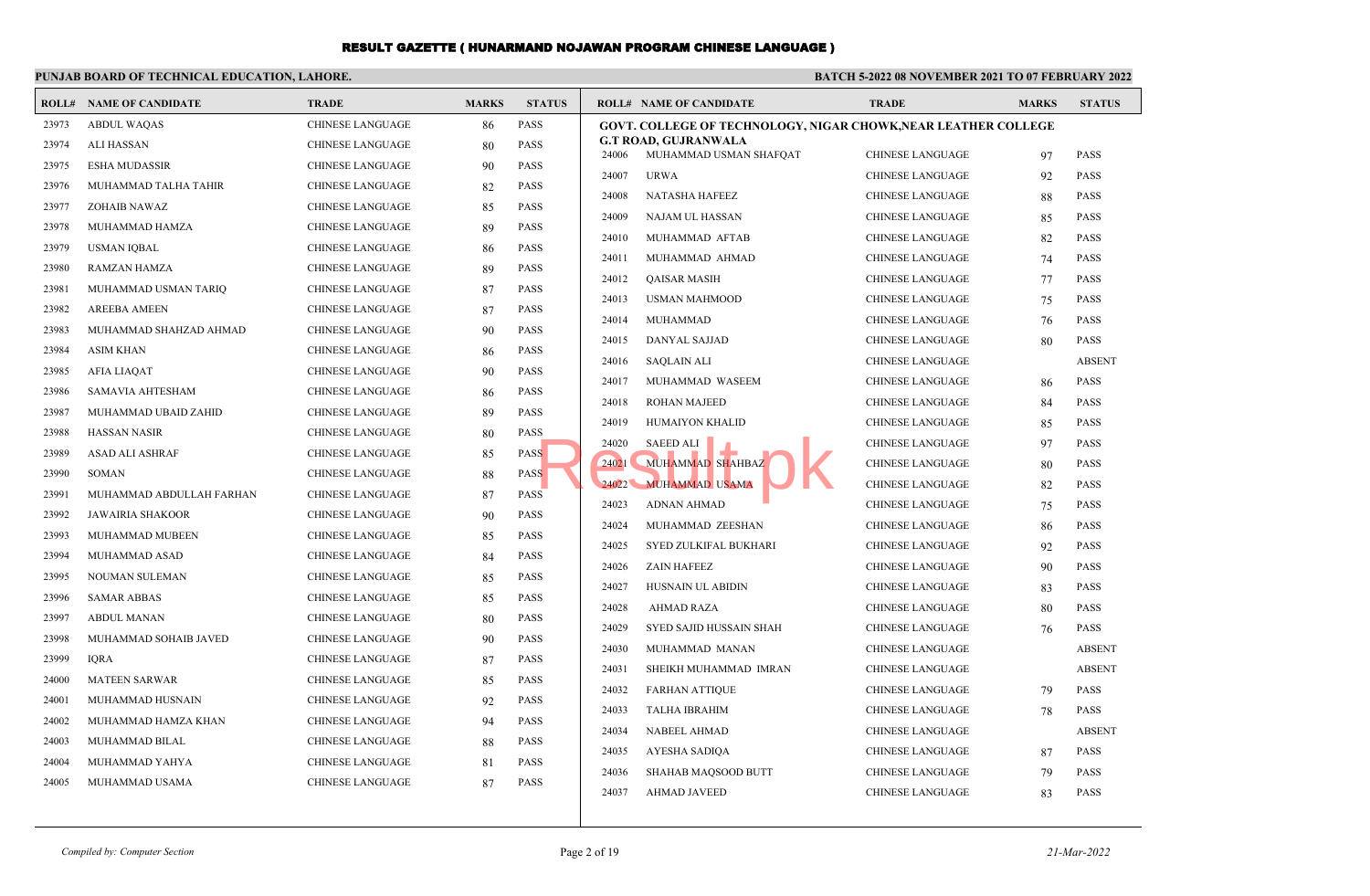|                | PUNJAB BOARD OF TECHNICAL EDUCATION, LAHORE. |                         |              |               | <b>BATCH 5-2022 08 NOVEMBER 2021 TO 07 FEBRUARY 2022</b>              |                         |              |               |  |
|----------------|----------------------------------------------|-------------------------|--------------|---------------|-----------------------------------------------------------------------|-------------------------|--------------|---------------|--|
|                | <b>ROLL# NAME OF CANDIDATE</b>               | <b>TRADE</b>            | <b>MARKS</b> | <b>STATUS</b> | <b>ROLL# NAME OF CANDIDATE</b>                                        | <b>TRADE</b>            | <b>MARKS</b> | <b>STATUS</b> |  |
| 23973          | <b>ABDUL WAQAS</b>                           | <b>CHINESE LANGUAGE</b> | 86           | PASS          | <b>GOVT. COLLEGE OF TECHNOLOGY, NIGAR CHOWK, NEAR LEATHER COLLEGE</b> |                         |              |               |  |
| 23974          | <b>ALI HASSAN</b>                            | <b>CHINESE LANGUAGE</b> | 80           | <b>PASS</b>   | <b>G.T ROAD, GUJRANWALA</b>                                           |                         |              | PASS          |  |
| 23975          | <b>ESHA MUDASSIR</b>                         | <b>CHINESE LANGUAGE</b> | 90           | <b>PASS</b>   | 24006<br>MUHAMMAD USMAN SHAFQAT                                       | <b>CHINESE LANGUAGE</b> | 97           |               |  |
| 23976          | MUHAMMAD TALHA TAHIR                         | <b>CHINESE LANGUAGE</b> | 82           | <b>PASS</b>   | 24007<br><b>URWA</b>                                                  | <b>CHINESE LANGUAGE</b> | 92           | PASS          |  |
| 23977          | ZOHAIB NAWAZ                                 | <b>CHINESE LANGUAGE</b> | 85           | <b>PASS</b>   | 24008<br>NATASHA HAFEEZ                                               | <b>CHINESE LANGUAGE</b> | 88           | PASS          |  |
| 23978          | MUHAMMAD HAMZA                               | <b>CHINESE LANGUAGE</b> | 89           | <b>PASS</b>   | 24009<br>NAJAM UL HASSAN                                              | <b>CHINESE LANGUAGE</b> | 85           | PASS          |  |
| 23979          | <b>USMAN IOBAL</b>                           | <b>CHINESE LANGUAGE</b> | 86           | <b>PASS</b>   | 24010<br>MUHAMMAD AFTAB                                               | <b>CHINESE LANGUAGE</b> | 82           | PASS          |  |
| 23980          | <b>RAMZAN HAMZA</b>                          | <b>CHINESE LANGUAGE</b> | 89           | <b>PASS</b>   | 24011<br>MUHAMMAD AHMAD                                               | <b>CHINESE LANGUAGE</b> | 74           | PASS          |  |
| 23981          | MUHAMMAD USMAN TARIQ                         | <b>CHINESE LANGUAGE</b> | 87           | PASS          | 24012<br><b>QAISAR MASIH</b>                                          | <b>CHINESE LANGUAGE</b> | 77           | PASS          |  |
| 23982          | <b>AREEBA AMEEN</b>                          | <b>CHINESE LANGUAGE</b> | 87           | <b>PASS</b>   | 24013<br><b>USMAN MAHMOOD</b>                                         | <b>CHINESE LANGUAGE</b> | 75           | PASS          |  |
| 23983          | MUHAMMAD SHAHZAD AHMAD                       | <b>CHINESE LANGUAGE</b> | 90           | <b>PASS</b>   | 24014<br>MUHAMMAD                                                     | CHINESE LANGUAGE        | 76           | PASS          |  |
| 23984          | <b>ASIM KHAN</b>                             | <b>CHINESE LANGUAGE</b> | 86           | <b>PASS</b>   | 24015<br>DANYAL SAJJAD                                                | <b>CHINESE LANGUAGE</b> | 80           | <b>PASS</b>   |  |
| 23985          | AFIA LIAQAT                                  | <b>CHINESE LANGUAGE</b> | 90           | <b>PASS</b>   | 24016<br><b>SAQLAIN ALI</b>                                           | <b>CHINESE LANGUAGE</b> |              | <b>ABSENT</b> |  |
| 23986          | SAMAVIA AHTESHAM                             | CHINESE LANGUAGE        | 86           | <b>PASS</b>   | 24017<br>MUHAMMAD WASEEM                                              | <b>CHINESE LANGUAGE</b> | 86           | <b>PASS</b>   |  |
| 23987          | MUHAMMAD UBAID ZAHID                         | <b>CHINESE LANGUAGE</b> | 89           | <b>PASS</b>   | 24018<br><b>ROHAN MAJEED</b>                                          | <b>CHINESE LANGUAGE</b> | 84           | PASS          |  |
| 23988          | <b>HASSAN NASIR</b>                          | <b>CHINESE LANGUAGE</b> | 80           | <b>PASS</b>   | 24019<br>HUMAIYON KHALID                                              | <b>CHINESE LANGUAGE</b> | 85           | PASS          |  |
| 23989          | <b>ASAD ALI ASHRAF</b>                       | <b>CHINESE LANGUAGE</b> | 85           | <b>PASS</b>   | 24020<br>SAEED ALI                                                    | CHINESE LANGUAGE        | 97           | PASS          |  |
| 23990          | <b>SOMAN</b>                                 | <b>CHINESE LANGUAGE</b> | 88           | <b>PASS</b>   | 24021<br>MUHAMMAD SHAHBAZ                                             | <b>CHINESE LANGUAGE</b> | 80           | PASS          |  |
| 23991          | MUHAMMAD ABDULLAH FARHAN                     | <b>CHINESE LANGUAGE</b> | 87           | <b>PASS</b>   | 24022<br><b>MUHAMMAD USAMA</b>                                        | <b>CHINESE LANGUAGE</b> | 82           | PASS          |  |
| 23992          | <b>JAWAIRIA SHAKOOR</b>                      | <b>CHINESE LANGUAGE</b> | 90           | <b>PASS</b>   | 24023<br><b>ADNAN AHMAD</b>                                           | <b>CHINESE LANGUAGE</b> | 75           | PASS          |  |
| 23993          | MUHAMMAD MUBEEN                              | <b>CHINESE LANGUAGE</b> | 85           | <b>PASS</b>   | 24024<br>MUHAMMAD ZEESHAN                                             | <b>CHINESE LANGUAGE</b> | 86           | PASS          |  |
| 23994          | MUHAMMAD ASAD                                | CHINESE LANGUAGE        | 84           | <b>PASS</b>   | 24025<br>SYED ZULKIFAL BUKHARI                                        | <b>CHINESE LANGUAGE</b> | 92           | PASS          |  |
| 23995          | NOUMAN SULEMAN                               | <b>CHINESE LANGUAGE</b> | 85           | <b>PASS</b>   | 24026<br><b>ZAIN HAFEEZ</b>                                           | <b>CHINESE LANGUAGE</b> | 90           | PASS          |  |
| 23996          | <b>SAMAR ABBAS</b>                           | <b>CHINESE LANGUAGE</b> | 85           | PASS          | 24027<br>HUSNAIN UL ABIDIN                                            | <b>CHINESE LANGUAGE</b> | 83           | PASS          |  |
| 23997          | <b>ABDUL MANAN</b>                           | <b>CHINESE LANGUAGE</b> | 80           | <b>PASS</b>   | 24028<br><b>AHMAD RAZA</b>                                            | <b>CHINESE LANGUAGE</b> | 80           | PASS          |  |
| 23998          | MUHAMMAD SOHAIB JAVED                        | <b>CHINESE LANGUAGE</b> | 90           | PASS          | 24029<br>SYED SAJID HUSSAIN SHAH                                      | <b>CHINESE LANGUAGE</b> | 76           | <b>PASS</b>   |  |
| 23999          | <b>IQRA</b>                                  | <b>CHINESE LANGUAGE</b> | 87           | <b>PASS</b>   | 24030<br>MUHAMMAD MANAN                                               | <b>CHINESE LANGUAGE</b> |              | <b>ABSENT</b> |  |
| 24000          | <b>MATEEN SARWAR</b>                         | <b>CHINESE LANGUAGE</b> | 85           | <b>PASS</b>   | 24031<br>SHEIKH MUHAMMAD IMRAN                                        | <b>CHINESE LANGUAGE</b> |              | <b>ABSENT</b> |  |
| 24001          | MUHAMMAD HUSNAIN                             | <b>CHINESE LANGUAGE</b> |              | PASS          | 24032<br><b>FARHAN ATTIQUE</b>                                        | <b>CHINESE LANGUAGE</b> | 79           | <b>PASS</b>   |  |
|                |                                              |                         | 92           |               | 24033<br>TALHA IBRAHIM                                                | CHINESE LANGUAGE        | 78           | <b>PASS</b>   |  |
| 24002<br>24003 | MUHAMMAD HAMZA KHAN                          | <b>CHINESE LANGUAGE</b> | 94           | <b>PASS</b>   | 24034<br><b>NABEEL AHMAD</b>                                          | <b>CHINESE LANGUAGE</b> |              | <b>ABSENT</b> |  |
|                | MUHAMMAD BILAL                               | <b>CHINESE LANGUAGE</b> | 88           | <b>PASS</b>   | 24035<br>AYESHA SADIQA                                                | <b>CHINESE LANGUAGE</b> | 87           | <b>PASS</b>   |  |
| 24004          | MUHAMMAD YAHYA                               | <b>CHINESE LANGUAGE</b> | 81           | <b>PASS</b>   | 24036<br><b>SHAHAB MAQSOOD BUTT</b>                                   | <b>CHINESE LANGUAGE</b> | 79           | PASS          |  |
| 24005          | MUHAMMAD USAMA                               | <b>CHINESE LANGUAGE</b> | 87           | <b>PASS</b>   | 24037<br><b>AHMAD JAVEED</b>                                          | <b>CHINESE LANGUAGE</b> | 83           | PASS          |  |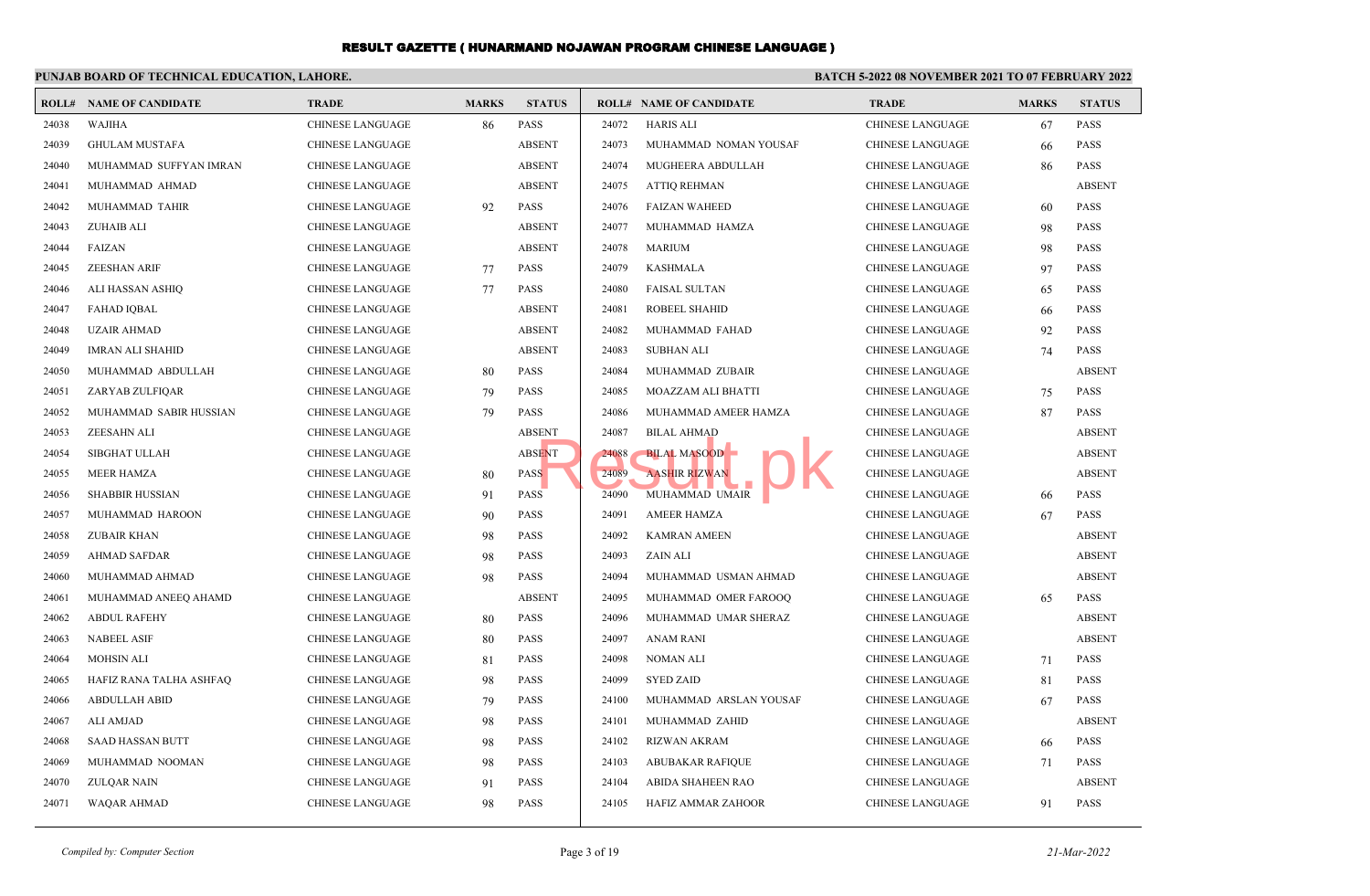## **PUNJAB BOARD OF TECHNICAL EDUCATION, LAHORE.**

#### **BATCH 5-2022 08 NOVEMBER 2021 TO 07 FEBRUARY 2022**

| <b>ROLL#</b> | <b>NAME OF CANDIDATE</b> | <b>TRADE</b>            | <b>MARKS</b> | <b>STATUS</b> |       | <b>ROLL# NAME OF CANDIDATE</b> | <b>TRADE</b>            | <b>MARKS</b> | <b>STATUS</b> |
|--------------|--------------------------|-------------------------|--------------|---------------|-------|--------------------------------|-------------------------|--------------|---------------|
| 24038        | <b>WAJIHA</b>            | <b>CHINESE LANGUAGE</b> | 86           | <b>PASS</b>   | 24072 | <b>HARIS ALI</b>               | <b>CHINESE LANGUAGE</b> | 67           | PASS          |
| 24039        | <b>GHULAM MUSTAFA</b>    | <b>CHINESE LANGUAGE</b> |              | <b>ABSENT</b> | 24073 | MUHAMMAD NOMAN YOUSAF          | <b>CHINESE LANGUAGE</b> | 66           | <b>PASS</b>   |
| 24040        | MUHAMMAD SUFFYAN IMRAN   | <b>CHINESE LANGUAGE</b> |              | <b>ABSENT</b> | 24074 | MUGHEERA ABDULLAH              | <b>CHINESE LANGUAGE</b> | 86           | <b>PASS</b>   |
| 24041        | MUHAMMAD AHMAD           | <b>CHINESE LANGUAGE</b> |              | <b>ABSENT</b> | 24075 | <b>ATTIO REHMAN</b>            | <b>CHINESE LANGUAGE</b> |              | <b>ABSENT</b> |
| 24042        | MUHAMMAD TAHIR           | <b>CHINESE LANGUAGE</b> | 92           | <b>PASS</b>   | 24076 | <b>FAIZAN WAHEED</b>           | <b>CHINESE LANGUAGE</b> | 60           | <b>PASS</b>   |
| 24043        | ZUHAIB ALI               | CHINESE LANGUAGE        |              | <b>ABSENT</b> | 24077 | MUHAMMAD HAMZA                 | <b>CHINESE LANGUAGE</b> | 98           | <b>PASS</b>   |
| 24044        | <b>FAIZAN</b>            | <b>CHINESE LANGUAGE</b> |              | <b>ABSENT</b> | 24078 | <b>MARIUM</b>                  | <b>CHINESE LANGUAGE</b> | 98           | PASS          |
| 24045        | <b>ZEESHAN ARIF</b>      | <b>CHINESE LANGUAGE</b> | 77           | <b>PASS</b>   | 24079 | <b>KASHMALA</b>                | <b>CHINESE LANGUAGE</b> | 97           | PASS          |
| 24046        | ALI HASSAN ASHIQ         | <b>CHINESE LANGUAGE</b> | 77           | <b>PASS</b>   | 24080 | <b>FAISAL SULTAN</b>           | <b>CHINESE LANGUAGE</b> | 65           | <b>PASS</b>   |
| 24047        | <b>FAHAD IQBAL</b>       | <b>CHINESE LANGUAGE</b> |              | <b>ABSENT</b> | 24081 | ROBEEL SHAHID                  | <b>CHINESE LANGUAGE</b> | 66           | <b>PASS</b>   |
| 24048        | <b>UZAIR AHMAD</b>       | <b>CHINESE LANGUAGE</b> |              | <b>ABSENT</b> | 24082 | MUHAMMAD FAHAD                 | <b>CHINESE LANGUAGE</b> | 92           | PASS          |
| 24049        | <b>IMRAN ALI SHAHID</b>  | <b>CHINESE LANGUAGE</b> |              | <b>ABSENT</b> | 24083 | SUBHAN ALI                     | <b>CHINESE LANGUAGE</b> | 74           | <b>PASS</b>   |
| 24050        | MUHAMMAD ABDULLAH        | <b>CHINESE LANGUAGE</b> | 80           | <b>PASS</b>   | 24084 | MUHAMMAD ZUBAIR                | <b>CHINESE LANGUAGE</b> |              | <b>ABSENT</b> |
| 24051        | ZARYAB ZULFIQAR          | <b>CHINESE LANGUAGE</b> | 79           | <b>PASS</b>   | 24085 | MOAZZAM ALI BHATTI             | <b>CHINESE LANGUAGE</b> | 75           | <b>PASS</b>   |
| 24052        | MUHAMMAD SABIR HUSSIAN   | CHINESE LANGUAGE        | 79           | <b>PASS</b>   | 24086 | MUHAMMAD AMEER HAMZA           | <b>CHINESE LANGUAGE</b> | 87           | <b>PASS</b>   |
| 24053        | <b>ZEESAHN ALI</b>       | <b>CHINESE LANGUAGE</b> |              | <b>ABSENT</b> | 24087 | <b>BILAL AHMAD</b>             | <b>CHINESE LANGUAGE</b> |              | <b>ABSENT</b> |
| 24054        | <b>SIBGHAT ULLAH</b>     | <b>CHINESE LANGUAGE</b> |              | <b>ABSENT</b> | 24088 | <b>BILAL MASOOD</b>            | <b>CHINESE LANGUAGE</b> |              | <b>ABSENT</b> |
| 24055        | <b>MEER HAMZA</b>        | <b>CHINESE LANGUAGE</b> | 80           | <b>PASS</b>   | 24089 | <b>AASHIR RIZWAN</b>           | <b>CHINESE LANGUAGE</b> |              | <b>ABSENT</b> |
| 24056        | <b>SHABBIR HUSSIAN</b>   | <b>CHINESE LANGUAGE</b> | 91           | <b>PASS</b>   | 24090 | MUHAMMAD UMAIR                 | <b>CHINESE LANGUAGE</b> | 66           | <b>PASS</b>   |
| 24057        | MUHAMMAD HAROON          | <b>CHINESE LANGUAGE</b> | 90           | <b>PASS</b>   | 24091 | <b>AMEER HAMZA</b>             | <b>CHINESE LANGUAGE</b> | 67           | <b>PASS</b>   |
| 24058        | ZUBAIR KHAN              | <b>CHINESE LANGUAGE</b> | 98           | <b>PASS</b>   | 24092 | <b>KAMRAN AMEEN</b>            | <b>CHINESE LANGUAGE</b> |              | <b>ABSENT</b> |
| 24059        | <b>AHMAD SAFDAR</b>      | <b>CHINESE LANGUAGE</b> | 98           | <b>PASS</b>   | 24093 | <b>ZAIN ALI</b>                | <b>CHINESE LANGUAGE</b> |              | <b>ABSENT</b> |
| 24060        | MUHAMMAD AHMAD           | <b>CHINESE LANGUAGE</b> | 98           | <b>PASS</b>   | 24094 | MUHAMMAD USMAN AHMAD           | <b>CHINESE LANGUAGE</b> |              | <b>ABSENT</b> |
| 24061        | MUHAMMAD ANEEQ AHAMD     | CHINESE LANGUAGE        |              | <b>ABSENT</b> | 24095 | MUHAMMAD OMER FAROOQ           | <b>CHINESE LANGUAGE</b> | 65           | <b>PASS</b>   |
| 24062        | <b>ABDUL RAFEHY</b>      | <b>CHINESE LANGUAGE</b> | 80           | <b>PASS</b>   | 24096 | MUHAMMAD UMAR SHERAZ           | <b>CHINESE LANGUAGE</b> |              | <b>ABSENT</b> |
| 24063        | <b>NABEEL ASIF</b>       | <b>CHINESE LANGUAGE</b> | 80           | <b>PASS</b>   | 24097 | <b>ANAM RANI</b>               | <b>CHINESE LANGUAGE</b> |              | <b>ABSENT</b> |
| 24064        | <b>MOHSIN ALI</b>        | CHINESE LANGUAGE        | 81           | <b>PASS</b>   | 24098 | NOMAN ALI                      | CHINESE LANGUAGE        | 71           | PASS          |
| 24065        | HAFIZ RANA TALHA ASHFAQ  | <b>CHINESE LANGUAGE</b> | 98           | <b>PASS</b>   | 24099 | <b>SYED ZAID</b>               | <b>CHINESE LANGUAGE</b> | 81           | PASS          |
| 24066        | <b>ABDULLAH ABID</b>     | <b>CHINESE LANGUAGE</b> | 79           | <b>PASS</b>   | 24100 | MUHAMMAD ARSLAN YOUSAF         | <b>CHINESE LANGUAGE</b> | 67           | <b>PASS</b>   |
| 24067        | <b>ALI AMJAD</b>         | <b>CHINESE LANGUAGE</b> | 98           | <b>PASS</b>   | 24101 | MUHAMMAD ZAHID                 | <b>CHINESE LANGUAGE</b> |              | <b>ABSENT</b> |
| 24068        | <b>SAAD HASSAN BUTT</b>  | <b>CHINESE LANGUAGE</b> | 98           | <b>PASS</b>   | 24102 | <b>RIZWAN AKRAM</b>            | <b>CHINESE LANGUAGE</b> | 66           | <b>PASS</b>   |
| 24069        | MUHAMMAD NOOMAN          | <b>CHINESE LANGUAGE</b> | 98           | <b>PASS</b>   | 24103 | <b>ABUBAKAR RAFIQUE</b>        | <b>CHINESE LANGUAGE</b> | 71           | <b>PASS</b>   |
| 24070        | ZULQAR NAIN              | <b>CHINESE LANGUAGE</b> | 91           | <b>PASS</b>   | 24104 | <b>ABIDA SHAHEEN RAO</b>       | <b>CHINESE LANGUAGE</b> |              | <b>ABSENT</b> |
| 24071        | <b>WAQAR AHMAD</b>       | <b>CHINESE LANGUAGE</b> | 98           | <b>PASS</b>   | 24105 | <b>HAFIZ AMMAR ZAHOOR</b>      | <b>CHINESE LANGUAGE</b> | 91           | <b>PASS</b>   |
|              |                          |                         |              |               |       |                                |                         |              |               |

*Compiled by: Computer Section* 21-Mar-2022 **Page 3 of 19 21-Mar-2022**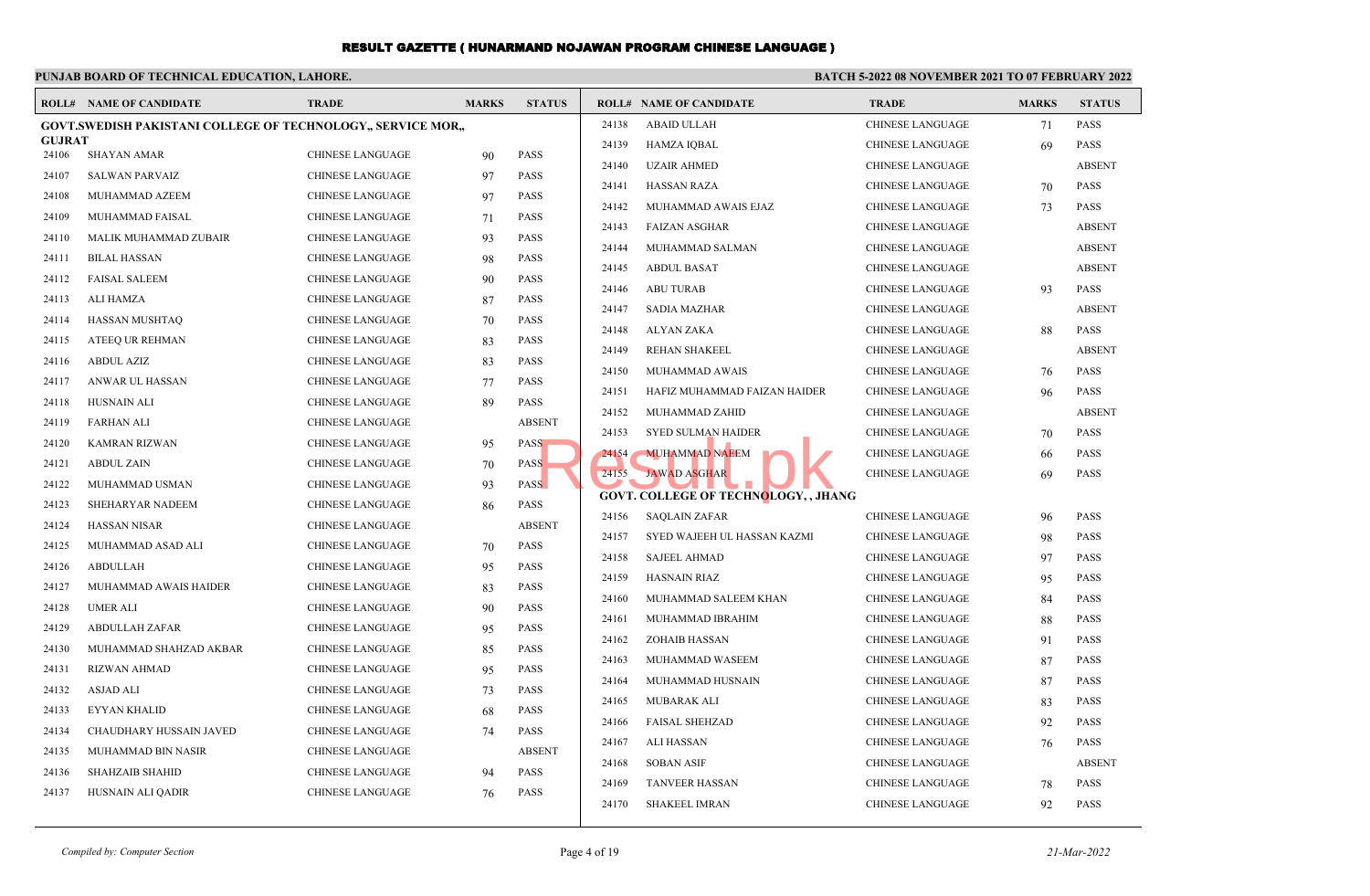# **PUNJAB BOARD OF TECHNICAL EDUCATION, LAHORE.**

#### **BATCH 5-2022 08 NOVEMBER 2021 TO 07 FEBRUARY 2022**

|               | <b>ROLL# NAME OF CANDIDATE</b>                                      | <b>TRADE</b>            | <b>MARKS</b> | <b>STATUS</b> |       | <b>ROLL# NAME OF CANDIDATE</b>              | <b>TRADE</b>            | <b>MARKS</b> | <b>STATUS</b> |
|---------------|---------------------------------------------------------------------|-------------------------|--------------|---------------|-------|---------------------------------------------|-------------------------|--------------|---------------|
|               | <b>GOVT.SWEDISH PAKISTANI COLLEGE OF TECHNOLOGY., SERVICE MOR.,</b> |                         |              |               | 24138 | <b>ABAID ULLAH</b>                          | <b>CHINESE LANGUAGE</b> | 71           | <b>PASS</b>   |
| <b>GUJRAT</b> |                                                                     |                         |              |               | 24139 | <b>HAMZA IQBAL</b>                          | <b>CHINESE LANGUAGE</b> | 69           | <b>PASS</b>   |
| 24106         | <b>SHAYAN AMAR</b>                                                  | <b>CHINESE LANGUAGE</b> | 90           | <b>PASS</b>   | 24140 | <b>UZAIR AHMED</b>                          | <b>CHINESE LANGUAGE</b> |              | <b>ABSENT</b> |
| 24107         | <b>SALWAN PARVAIZ</b>                                               | <b>CHINESE LANGUAGE</b> | 97           | <b>PASS</b>   | 24141 | <b>HASSAN RAZA</b>                          | <b>CHINESE LANGUAGE</b> | 70           | PASS          |
| 24108         | MUHAMMAD AZEEM                                                      | <b>CHINESE LANGUAGE</b> | 97           | <b>PASS</b>   | 24142 | MUHAMMAD AWAIS EJAZ                         | <b>CHINESE LANGUAGE</b> | 73           | <b>PASS</b>   |
| 24109         | MUHAMMAD FAISAL                                                     | <b>CHINESE LANGUAGE</b> | 71           | <b>PASS</b>   | 24143 | <b>FAIZAN ASGHAR</b>                        | <b>CHINESE LANGUAGE</b> |              | <b>ABSENT</b> |
| 24110         | MALIK MUHAMMAD ZUBAIR                                               | <b>CHINESE LANGUAGE</b> | 93           | <b>PASS</b>   | 24144 | MUHAMMAD SALMAN                             | CHINESE LANGUAGE        |              | <b>ABSENT</b> |
| 24111         | <b>BILAL HASSAN</b>                                                 | <b>CHINESE LANGUAGE</b> | 98           | <b>PASS</b>   | 24145 | <b>ABDUL BASAT</b>                          | <b>CHINESE LANGUAGE</b> |              | <b>ABSENT</b> |
| 24112         | <b>FAISAL SALEEM</b>                                                | <b>CHINESE LANGUAGE</b> | 90           | <b>PASS</b>   | 24146 | <b>ABU TURAB</b>                            | <b>CHINESE LANGUAGE</b> | 93           | PASS          |
| 24113         | ALI HAMZA                                                           | <b>CHINESE LANGUAGE</b> | 87           | <b>PASS</b>   | 24147 | <b>SADIA MAZHAR</b>                         | <b>CHINESE LANGUAGE</b> |              | <b>ABSENT</b> |
| 24114         | HASSAN MUSHTAO                                                      | <b>CHINESE LANGUAGE</b> | 70           | <b>PASS</b>   | 24148 | ALYAN ZAKA                                  | <b>CHINESE LANGUAGE</b> | 88           | <b>PASS</b>   |
| 24115         | ATEEQ UR REHMAN                                                     | <b>CHINESE LANGUAGE</b> | 83           | <b>PASS</b>   | 24149 | <b>REHAN SHAKEEL</b>                        | <b>CHINESE LANGUAGE</b> |              | <b>ABSENT</b> |
| 24116         | <b>ABDUL AZIZ</b>                                                   | <b>CHINESE LANGUAGE</b> | 83           | <b>PASS</b>   | 24150 | MUHAMMAD AWAIS                              | <b>CHINESE LANGUAGE</b> | 76           | <b>PASS</b>   |
| 24117         | ANWAR UL HASSAN                                                     | <b>CHINESE LANGUAGE</b> | 77           | <b>PASS</b>   | 24151 | HAFIZ MUHAMMAD FAIZAN HAIDER                | <b>CHINESE LANGUAGE</b> | 96           | PASS          |
| 24118         | HUSNAIN ALI                                                         | <b>CHINESE LANGUAGE</b> | 89           | PASS          | 24152 | MUHAMMAD ZAHID                              | <b>CHINESE LANGUAGE</b> |              | <b>ABSENT</b> |
| 24119         | <b>FARHAN ALI</b>                                                   | <b>CHINESE LANGUAGE</b> |              | <b>ABSENT</b> | 24153 | <b>SYED SULMAN HAIDER</b>                   | <b>CHINESE LANGUAGE</b> |              | <b>PASS</b>   |
| 24120         | <b>KAMRAN RIZWAN</b>                                                | <b>CHINESE LANGUAGE</b> | 95           | <b>PASS</b>   |       |                                             |                         | 70           |               |
| 24121         | <b>ABDUL ZAIN</b>                                                   | <b>CHINESE LANGUAGE</b> | 70           | <b>PASS</b>   | 24154 | <b>MUHAMMAD NAEEM</b>                       | <b>CHINESE LANGUAGE</b> | 66           | <b>PASS</b>   |
| 24122         | MUHAMMAD USMAN                                                      | <b>CHINESE LANGUAGE</b> | 93           | <b>PASS</b>   | 24155 | <b>JAWAD ASGHAR</b>                         | <b>CHINESE LANGUAGE</b> | 69           | <b>PASS</b>   |
| 24123         | SHEHARYAR NADEEM                                                    | <b>CHINESE LANGUAGE</b> | 86           | <b>PASS</b>   |       | <b>GOVT. COLLEGE OF TECHNOLOGY, , JHANG</b> |                         |              |               |
| 24124         | <b>HASSAN NISAR</b>                                                 | <b>CHINESE LANGUAGE</b> |              | <b>ABSENT</b> | 24156 | <b>SAQLAIN ZAFAR</b>                        | <b>CHINESE LANGUAGE</b> | 96           | <b>PASS</b>   |
| 24125         | MUHAMMAD ASAD ALI                                                   | <b>CHINESE LANGUAGE</b> | 70           | <b>PASS</b>   | 24157 | SYED WAJEEH UL HASSAN KAZMI                 | <b>CHINESE LANGUAGE</b> | 98           | <b>PASS</b>   |
| 24126         | <b>ABDULLAH</b>                                                     | <b>CHINESE LANGUAGE</b> | 95           | <b>PASS</b>   | 24158 | <b>SAJEEL AHMAD</b>                         | <b>CHINESE LANGUAGE</b> | 97           | <b>PASS</b>   |
| 24127         | MUHAMMAD AWAIS HAIDER                                               | <b>CHINESE LANGUAGE</b> | 83           | <b>PASS</b>   | 24159 | <b>HASNAIN RIAZ</b>                         | <b>CHINESE LANGUAGE</b> | 95           | <b>PASS</b>   |
| 24128         | <b>UMER ALI</b>                                                     | <b>CHINESE LANGUAGE</b> | 90           | <b>PASS</b>   | 24160 | MUHAMMAD SALEEM KHAN                        | <b>CHINESE LANGUAGE</b> | 84           | <b>PASS</b>   |
| 24129         | ABDULLAH ZAFAR                                                      | <b>CHINESE LANGUAGE</b> | 95           | <b>PASS</b>   | 24161 | MUHAMMAD IBRAHIM                            | <b>CHINESE LANGUAGE</b> | 88           | <b>PASS</b>   |
| 24130         | MUHAMMAD SHAHZAD AKBAR                                              | <b>CHINESE LANGUAGE</b> | 85           | <b>PASS</b>   | 24162 | <b>ZOHAIB HASSAN</b>                        | <b>CHINESE LANGUAGE</b> | 91           | <b>PASS</b>   |
| 24131         | <b>RIZWAN AHMAD</b>                                                 | <b>CHINESE LANGUAGE</b> | 95           | <b>PASS</b>   | 24163 | MUHAMMAD WASEEM                             | <b>CHINESE LANGUAGE</b> | 87           | <b>PASS</b>   |
| 24132         | <b>ASJAD ALI</b>                                                    | <b>CHINESE LANGUAGE</b> | 73           | <b>PASS</b>   | 24164 | MUHAMMAD HUSNAIN                            | <b>CHINESE LANGUAGE</b> | 87           | <b>PASS</b>   |
| 24133         | <b>EYYAN KHALID</b>                                                 | <b>CHINESE LANGUAGE</b> | 68           | <b>PASS</b>   | 24165 | <b>MUBARAK ALI</b>                          | <b>CHINESE LANGUAGE</b> | 83           | <b>PASS</b>   |
| 24134         | CHAUDHARY HUSSAIN JAVED                                             | <b>CHINESE LANGUAGE</b> | 74           | <b>PASS</b>   | 24166 | <b>FAISAL SHEHZAD</b>                       | <b>CHINESE LANGUAGE</b> | 92           | <b>PASS</b>   |
| 24135         | MUHAMMAD BIN NASIR                                                  | <b>CHINESE LANGUAGE</b> |              | <b>ABSENT</b> | 24167 | <b>ALI HASSAN</b>                           | <b>CHINESE LANGUAGE</b> | 76           | <b>PASS</b>   |
| 24136         | <b>SHAHZAIB SHAHID</b>                                              | <b>CHINESE LANGUAGE</b> | 94           | <b>PASS</b>   | 24168 | <b>SOBAN ASIF</b>                           | <b>CHINESE LANGUAGE</b> |              | <b>ABSENT</b> |
| 24137         | HUSNAIN ALI QADIR                                                   | <b>CHINESE LANGUAGE</b> |              | <b>PASS</b>   | 24169 | <b>TANVEER HASSAN</b>                       | CHINESE LANGUAGE        | 78           | <b>PASS</b>   |
|               |                                                                     |                         | 76           |               | 24170 | <b>SHAKEEL IMRAN</b>                        | <b>CHINESE LANGUAGE</b> | 92           | <b>PASS</b>   |
|               |                                                                     |                         |              |               |       |                                             |                         |              |               |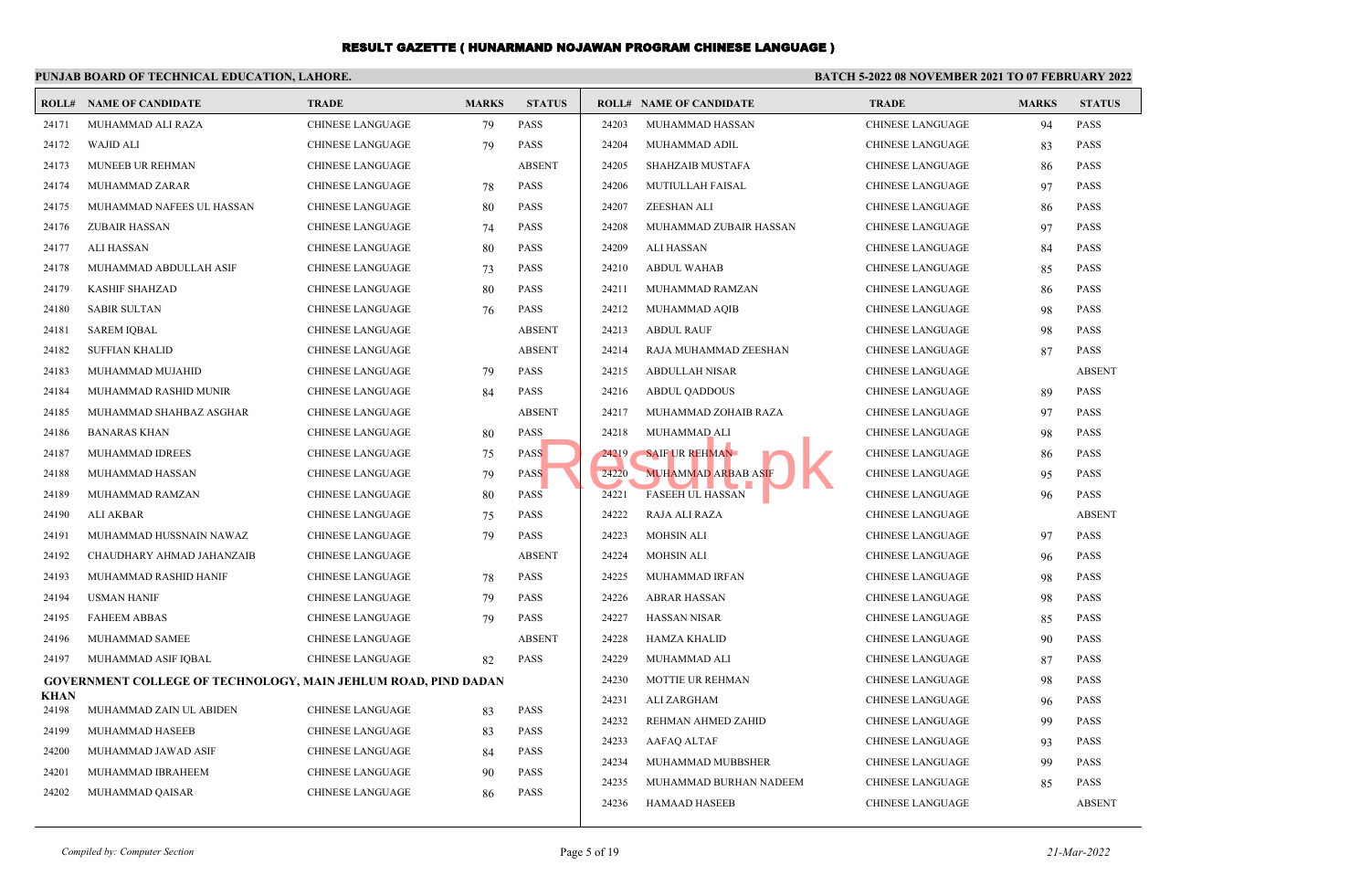#### **PUNJAB BOARD OF TECHNICAL EDUCATION, LAHORE. BATCH 5-2022 08 NOVEMBER 2021 TO 07 FEBRUARY 2022 ROLL# NAME OF CANDIDATE TRADE MARKS STATUS ROLL# NAME OF CANDIDATE TRADE MARKS STATUS** 24171 MUHAMMAD ALI RAZA CHINESE LANGUAGE 79 PASS 24172 WAJID ALI CHINESE LANGUAGE 79 PASS 24173 MUNEEB UR REHMAN CHINESE LANGUAGE ABSENT 24174 MUHAMMAD ZARAR CHINESE LANGUAGE 78 PASS 24175 MUHAMMAD NAFEES UL HASSAN CHINESE LANGUAGE 80 PASS 24176 ZUBAIR HASSAN CHINESE LANGUAGE 74 PASS 24177 ALI HASSAN CHINESE LANGUAGE 80 PASS 24178 MUHAMMAD ABDULLAH ASIF CHINESE LANGUAGE 73 PASS 24179 KASHIF SHAHZAD CHINESE LANGUAGE 80 PASS 24180 SABIR SULTAN CHINESE LANGUAGE 76 PASS 24181 SAREM IQBAL CHINESE LANGUAGE ABSENT 24182 SUFFIAN KHALID CHINESE LANGUAGE ABSENT 24183 MUHAMMAD MUJAHID CHINESE LANGUAGE 79 PASS 24184 MUHAMMAD RASHID MUNIR CHINESE LANGUAGE 84 PASS 24185 MUHAMMAD SHAHBAZ ASGHAR CHINESE LANGUAGE ABSENT 24186 BANARAS KHAN CHINESE LANGUAGE 80 PASS 24187 MUHAMMAD IDREES CHINESE LANGUAGE 75 PASS 24188 MUHAMMAD HASSAN CHINESE LANGUAGE 79 PASS 24189 MUHAMMAD RAMZAN CHINESE LANGUAGE 80 PASS 24190 ALI AKBAR CHINESE LANGUAGE 75 PASS 24191 MUHAMMAD HUSSNAIN NAWAZ CHINESE LANGUAGE 79 PASS 24192 CHAUDHARY AHMAD JAHANZAIB CHINESE LANGUAGE ABSENT 24193 MUHAMMAD RASHID HANIF CHINESE LANGUAGE 78 PASS 24194 USMAN HANIF CHINESE LANGUAGE 79 PASS 24195 FAHEEM ABBAS CHINESE LANGUAGE 79 PASS 24196 MUHAMMAD SAMEE CHINESE LANGUAGE ABSENT 24197 MUHAMMAD ASIF IQBAL CHINESE LANGUAGE 82 PASS  **GOVERNMENT COLLEGE OF TECHNOLOGY, MAIN JEHLUM ROAD, PIND DADAN KHAN** 24198 MUHAMMAD ZAIN UL ABIDEN CHINESE LANGUAGE 83 PASS 24199 MUHAMMAD HASEEB CHINESE LANGUAGE 83 PASS 24200 MUHAMMAD JAWAD ASIF CHINESE LANGUAGE 84 PASS 24201 MUHAMMAD IBRAHEEM CHINESE LANGUAGE 90 PASS 24202 MUHAMMAD QAISAR CHINESE LANGUAGE 86 PASS 24203 MUHAMMAD HASSAN CHINESE LANGUAGE 94 PASS 24204 MUHAMMAD ADIL CHINESE LANGUAGE 83 PASS 24205 SHAHZAIB MUSTAFA CHINESE LANGUAGE 86 PASS 24206 MUTIULLAH FAISAL CHINESE LANGUAGE 97 PASS 24207 ZEESHAN ALI CHINESE LANGUAGE 86 PASS 24208 MUHAMMAD ZUBAIR HASSAN CHINESE LANGUAGE 97 PASS 24209 ALI HASSAN CHINESE LANGUAGE 84 PASS 24210 ABDUL WAHAB CHINESE LANGUAGE 85 PASS 24211 MUHAMMAD RAMZAN CHINESE LANGUAGE 86 PASS 24212 MUHAMMAD AQIB CHINESE LANGUAGE 98 PASS 24213 ABDUL RAUF CHINESE LANGUAGE 98 PASS 24214 RAJA MUHAMMAD ZEESHAN CHINESE LANGUAGE 87 PASS 24215 ABDULLAH NISAR CHINESE LANGUAGE ABSENT 24216 ABDUL QADDOUS CHINESE LANGUAGE 89 PASS 24217 MUHAMMAD ZOHAIB RAZA CHINESE LANGUAGE 97 PASS 24218 MUHAMMAD ALI CHINESE LANGUAGE 98 PASS 24219 SAIF UR REHMAN CHINESE LANGUAGE 86 PASS 24220 MUHAMMAD ARBAB ASIF CHINESE LANGUAGE 95 PASS 24221 FASEEH UL HASSAN CHINESE LANGUAGE 96 PASS 24222 RAJA ALI RAZA CHINESE LANGUAGE ABSENT 24223 MOHSIN ALI CHINESE LANGUAGE 97 PASS 24224 MOHSIN ALI CHINESE LANGUAGE 96 PASS 24225 MUHAMMAD IRFAN CHINESE LANGUAGE 98 PASS 24226 ABRAR HASSAN CHINESE LANGUAGE 98 PASS 24227 HASSAN NISAR CHINESE LANGUAGE 85 PASS 24228 HAMZA KHALID CHINESE LANGUAGE 90 PASS 24229 MUHAMMAD ALI CHINESE LANGUAGE 87 PASS 24230 MOTTIE UR REHMAN CHINESE LANGUAGE 98 PASS 24231 ALI ZARGHAM CHINESE LANGUAGE 96 PASS 24232 REHMAN AHMED ZAHID CHINESE LANGUAGE 99 PASS 24233 AAFAQ ALTAF CHINESE LANGUAGE 93 PASS 24234 MUHAMMAD MUBBSHER CHINESE LANGUAGE 99 PASS 24235 MUHAMMAD BURHAN NADEEM CHINESE LANGUAGE 85 PASS 24236 HAMAAD HASEEB CHINESE LANGUAGE ABSENT S<br>
S<br>
Result by SAIF UR REHMAN<br>
24220 MUHAMMAD ARBAB ASIF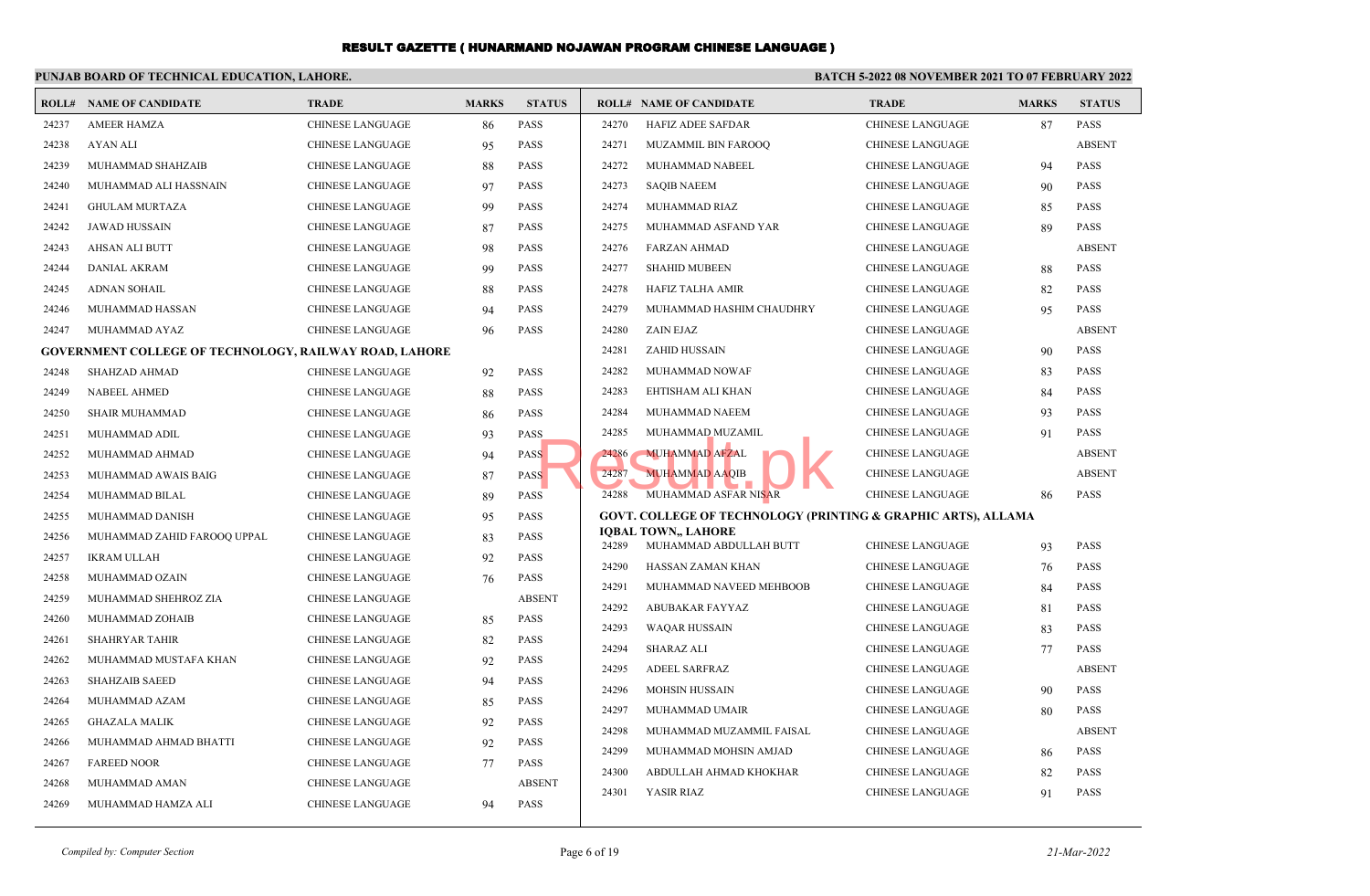|       | PUNJAB BOARD OF TECHNICAL EDUCATION, LAHORE.                  |                         |              |               | <b>BATCH 5-2022 08 NOVEMBER 2021 TO 07 FEBRUARY 2022</b> |                                                                          |                         |              |                     |  |
|-------|---------------------------------------------------------------|-------------------------|--------------|---------------|----------------------------------------------------------|--------------------------------------------------------------------------|-------------------------|--------------|---------------------|--|
|       | <b>ROLL# NAME OF CANDIDATE</b>                                | <b>TRADE</b>            | <b>MARKS</b> | <b>STATUS</b> |                                                          | <b>ROLL# NAME OF CANDIDATE</b>                                           | <b>TRADE</b>            | <b>MARKS</b> | <b>STATUS</b>       |  |
| 24237 | <b>AMEER HAMZA</b>                                            | <b>CHINESE LANGUAGE</b> | 86           | <b>PASS</b>   | 24270                                                    | <b>HAFIZ ADEE SAFDAR</b>                                                 | <b>CHINESE LANGUAGE</b> | 87           | <b>PASS</b>         |  |
| 24238 | AYAN ALI                                                      | <b>CHINESE LANGUAGE</b> | 95           | <b>PASS</b>   | 24271                                                    | MUZAMMIL BIN FAROOQ                                                      | CHINESE LANGUAGE        |              | <b>ABSENT</b>       |  |
| 24239 | MUHAMMAD SHAHZAIB                                             | <b>CHINESE LANGUAGE</b> | 88           | PASS          | 24272                                                    | MUHAMMAD NABEEL                                                          | CHINESE LANGUAGE        | 94           | <b>PASS</b>         |  |
| 24240 | MUHAMMAD ALI HASSNAIN                                         | <b>CHINESE LANGUAGE</b> | 97           | <b>PASS</b>   | 24273                                                    | <b>SAQIB NAEEM</b>                                                       | CHINESE LANGUAGE        | 90           | <b>PASS</b>         |  |
| 24241 | <b>GHULAM MURTAZA</b>                                         | <b>CHINESE LANGUAGE</b> | 99           | <b>PASS</b>   | 24274                                                    | MUHAMMAD RIAZ                                                            | <b>CHINESE LANGUAGE</b> | 85           | <b>PASS</b>         |  |
| 24242 | <b>JAWAD HUSSAIN</b>                                          | <b>CHINESE LANGUAGE</b> | 87           | <b>PASS</b>   | 24275                                                    | MUHAMMAD ASFAND YAR                                                      | <b>CHINESE LANGUAGE</b> | 89           | <b>PASS</b>         |  |
| 24243 | AHSAN ALI BUTT                                                | <b>CHINESE LANGUAGE</b> | 98           | <b>PASS</b>   | 24276                                                    | <b>FARZAN AHMAD</b>                                                      | CHINESE LANGUAGE        |              | <b>ABSENT</b>       |  |
| 24244 | DANIAL AKRAM                                                  | <b>CHINESE LANGUAGE</b> | 99           | <b>PASS</b>   | 24277                                                    | <b>SHAHID MUBEEN</b>                                                     | CHINESE LANGUAGE        | 88           | <b>PASS</b>         |  |
| 24245 | <b>ADNAN SOHAIL</b>                                           | <b>CHINESE LANGUAGE</b> | 88           | <b>PASS</b>   | 24278                                                    | <b>HAFIZ TALHA AMIR</b>                                                  | <b>CHINESE LANGUAGE</b> | 82           | <b>PASS</b>         |  |
| 24246 | MUHAMMAD HASSAN                                               | <b>CHINESE LANGUAGE</b> | 94           | <b>PASS</b>   | 24279                                                    | MUHAMMAD HASHIM CHAUDHRY                                                 | <b>CHINESE LANGUAGE</b> | 95           | <b>PASS</b>         |  |
| 24247 | MUHAMMAD AYAZ                                                 | <b>CHINESE LANGUAGE</b> | 96           | <b>PASS</b>   | 24280                                                    | ZAIN EJAZ                                                                | <b>CHINESE LANGUAGE</b> |              | <b>ABSENT</b>       |  |
|       | <b>GOVERNMENT COLLEGE OF TECHNOLOGY, RAILWAY ROAD, LAHORE</b> |                         |              |               | 24281                                                    | <b>ZAHID HUSSAIN</b>                                                     | CHINESE LANGUAGE        | 90           | <b>PASS</b>         |  |
| 24248 | <b>SHAHZAD AHMAD</b>                                          | <b>CHINESE LANGUAGE</b> | 92           | <b>PASS</b>   | 24282                                                    | MUHAMMAD NOWAF                                                           | CHINESE LANGUAGE        | 83           | <b>PASS</b>         |  |
| 24249 | <b>NABEEL AHMED</b>                                           | <b>CHINESE LANGUAGE</b> | 88           | <b>PASS</b>   | 24283                                                    | EHTISHAM ALI KHAN                                                        | CHINESE LANGUAGE        | 84           | <b>PASS</b>         |  |
| 24250 | <b>SHAIR MUHAMMAD</b>                                         | <b>CHINESE LANGUAGE</b> | 86           | <b>PASS</b>   | 24284                                                    | MUHAMMAD NAEEM                                                           | <b>CHINESE LANGUAGE</b> | 93           | <b>PASS</b>         |  |
| 24251 | MUHAMMAD ADIL                                                 | <b>CHINESE LANGUAGE</b> | 93           | PASS          | 24285                                                    | MUHAMMAD MUZAMIL                                                         | <b>CHINESE LANGUAGE</b> | 91           | <b>PASS</b>         |  |
| 24252 | MUHAMMAD AHMAD                                                | <b>CHINESE LANGUAGE</b> | 94           | <b>PASS</b>   | 24286                                                    | <b>MUHAMMAD AFZAL</b>                                                    | CHINESE LANGUAGE        |              | <b>ABSENT</b>       |  |
| 24253 | MUHAMMAD AWAIS BAIG                                           | <b>CHINESE LANGUAGE</b> | 87           | <b>PASS</b>   | 24287                                                    | <b>MUHAMMAD AAQIB</b>                                                    | <b>CHINESE LANGUAGE</b> |              | <b>ABSENT</b>       |  |
| 24254 | MUHAMMAD BILAL                                                | <b>CHINESE LANGUAGE</b> | 89           | PASS          | 24288                                                    | MUHAMMAD ASFAR NISAR                                                     | <b>CHINESE LANGUAGE</b> | 86           | <b>PASS</b>         |  |
| 24255 | MUHAMMAD DANISH                                               | <b>CHINESE LANGUAGE</b> | 95           | <b>PASS</b>   |                                                          | <b>GOVT. COLLEGE OF TECHNOLOGY (PRINTING &amp; GRAPHIC ARTS), ALLAMA</b> |                         |              |                     |  |
| 24256 | MUHAMMAD ZAHID FAROOQ UPPAL                                   | <b>CHINESE LANGUAGE</b> | 83           | <b>PASS</b>   | 24289                                                    | <b>IQBAL TOWN,, LAHORE</b><br>MUHAMMAD ABDULLAH BUTT                     |                         |              | <b>PASS</b>         |  |
| 24257 | <b>IKRAM ULLAH</b>                                            | <b>CHINESE LANGUAGE</b> | 92           | <b>PASS</b>   |                                                          |                                                                          | CHINESE LANGUAGE        | 93           |                     |  |
| 24258 | MUHAMMAD OZAIN                                                | <b>CHINESE LANGUAGE</b> | 76           | <b>PASS</b>   | 24290                                                    | HASSAN ZAMAN KHAN                                                        | CHINESE LANGUAGE        | 76           | <b>PASS</b>         |  |
| 24259 | MUHAMMAD SHEHROZ ZIA                                          | <b>CHINESE LANGUAGE</b> |              | <b>ABSENT</b> | 24291                                                    | MUHAMMAD NAVEED MEHBOOB                                                  | CHINESE LANGUAGE        | 84           | <b>PASS</b><br>PASS |  |
| 24260 | MUHAMMAD ZOHAIB                                               | <b>CHINESE LANGUAGE</b> | 85           | <b>PASS</b>   | 24292                                                    | ABUBAKAR FAYYAZ                                                          | <b>CHINESE LANGUAGE</b> | 81           |                     |  |
| 24261 | <b>SHAHRYAR TAHIR</b>                                         | <b>CHINESE LANGUAGE</b> | 82           | <b>PASS</b>   | 24293                                                    | <b>WAQAR HUSSAIN</b>                                                     | CHINESE LANGUAGE        | 83           | <b>PASS</b>         |  |
| 24262 | MUHAMMAD MUSTAFA KHAN                                         | <b>CHINESE LANGUAGE</b> | 92           | <b>PASS</b>   | 24294                                                    | <b>SHARAZ ALI</b>                                                        | CHINESE LANGUAGE        | 77           | <b>PASS</b>         |  |
| 24263 | <b>SHAHZAIB SAEED</b>                                         | <b>CHINESE LANGUAGE</b> | 94           | <b>PASS</b>   | 24295                                                    | <b>ADEEL SARFRAZ</b>                                                     | <b>CHINESE LANGUAGE</b> |              | <b>ABSENT</b>       |  |
| 24264 | MUHAMMAD AZAM                                                 | <b>CHINESE LANGUAGE</b> | 85           | PASS          | 24296                                                    | <b>MOHSIN HUSSAIN</b>                                                    | <b>CHINESE LANGUAGE</b> | 90           | <b>PASS</b>         |  |
| 24265 | <b>GHAZALA MALIK</b>                                          | <b>CHINESE LANGUAGE</b> | 92           | PASS          | 24297                                                    | MUHAMMAD UMAIR                                                           | <b>CHINESE LANGUAGE</b> | 80           | <b>PASS</b>         |  |
| 24266 | MUHAMMAD AHMAD BHATTI                                         | <b>CHINESE LANGUAGE</b> | 92           | <b>PASS</b>   | 24298                                                    | MUHAMMAD MUZAMMIL FAISAL                                                 | <b>CHINESE LANGUAGE</b> |              | <b>ABSENT</b>       |  |
| 24267 | <b>FAREED NOOR</b>                                            | <b>CHINESE LANGUAGE</b> | 77           | PASS          | 24299                                                    | MUHAMMAD MOHSIN AMJAD                                                    | CHINESE LANGUAGE        | 86           | <b>PASS</b>         |  |
| 24268 | MUHAMMAD AMAN                                                 | <b>CHINESE LANGUAGE</b> |              | <b>ABSENT</b> | 24300                                                    | ABDULLAH AHMAD KHOKHAR                                                   | CHINESE LANGUAGE        | 82           | <b>PASS</b>         |  |
| 24269 | MUHAMMAD HAMZA ALI                                            | <b>CHINESE LANGUAGE</b> | 94           | <b>PASS</b>   | 24301                                                    | YASIR RIAZ                                                               | <b>CHINESE LANGUAGE</b> | 91           | <b>PASS</b>         |  |

*Compiled by: Computer Section* 21-Mar-2022 **Page 6 of 19 21-Mar-2022**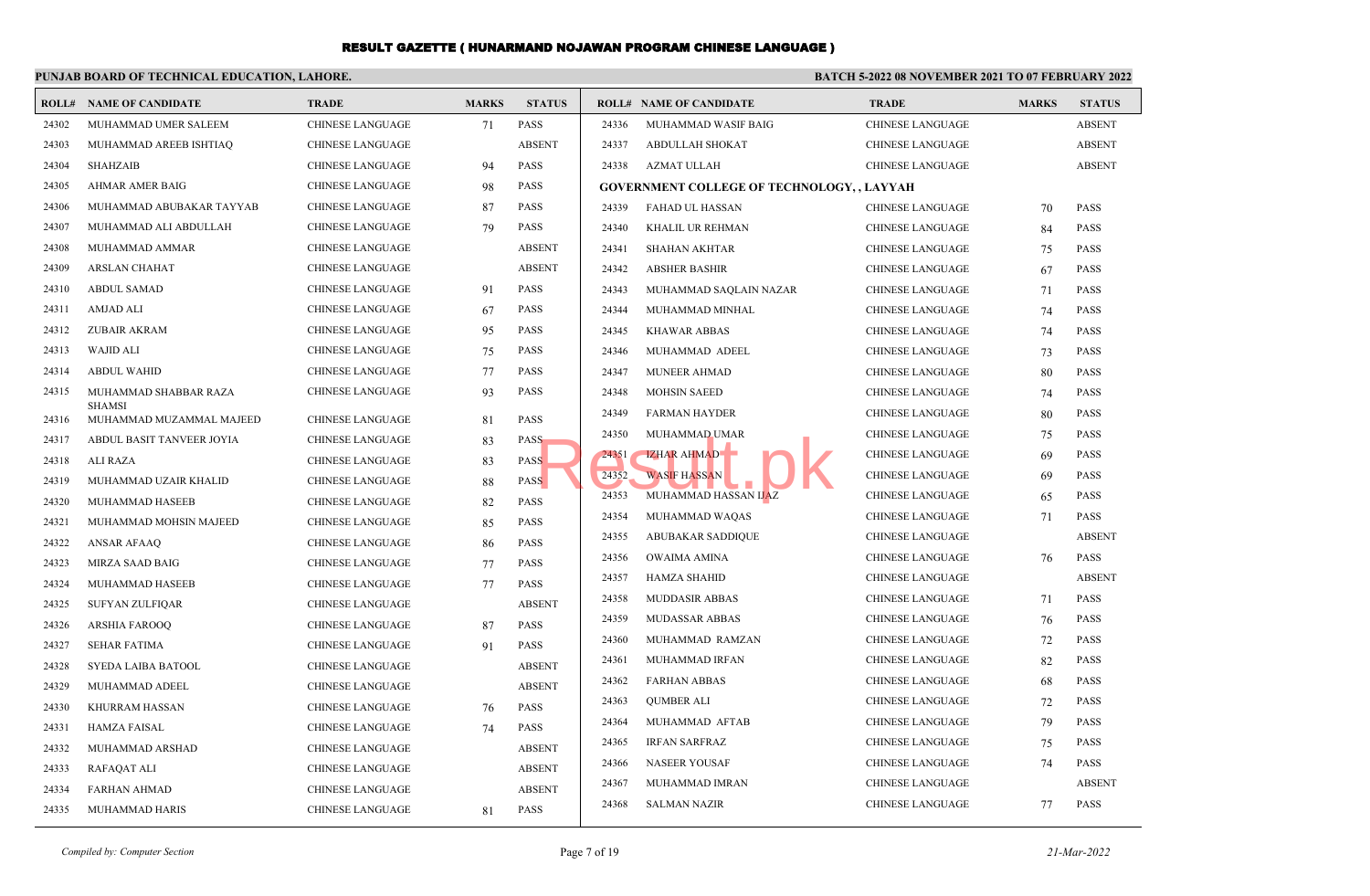#### **PUNJAB BOARD OF TECHNICAL EDUCATION, LAHORE. BATCH 5-2022 08 NOVEMBER 2021 TO 07 FEBRUARY 2022 ROLL# NAME OF CANDIDATE TRADE MARKS STATUS ROLL# NAME OF CANDIDATE TRADE MARKS STATUS** 24302 MUHAMMAD UMER SALEEM CHINESE LANGUAGE 71 PASS 24303 MUHAMMAD AREEB ISHTIAQ CHINESE LANGUAGE ABSENT 24304 SHAHZAIB CHINESE LANGUAGE 94 PASS 24305 AHMAR AMER BAIG CHINESE LANGUAGE 98 PASS 24306 MUHAMMAD ABUBAKAR TAYYAB CHINESE LANGUAGE 87 PASS 24307 MUHAMMAD ALI ABDULLAH CHINESE LANGUAGE 79 PASS 24308 MUHAMMAD AMMAR CHINESE LANGUAGE ABSENT 24309 ARSLAN CHAHAT CHINESE LANGUAGE ABSENT 24310 ABDUL SAMAD CHINESE LANGUAGE 91 PASS 24311 AMJAD ALI CHINESE LANGUAGE 67 PASS 24312 ZUBAIR AKRAM CHINESE LANGUAGE 95 PASS 24313 WAJID ALI CHINESE LANGUAGE 75 PASS 24314 ABDUL WAHID CHINESE LANGUAGE 77 PASS MUHAMMAD SHABBAR RAZA CHINESE LANGUAGE 93 PASS **SHAMSI**  24315 24316 MUHAMMAD MUZAMMAL MAJEED CHINESE LANGUAGE 81 PASS 24317 ABDUL BASIT TANVEER JOYIA CHINESE LANGUAGE 83 PASS 24318 ALI RAZA CHINESE LANGUAGE 83 PASS 24319 MUHAMMAD UZAIR KHALID CHINESE LANGUAGE 88 PASS 24320 MUHAMMAD HASEEB CHINESE LANGUAGE 82 PASS 24321 MUHAMMAD MOHSIN MAJEED CHINESE LANGUAGE 85 PASS 24322 ANSAR AFAAQ CHINESE LANGUAGE 86 PASS 24323 MIRZA SAAD BAIG CHINESE LANGUAGE 77 PASS 24324 MUHAMMAD HASEEB CHINESE LANGUAGE 77 PASS 24325 SUFYAN ZULFIQAR CHINESE LANGUAGE ABSENT 24326 ARSHIA FAROOQ CHINESE LANGUAGE 87 PASS 24327 SEHAR FATIMA CHINESE LANGUAGE 91 PASS 24328 SYEDA LAIBA BATOOL CHINESE LANGUAGE ABSENT 24329 MUHAMMAD ADEEL CHINESE LANGUAGE ABSENT 24330 KHURRAM HASSAN CHINESE LANGUAGE 76 PASS 24331 HAMZA FAISAL CHINESE LANGUAGE 74 PASS 24332 MUHAMMAD ARSHAD CHINESE LANGUAGE ABSENT 24333 RAFAQAT ALI CHINESE LANGUAGE ABSENT 24334 FARHAN AHMAD CHINESE LANGUAGE ABSENT 24336 MUHAMMAD WASIF BAIG CHINESE LANGUAGE ABSENT 24337 ABDULLAH SHOKAT CHINESE LANGUAGE ABSENT 24338 AZMAT ULLAH CHINESE LANGUAGE ABSENT **GOVERNMENT COLLEGE OF TECHNOLOGY, , LAYYAH** 24339 FAHAD UL HASSAN CHINESE LANGUAGE 70 PASS 24340 KHALIL UR REHMAN CHINESE LANGUAGE 84 PASS 24341 SHAHAN AKHTAR CHINESE LANGUAGE 75 PASS 24342 ABSHER BASHIR CHINESE LANGUAGE 67 PASS 24343 MUHAMMAD SAQLAIN NAZAR CHINESE LANGUAGE 71 PASS 24344 MUHAMMAD MINHAL CHINESE LANGUAGE 74 PASS 24345 KHAWAR ABBAS CHINESE LANGUAGE 74 PASS 24346 MUHAMMAD ADEEL CHINESE LANGUAGE 73 PASS 24347 MUNEER AHMAD CHINESE LANGUAGE 80 PASS 24348 MOHSIN SAEED CHINESE LANGUAGE 74 PASS 24349 FARMAN HAYDER CHINESE LANGUAGE 80 PASS 24350 MUHAMMAD UMAR **CHINESE LANGUAGE** 75 PASS 24351 IZHAR AHMAD CHINESE LANGUAGE 69 PASS 24352 WASIF HASSAN CHINESE LANGUAGE 69 PASS 24353 MUHAMMAD HASSAN IJAZ CHINESE LANGUAGE 65 PASS 24354 MUHAMMAD WAQAS CHINESE LANGUAGE 71 PASS 24355 ABUBAKAR SADDIQUE CHINESE LANGUAGE ABSENT 24356 OWAIMA AMINA CHINESE LANGUAGE 76 PASS 24357 HAMZA SHAHID CHINESE LANGUAGE ABSENT 24358 MUDDASIR ABBAS CHINESE LANGUAGE 71 PASS 24359 MUDASSAR ABBAS CHINESE LANGUAGE 76 PASS 24360 MUHAMMAD RAMZAN CHINESE LANGUAGE 72 PASS 24361 MUHAMMAD IRFAN CHINESE LANGUAGE 82 PASS 24362 FARHAN ABBAS CHINESE LANGUAGE 68 PASS 24363 QUMBER ALI CHINESE LANGUAGE 72 PASS 24364 MUHAMMAD AFTAB CHINESE LANGUAGE 79 PASS 24365 IRFAN SARFRAZ CHINESE LANGUAGE 75 PASS 24366 NASEER YOUSAF CHINESE LANGUAGE 74 PASS 24367 MUHAMMAD IMRAN CHINESE LANGUAGE ABSENT S<br>
S<br>
Result Mark AHMAD<br>
MASIF HASSAN<br>
MUHAMMAD HASSAN<br>
MUHAMMAD HASSAN<br>
LAZ<br>
MUHAMMAD HASSAN<br>
LAZ

*Compiled by: Computer Section* Page 7 of 19 *21-Mar-2022*

24335 MUHAMMAD HARIS CHINESE LANGUAGE 81 PASS

24368 SALMAN NAZIR CHINESE LANGUAGE 77 PASS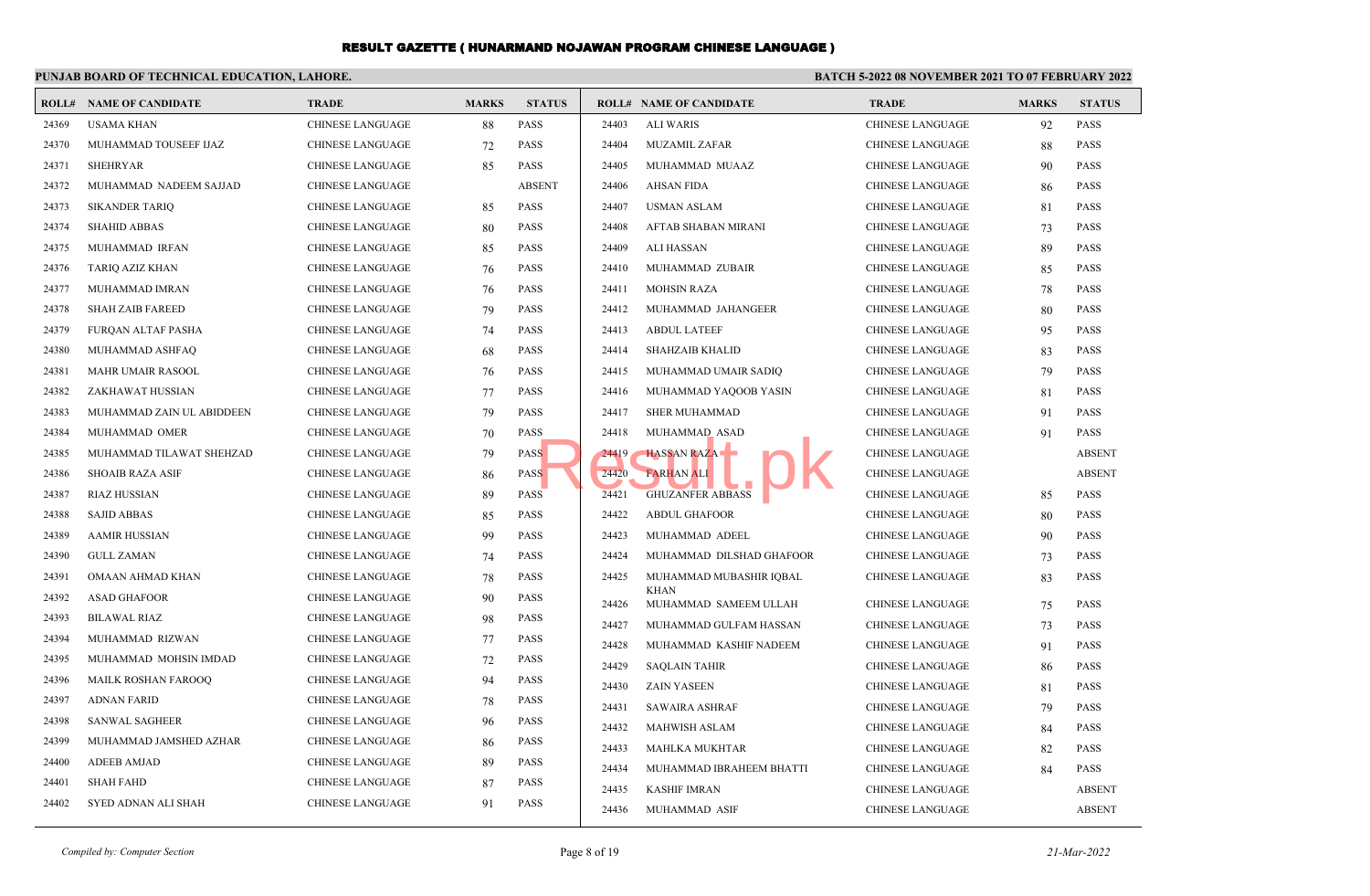#### **PUNJAB BOARD OF TECHNICAL EDUCATION, LAHORE. BATCH 5-2022 08 NOVEMBER 2021 TO 07 FEBRUARY 2022 ROLL# NAME OF CANDIDATE TRADE MARKS STATUS ROLL# NAME OF CANDIDATE TRADE MARKS STATUS** 24369 USAMA KHAN CHINESE LANGUAGE 88 PASS 24370 MUHAMMAD TOUSEEF IJAZ CHINESE LANGUAGE 72 PASS 24371 SHEHRYAR CHINESE LANGUAGE 85 PASS 24372 MUHAMMAD NADEEM SAJJAD CHINESE LANGUAGE ABSENT 24373 SIKANDER TARIQ CHINESE LANGUAGE 85 PASS 24374 SHAHID ABBAS CHINESE LANGUAGE 80 PASS 24375 MUHAMMAD IRFAN CHINESE LANGUAGE 85 PASS 24376 TARIQ AZIZ KHAN CHINESE LANGUAGE 76 PASS 24377 MUHAMMAD IMRAN CHINESE LANGUAGE 76 PASS 24378 SHAH ZAIB FAREED CHINESE LANGUAGE 79 PASS 24379 FURQAN ALTAF PASHA CHINESE LANGUAGE 74 PASS 24380 MUHAMMAD ASHFAQ CHINESE LANGUAGE 68 PASS 24381 MAHR UMAIR RASOOL CHINESE LANGUAGE 76 PASS 24382 ZAKHAWAT HUSSIAN CHINESE LANGUAGE 77 PASS 24383 MUHAMMAD ZAIN UL ABIDDEEN CHINESE LANGUAGE 79 PASS 24384 MUHAMMAD OMER CHINESE LANGUAGE 70 PASS 24385 MUHAMMAD TILAWAT SHEHZAD CHINESE LANGUAGE 79 PASS 24386 SHOAIB RAZA ASIF CHINESE LANGUAGE 86 PASS 24387 RIAZ HUSSIAN CHINESE LANGUAGE 89 PASS 24388 SAJID ABBAS CHINESE LANGUAGE 85 PASS 24389 AAMIR HUSSIAN CHINESE LANGUAGE 99 PASS 24390 GULL ZAMAN CHINESE LANGUAGE 74 PASS 24391 OMAAN AHMAD KHAN CHINESE LANGUAGE 78 PASS 24392 ASAD GHAFOOR CHINESE LANGUAGE 90 PASS 24393 BILAWAL RIAZ CHINESE LANGUAGE 98 PASS 24394 MUHAMMAD RIZWAN CHINESE LANGUAGE 77 PASS 24395 MUHAMMAD MOHSIN IMDAD CHINESE LANGUAGE 72 PASS 24396 MAILK ROSHAN FAROOQ CHINESE LANGUAGE 94 PASS 24397 ADNAN FARID CHINESE LANGUAGE 78 PASS 24398 SANWAL SAGHEER CHINESE LANGUAGE 96 PASS 24399 MUHAMMAD JAMSHED AZHAR CHINESE LANGUAGE 86 PASS 24400 ADEEB AMJAD CHINESE LANGUAGE 89 PASS 24401 SHAH FAHD CHINESE LANGUAGE 87 PASS 24402 SYED ADNAN ALI SHAH CHINESE LANGUAGE 91 PASS 24403 ALI WARIS CHINESE LANGUAGE 92 PASS 24404 MUZAMIL ZAFAR CHINESE LANGUAGE 88 PASS 24405 MUHAMMAD MUAAZ CHINESE LANGUAGE 90 PASS 24406 AHSAN FIDA CHINESE LANGUAGE 86 PASS 24407 USMAN ASLAM CHINESE LANGUAGE 81 PASS 24408 AFTAB SHABAN MIRANI CHINESE LANGUAGE 73 PASS 24409 ALI HASSAN CHINESE LANGUAGE 89 PASS 24410 MUHAMMAD ZUBAIR CHINESE LANGUAGE 85 PASS 24411 MOHSIN RAZA CHINESE LANGUAGE 78 PASS 24412 MUHAMMAD JAHANGEER CHINESE LANGUAGE 80 PASS 24413 ABDUL LATEEF CHINESE LANGUAGE 95 PASS 24414 SHAHZAIB KHALID CHINESE LANGUAGE 83 PASS 24415 MUHAMMAD UMAIR SADIQ CHINESE LANGUAGE 79 PASS 24416 MUHAMMAD YAQOOB YASIN CHINESE LANGUAGE 81 PASS 24417 SHER MUHAMMAD CHINESE LANGUAGE 91 PASS 24418 MUHAMMAD ASAD CHINESE LANGUAGE 91 PASS 24419 HASSAN RAZA CHINESE LANGUAGE ABSENT 24420 FARHAN ALI CHINESE LANGUAGE ABSENT 24421 GHUZANFER ABBASS CHINESE LANGUAGE 85 PASS 24422 ABDUL GHAFOOR CHINESE LANGUAGE 80 PASS 24423 MUHAMMAD ADEEL CHINESE LANGUAGE 90 PASS 24424 MUHAMMAD DILSHAD GHAFOOR CHINESE LANGUAGE 73 PASS MUHAMMAD MUBASHIR IQBAL CHINESE LANGUAGE 83 PASS KHAN 24425 24426 MUHAMMAD SAMEEM ULLAH CHINESE LANGUAGE 75 PASS 24427 MUHAMMAD GULFAM HASSAN CHINESE LANGUAGE 73 PASS 24428 MUHAMMAD KASHIF NADEEM CHINESE LANGUAGE 91 PASS 24429 SAQLAIN TAHIR CHINESE LANGUAGE 86 PASS 24430 ZAIN YASEEN CHINESE LANGUAGE 81 PASS 24431 SAWAIRA ASHRAF CHINESE LANGUAGE 79 PASS 24432 MAHWISH ASLAM CHINESE LANGUAGE 84 PASS 24433 MAHLKA MUKHTAR CHINESE LANGUAGE 82 PASS 24434 MUHAMMAD IBRAHEEM BHATTI CHINESE LANGUAGE 84 PASS 24435 KASHIF IMRAN CHINESE LANGUAGE ABSENT 24436 MUHAMMAD ASIF CHINESE LANGUAGE ABSENT Result.pk

*Compiled by: Computer Section* Page 8 of 19 *21-Mar-2022*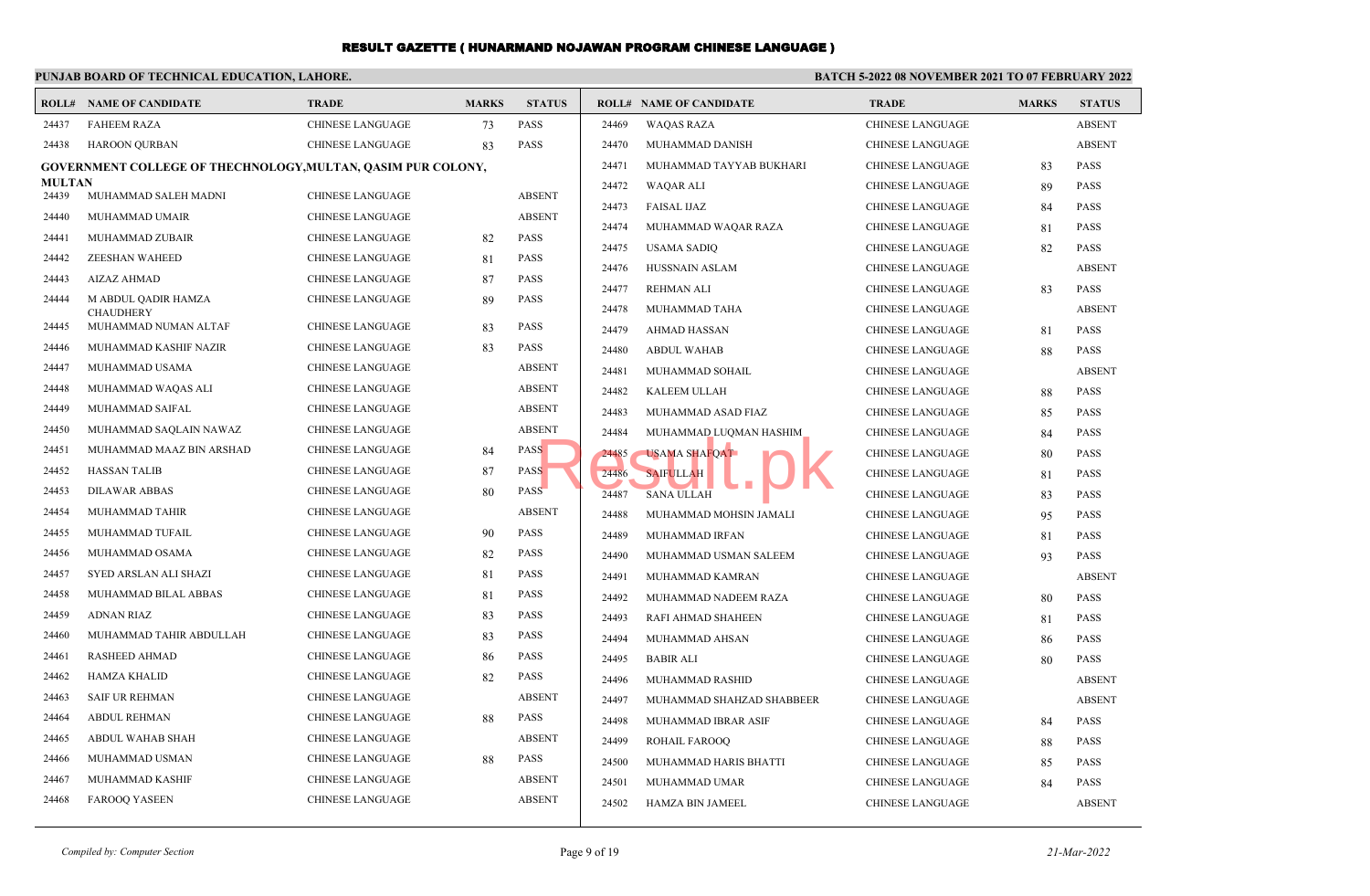## **PUNJAB BOARD OF TECHNICAL EDUCATION, LAHORE.**

## **BATCH 5-2022 08 NOVEMBER 2021 TO 07 FEBRUARY 2022**

| ROLL#                  | <b>NAME OF CANDIDATE</b>                                     | <b>TRADE</b>            | <b>MARKS</b> | <b>STATUS</b> |       | <b>ROLL# NAME OF CANDIDATE</b>     | <b>TRADE</b>            | <b>MARKS</b> | <b>STATUS</b> |
|------------------------|--------------------------------------------------------------|-------------------------|--------------|---------------|-------|------------------------------------|-------------------------|--------------|---------------|
| 24437                  | <b>FAHEEM RAZA</b>                                           | <b>CHINESE LANGUAGE</b> | 73           | <b>PASS</b>   | 24469 | <b>WAQAS RAZA</b>                  | <b>CHINESE LANGUAGE</b> |              | <b>ABSENT</b> |
| 24438                  | <b>HAROON OURBAN</b>                                         | <b>CHINESE LANGUAGE</b> | 83           | <b>PASS</b>   | 24470 | MUHAMMAD DANISH                    | <b>CHINESE LANGUAGE</b> |              | <b>ABSENT</b> |
|                        | GOVERNMENT COLLEGE OF THECHNOLOGY, MULTAN, QASIM PUR COLONY, |                         |              |               | 24471 | MUHAMMAD TAYYAB BUKHARI            | <b>CHINESE LANGUAGE</b> | 83           | <b>PASS</b>   |
| <b>MULTAN</b><br>24439 | MUHAMMAD SALEH MADNI                                         | <b>CHINESE LANGUAGE</b> |              | <b>ABSENT</b> | 24472 | WAQAR ALI                          | <b>CHINESE LANGUAGE</b> | 89           | <b>PASS</b>   |
| 24440                  |                                                              |                         |              | <b>ABSENT</b> | 24473 | <b>FAISAL IJAZ</b>                 | <b>CHINESE LANGUAGE</b> | 84           | PASS          |
|                        | MUHAMMAD UMAIR                                               | <b>CHINESE LANGUAGE</b> |              | <b>PASS</b>   | 24474 | MUHAMMAD WAQAR RAZA                | CHINESE LANGUAGE        | 81           | <b>PASS</b>   |
| 24441                  | MUHAMMAD ZUBAIR                                              | <b>CHINESE LANGUAGE</b> | 82           |               | 24475 | <b>USAMA SADIQ</b>                 | <b>CHINESE LANGUAGE</b> | 82           | <b>PASS</b>   |
| 24442                  | <b>ZEESHAN WAHEED</b>                                        | <b>CHINESE LANGUAGE</b> | 81           | <b>PASS</b>   | 24476 | <b>HUSSNAIN ASLAM</b>              | <b>CHINESE LANGUAGE</b> |              | <b>ABSENT</b> |
| 24443                  | <b>AIZAZ AHMAD</b>                                           | <b>CHINESE LANGUAGE</b> | 87           | <b>PASS</b>   | 24477 | <b>REHMAN ALI</b>                  | CHINESE LANGUAGE        | 83           | <b>PASS</b>   |
| 24444                  | M ABDUL QADIR HAMZA<br><b>CHAUDHERY</b>                      | <b>CHINESE LANGUAGE</b> | 89           | <b>PASS</b>   | 24478 | MUHAMMAD TAHA                      | <b>CHINESE LANGUAGE</b> |              | <b>ABSENT</b> |
| 24445                  | MUHAMMAD NUMAN ALTAF                                         | <b>CHINESE LANGUAGE</b> | 83           | <b>PASS</b>   | 24479 | <b>AHMAD HASSAN</b>                | <b>CHINESE LANGUAGE</b> | 81           | <b>PASS</b>   |
| 24446                  | MUHAMMAD KASHIF NAZIR                                        | <b>CHINESE LANGUAGE</b> | 83           | <b>PASS</b>   | 24480 | <b>ABDUL WAHAB</b>                 | <b>CHINESE LANGUAGE</b> | 88           | <b>PASS</b>   |
| 24447                  | MUHAMMAD USAMA                                               | <b>CHINESE LANGUAGE</b> |              | <b>ABSENT</b> | 24481 | MUHAMMAD SOHAIL                    | <b>CHINESE LANGUAGE</b> |              | <b>ABSENT</b> |
| 24448                  | MUHAMMAD WAQAS ALI                                           | <b>CHINESE LANGUAGE</b> |              | <b>ABSENT</b> | 24482 | <b>KALEEM ULLAH</b>                | <b>CHINESE LANGUAGE</b> | 88           | <b>PASS</b>   |
| 24449                  | <b>MUHAMMAD SAIFAL</b>                                       | <b>CHINESE LANGUAGE</b> |              | <b>ABSENT</b> | 24483 | MUHAMMAD ASAD FIAZ                 | <b>CHINESE LANGUAGE</b> | 85           | <b>PASS</b>   |
| 24450                  | MUHAMMAD SAQLAIN NAWAZ                                       | <b>CHINESE LANGUAGE</b> |              | <b>ABSENT</b> | 24484 | MUHAMMAD LUQMAN HASHIM             | CHINESE LANGUAGE        | 84           | <b>PASS</b>   |
| 24451                  | MUHAMMAD MAAZ BIN ARSHAD                                     | <b>CHINESE LANGUAGE</b> | 84           | <b>PASS</b>   | 24485 | <b>USAMA SHAFQAT</b>               | <b>CHINESE LANGUAGE</b> | 80           | <b>PASS</b>   |
| 24452                  | <b>HASSAN TALIB</b>                                          | <b>CHINESE LANGUAGE</b> | 87           | <b>PASS</b>   | 24486 | <b>SAIFULLAH</b>                   | CHINESE LANGUAGE        | 81           | <b>PASS</b>   |
| 24453                  | <b>DILAWAR ABBAS</b>                                         | <b>CHINESE LANGUAGE</b> | 80           | <b>PASS</b>   | 24487 | <b>Talent</b><br><b>SANA ULLAH</b> | CHINESE LANGUAGE        | 83           | <b>PASS</b>   |
| 24454                  | MUHAMMAD TAHIR                                               | <b>CHINESE LANGUAGE</b> |              | <b>ABSENT</b> | 24488 | MUHAMMAD MOHSIN JAMALI             | <b>CHINESE LANGUAGE</b> | 95           | <b>PASS</b>   |
| 24455                  | MUHAMMAD TUFAIL                                              | <b>CHINESE LANGUAGE</b> | 90           | <b>PASS</b>   | 24489 | MUHAMMAD IRFAN                     | <b>CHINESE LANGUAGE</b> | 81           | <b>PASS</b>   |
| 24456                  | MUHAMMAD OSAMA                                               | <b>CHINESE LANGUAGE</b> | 82           | <b>PASS</b>   | 24490 | MUHAMMAD USMAN SALEEM              | <b>CHINESE LANGUAGE</b> | 93           | <b>PASS</b>   |
| 24457                  | SYED ARSLAN ALI SHAZI                                        | <b>CHINESE LANGUAGE</b> | 81           | <b>PASS</b>   | 24491 | MUHAMMAD KAMRAN                    | <b>CHINESE LANGUAGE</b> |              | <b>ABSENT</b> |
| 24458                  | MUHAMMAD BILAL ABBAS                                         | <b>CHINESE LANGUAGE</b> | 81           | <b>PASS</b>   | 24492 | MUHAMMAD NADEEM RAZA               | CHINESE LANGUAGE        | 80           | <b>PASS</b>   |
| 24459                  | ADNAN RIAZ                                                   | <b>CHINESE LANGUAGE</b> | 83           | <b>PASS</b>   | 24493 | RAFI AHMAD SHAHEEN                 | CHINESE LANGUAGE        | 81           | <b>PASS</b>   |
| 24460                  | MUHAMMAD TAHIR ABDULLAH                                      | <b>CHINESE LANGUAGE</b> | 83           | <b>PASS</b>   | 24494 | MUHAMMAD AHSAN                     | CHINESE LANGUAGE        | 86           | <b>PASS</b>   |
| 24461                  | <b>RASHEED AHMAD</b>                                         | <b>CHINESE LANGUAGE</b> | 86           | <b>PASS</b>   | 24495 | <b>BABIR ALI</b>                   | CHINESE LANGUAGE        | 80           | PASS          |
| 24462                  | <b>HAMZA KHALID</b>                                          | <b>CHINESE LANGUAGE</b> | 82           | <b>PASS</b>   | 24496 | MUHAMMAD RASHID                    | <b>CHINESE LANGUAGE</b> |              | <b>ABSENT</b> |
| 24463                  | <b>SAIF UR REHMAN</b>                                        | <b>CHINESE LANGUAGE</b> |              | <b>ABSENT</b> | 24497 | MUHAMMAD SHAHZAD SHABBEER          | <b>CHINESE LANGUAGE</b> |              | <b>ABSENT</b> |
| 24464                  | <b>ABDUL REHMAN</b>                                          | <b>CHINESE LANGUAGE</b> | 88           | PASS          | 24498 | MUHAMMAD IBRAR ASIF                | <b>CHINESE LANGUAGE</b> | 84           | <b>PASS</b>   |
| 24465                  | ABDUL WAHAB SHAH                                             | CHINESE LANGUAGE        |              | <b>ABSENT</b> | 24499 | <b>ROHAIL FAROOO</b>               | <b>CHINESE LANGUAGE</b> | 88           | <b>PASS</b>   |
| 24466                  | MUHAMMAD USMAN                                               | <b>CHINESE LANGUAGE</b> | 88           | <b>PASS</b>   | 24500 | MUHAMMAD HARIS BHATTI              | <b>CHINESE LANGUAGE</b> | 85           | <b>PASS</b>   |
| 24467                  | MUHAMMAD KASHIF                                              | <b>CHINESE LANGUAGE</b> |              | <b>ABSENT</b> | 24501 | MUHAMMAD UMAR                      | <b>CHINESE LANGUAGE</b> | 84           | <b>PASS</b>   |
| 24468                  | <b>FAROOQ YASEEN</b>                                         | <b>CHINESE LANGUAGE</b> |              | <b>ABSENT</b> | 24502 | <b>HAMZA BIN JAMEEL</b>            | <b>CHINESE LANGUAGE</b> |              | <b>ABSENT</b> |
|                        |                                                              |                         |              |               |       |                                    |                         |              |               |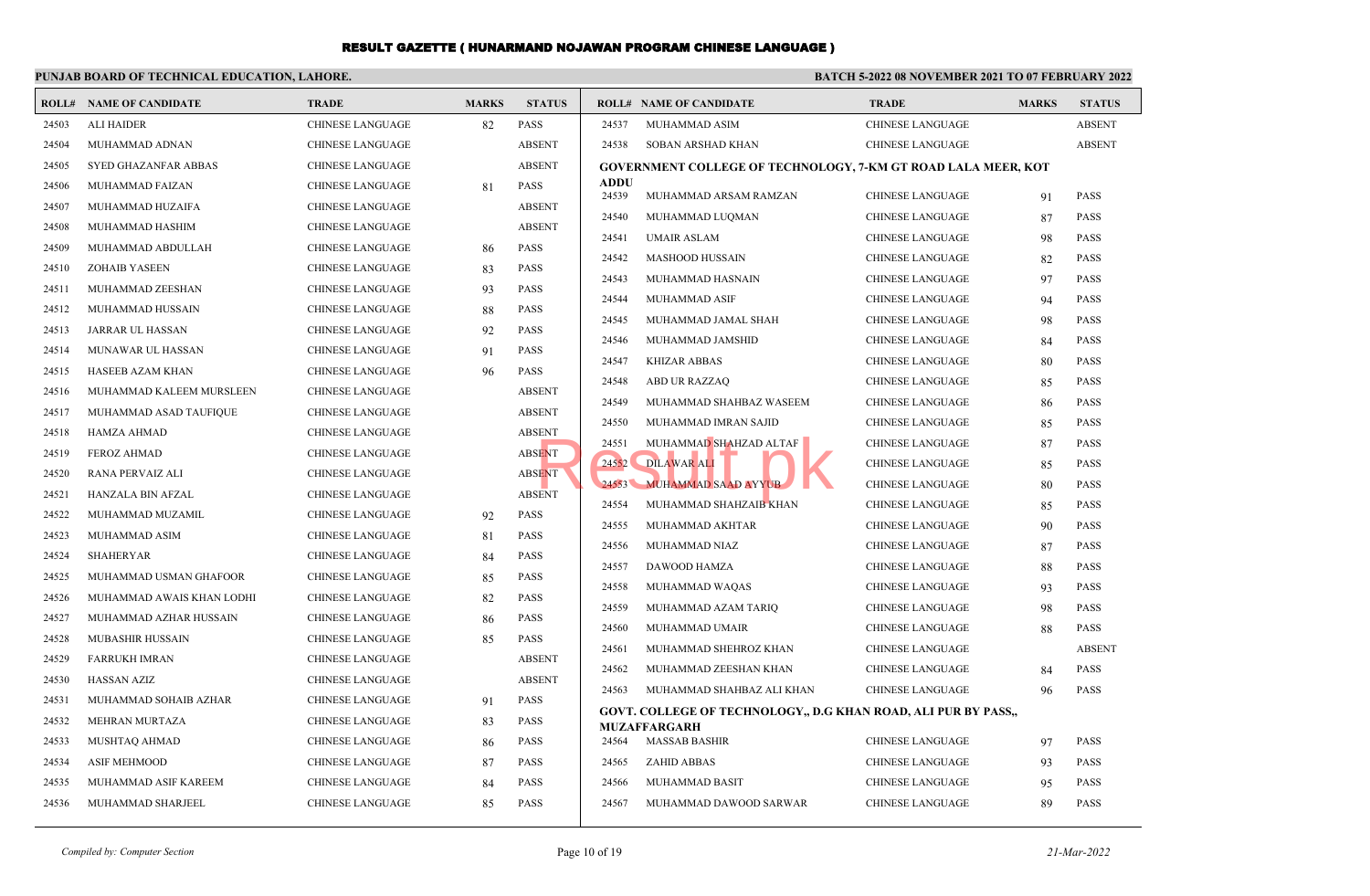#### **PUNJAB BOARD OF TECHNICAL EDUCATION, LAHORE.**

## **BATCH 5-2022 08 NOVEMBER 2021 TO 07 FEBRUARY 2022**

|       | <b>ROLL# NAME OF CANDIDATE</b> | <b>TRADE</b>            | <b>MARKS</b> | <b>STATUS</b> |                      | <b>ROLL# NAME OF CANDIDATE</b>                                 | <b>TRADE</b>            | <b>MARKS</b> | <b>STATUS</b> |
|-------|--------------------------------|-------------------------|--------------|---------------|----------------------|----------------------------------------------------------------|-------------------------|--------------|---------------|
| 24503 | <b>ALI HAIDER</b>              | <b>CHINESE LANGUAGE</b> | 82           | <b>PASS</b>   | 24537                | MUHAMMAD ASIM                                                  | <b>CHINESE LANGUAGE</b> |              | <b>ABSENT</b> |
| 24504 | MUHAMMAD ADNAN                 | <b>CHINESE LANGUAGE</b> |              | <b>ABSENT</b> | 24538                | SOBAN ARSHAD KHAN                                              | CHINESE LANGUAGE        |              | <b>ABSENT</b> |
| 24505 | SYED GHAZANFAR ABBAS           | <b>CHINESE LANGUAGE</b> |              | <b>ABSENT</b> |                      | GOVERNMENT COLLEGE OF TECHNOLOGY, 7-KM GT ROAD LALA MEER, KOT  |                         |              |               |
| 24506 | MUHAMMAD FAIZAN                | <b>CHINESE LANGUAGE</b> | 81           | <b>PASS</b>   | <b>ADDU</b><br>24539 | MUHAMMAD ARSAM RAMZAN                                          | <b>CHINESE LANGUAGE</b> | 91           | <b>PASS</b>   |
| 24507 | MUHAMMAD HUZAIFA               | <b>CHINESE LANGUAGE</b> |              | <b>ABSENT</b> |                      |                                                                |                         |              |               |
| 24508 | MUHAMMAD HASHIM                | <b>CHINESE LANGUAGE</b> |              | <b>ABSENT</b> | 24540                | MUHAMMAD LUQMAN                                                | <b>CHINESE LANGUAGE</b> | 87           | <b>PASS</b>   |
| 24509 | MUHAMMAD ABDULLAH              | <b>CHINESE LANGUAGE</b> | 86           | <b>PASS</b>   | 24541                | <b>UMAIR ASLAM</b>                                             | CHINESE LANGUAGE        | 98           | <b>PASS</b>   |
| 24510 | <b>ZOHAIB YASEEN</b>           | <b>CHINESE LANGUAGE</b> | 83           | <b>PASS</b>   | 24542                | <b>MASHOOD HUSSAIN</b>                                         | <b>CHINESE LANGUAGE</b> | 82           | <b>PASS</b>   |
| 24511 | MUHAMMAD ZEESHAN               | CHINESE LANGUAGE        | 93           | <b>PASS</b>   | 24543                | MUHAMMAD HASNAIN                                               | CHINESE LANGUAGE        | 97           | <b>PASS</b>   |
| 24512 | MUHAMMAD HUSSAIN               | CHINESE LANGUAGE        | 88           | <b>PASS</b>   | 24544                | MUHAMMAD ASIF                                                  | <b>CHINESE LANGUAGE</b> | 94           | <b>PASS</b>   |
| 24513 | <b>JARRAR UL HASSAN</b>        | <b>CHINESE LANGUAGE</b> | 92           | <b>PASS</b>   | 24545                | MUHAMMAD JAMAL SHAH                                            | CHINESE LANGUAGE        | 98           | <b>PASS</b>   |
| 24514 | <b>MUNAWAR UL HASSAN</b>       | <b>CHINESE LANGUAGE</b> | 91           | <b>PASS</b>   | 24546                | MUHAMMAD JAMSHID                                               | <b>CHINESE LANGUAGE</b> | 84           | <b>PASS</b>   |
| 24515 | HASEEB AZAM KHAN               | <b>CHINESE LANGUAGE</b> | 96           | <b>PASS</b>   | 24547                | <b>KHIZAR ABBAS</b>                                            | <b>CHINESE LANGUAGE</b> | 80           | <b>PASS</b>   |
| 24516 | MUHAMMAD KALEEM MURSLEEN       | <b>CHINESE LANGUAGE</b> |              | <b>ABSENT</b> | 24548                | <b>ABD UR RAZZAQ</b>                                           | <b>CHINESE LANGUAGE</b> | 85           | <b>PASS</b>   |
| 24517 | MUHAMMAD ASAD TAUFIQUE         | <b>CHINESE LANGUAGE</b> |              | <b>ABSENT</b> | 24549                | MUHAMMAD SHAHBAZ WASEEM                                        | <b>CHINESE LANGUAGE</b> | 86           | <b>PASS</b>   |
| 24518 | HAMZA AHMAD                    | <b>CHINESE LANGUAGE</b> |              | <b>ABSENT</b> | 24550                | MUHAMMAD IMRAN SAJID                                           | <b>CHINESE LANGUAGE</b> | 85           | <b>PASS</b>   |
| 24519 | <b>FEROZ AHMAD</b>             | <b>CHINESE LANGUAGE</b> |              | <b>ABSENT</b> | 24551                | MUHAMMAD SHAHZAD ALTAF                                         | <b>CHINESE LANGUAGE</b> | 87           | <b>PASS</b>   |
| 24520 | RANA PERVAIZ ALI               | <b>CHINESE LANGUAGE</b> |              | <b>ABSENT</b> | 24552                | <b>DILAWAR ALI</b>                                             | CHINESE LANGUAGE        | 85           | <b>PASS</b>   |
| 24521 | HANZALA BIN AFZAL              | <b>CHINESE LANGUAGE</b> |              | <b>ABSENT</b> |                      | 24553 MUHAMMAD SAAD AYYUB                                      | <b>CHINESE LANGUAGE</b> | 80           | <b>PASS</b>   |
| 24522 | MUHAMMAD MUZAMIL               | <b>CHINESE LANGUAGE</b> | 92           | PASS          | 24554                | MUHAMMAD SHAHZAIB KHAN                                         | <b>CHINESE LANGUAGE</b> | 85           | <b>PASS</b>   |
| 24523 | MUHAMMAD ASIM                  | <b>CHINESE LANGUAGE</b> | 81           | <b>PASS</b>   | 24555                | MUHAMMAD AKHTAR                                                | CHINESE LANGUAGE        | 90           | <b>PASS</b>   |
| 24524 | SHAHERYAR                      | <b>CHINESE LANGUAGE</b> | 84           | <b>PASS</b>   | 24556                | MUHAMMAD NIAZ                                                  | CHINESE LANGUAGE        | 87           | <b>PASS</b>   |
| 24525 | MUHAMMAD USMAN GHAFOOR         | <b>CHINESE LANGUAGE</b> | 85           | <b>PASS</b>   | 24557                | DAWOOD HAMZA                                                   | <b>CHINESE LANGUAGE</b> | 88           | <b>PASS</b>   |
| 24526 | MUHAMMAD AWAIS KHAN LODHI      | <b>CHINESE LANGUAGE</b> | 82           | <b>PASS</b>   | 24558                | MUHAMMAD WAQAS                                                 | <b>CHINESE LANGUAGE</b> | 93           | <b>PASS</b>   |
| 24527 | MUHAMMAD AZHAR HUSSAIN         | CHINESE LANGUAGE        | 86           | <b>PASS</b>   | 24559                | MUHAMMAD AZAM TARIQ                                            | CHINESE LANGUAGE        | 98           | <b>PASS</b>   |
| 24528 | <b>MUBASHIR HUSSAIN</b>        | <b>CHINESE LANGUAGE</b> | 85           | <b>PASS</b>   | 24560                | MUHAMMAD UMAIR                                                 | CHINESE LANGUAGE        | 88           | <b>PASS</b>   |
| 24529 | <b>FARRUKH IMRAN</b>           | <b>CHINESE LANGUAGE</b> |              | <b>ABSENT</b> | 24561                | MUHAMMAD SHEHROZ KHAN                                          | <b>CHINESE LANGUAGE</b> |              | <b>ABSENT</b> |
| 24530 | <b>HASSAN AZIZ</b>             | <b>CHINESE LANGUAGE</b> |              | <b>ABSENT</b> | 24562                | MUHAMMAD ZEESHAN KHAN                                          | CHINESE LANGUAGE        | 84           | <b>PASS</b>   |
| 24531 | MUHAMMAD SOHAIB AZHAR          | CHINESE LANGUAGE        | 91           | <b>PASS</b>   | 24563                | MUHAMMAD SHAHBAZ ALI KHAN                                      | <b>CHINESE LANGUAGE</b> | 96           | <b>PASS</b>   |
| 24532 | MEHRAN MURTAZA                 | <b>CHINESE LANGUAGE</b> | 83           | PASS          |                      | GOVT. COLLEGE OF TECHNOLOGY., D.G KHAN ROAD, ALI PUR BY PASS., |                         |              |               |
| 24533 | MUSHTAQ AHMAD                  | <b>CHINESE LANGUAGE</b> | 86           | <b>PASS</b>   | 24564                | <b>MUZAFFARGARH</b><br><b>MASSAB BASHIR</b>                    | <b>CHINESE LANGUAGE</b> | 97           | <b>PASS</b>   |
| 24534 | <b>ASIF MEHMOOD</b>            | <b>CHINESE LANGUAGE</b> | 87           | PASS          | 24565                | <b>ZAHID ABBAS</b>                                             | <b>CHINESE LANGUAGE</b> | 93           | <b>PASS</b>   |
| 24535 | MUHAMMAD ASIF KAREEM           | <b>CHINESE LANGUAGE</b> | 84           | <b>PASS</b>   | 24566                | <b>MUHAMMAD BASIT</b>                                          | <b>CHINESE LANGUAGE</b> | 95           | <b>PASS</b>   |
| 24536 | MUHAMMAD SHARJEEL              | <b>CHINESE LANGUAGE</b> | 85           | <b>PASS</b>   | 24567                | MUHAMMAD DAWOOD SARWAR                                         | <b>CHINESE LANGUAGE</b> | 89           | <b>PASS</b>   |
|       |                                |                         |              |               |                      |                                                                |                         |              |               |

*Compiled by: Computer Section* Page 10 of 19 *21-Mar-2022*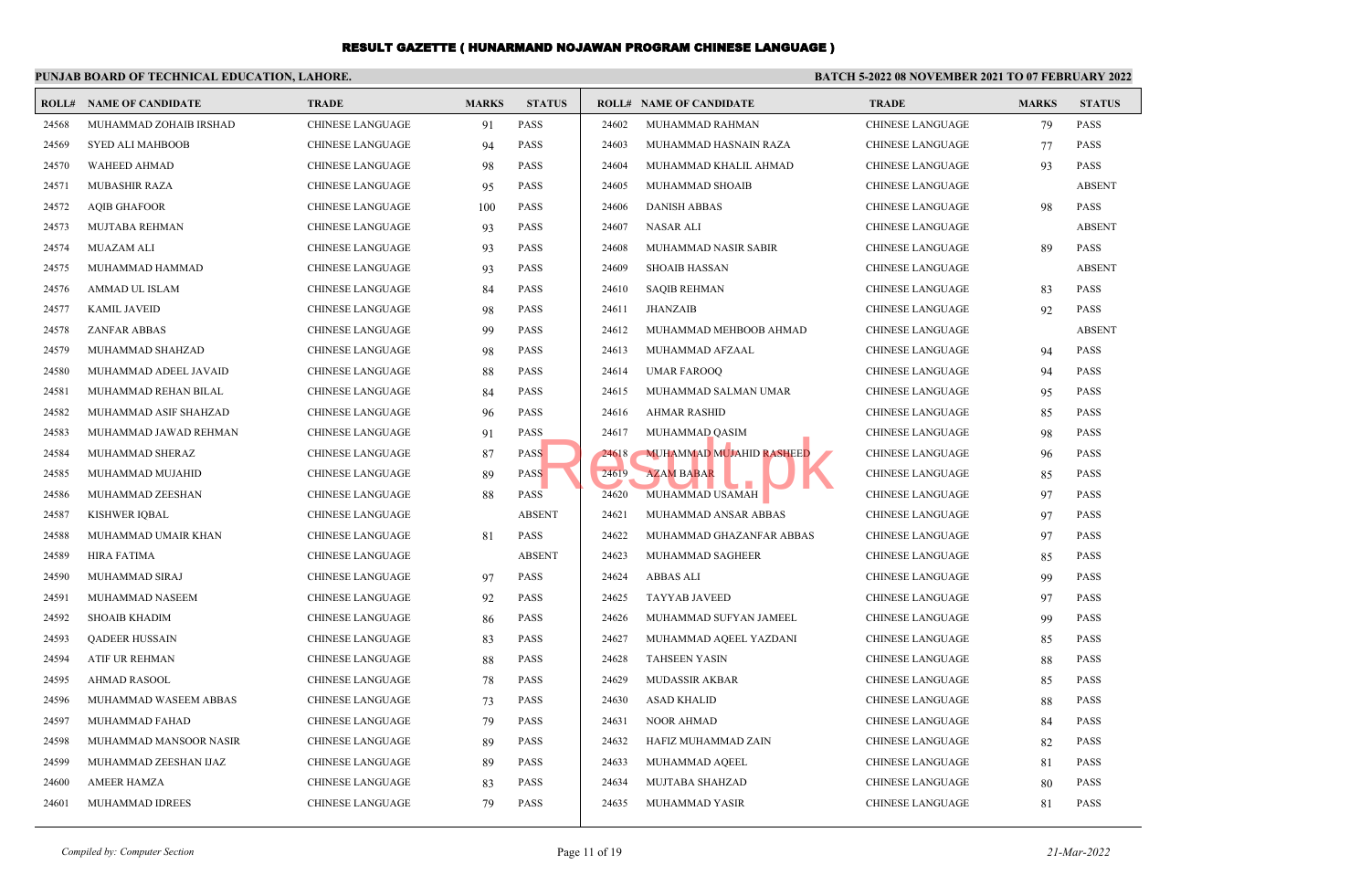|       | PUNJAB BOARD OF TECHNICAL EDUCATION, LAHORE. |                         |              |               | <b>BATCH 5-2022 08 NOVEMBER 2021 TO 07 FEBRUARY 2022</b> |                                 |                         |              |               |  |
|-------|----------------------------------------------|-------------------------|--------------|---------------|----------------------------------------------------------|---------------------------------|-------------------------|--------------|---------------|--|
|       | <b>ROLL# NAME OF CANDIDATE</b>               | <b>TRADE</b>            | <b>MARKS</b> | <b>STATUS</b> |                                                          | <b>ROLL# NAME OF CANDIDATE</b>  | <b>TRADE</b>            | <b>MARKS</b> | <b>STATUS</b> |  |
| 24568 | MUHAMMAD ZOHAIB IRSHAD                       | <b>CHINESE LANGUAGE</b> | 91           | <b>PASS</b>   | 24602                                                    | MUHAMMAD RAHMAN                 | <b>CHINESE LANGUAGE</b> | 79           | <b>PASS</b>   |  |
| 24569 | <b>SYED ALI MAHBOOB</b>                      | <b>CHINESE LANGUAGE</b> | 94           | PASS          | 24603                                                    | MUHAMMAD HASNAIN RAZA           | CHINESE LANGUAGE        | 77           | <b>PASS</b>   |  |
| 24570 | <b>WAHEED AHMAD</b>                          | <b>CHINESE LANGUAGE</b> | 98           | <b>PASS</b>   | 24604                                                    | MUHAMMAD KHALIL AHMAD           | CHINESE LANGUAGE        | 93           | <b>PASS</b>   |  |
| 24571 | MUBASHIR RAZA                                | <b>CHINESE LANGUAGE</b> | 95           | <b>PASS</b>   | 24605                                                    | MUHAMMAD SHOAIB                 | CHINESE LANGUAGE        |              | <b>ABSENT</b> |  |
| 24572 | <b>AQIB GHAFOOR</b>                          | <b>CHINESE LANGUAGE</b> | 100          | <b>PASS</b>   | 24606                                                    | <b>DANISH ABBAS</b>             | <b>CHINESE LANGUAGE</b> | 98           | <b>PASS</b>   |  |
| 24573 | MUJTABA REHMAN                               | <b>CHINESE LANGUAGE</b> | 93           | <b>PASS</b>   | 24607                                                    | <b>NASAR ALI</b>                | <b>CHINESE LANGUAGE</b> |              | <b>ABSENT</b> |  |
| 24574 | MUAZAM ALI                                   | <b>CHINESE LANGUAGE</b> | 93           | <b>PASS</b>   | 24608                                                    | MUHAMMAD NASIR SABIR            | <b>CHINESE LANGUAGE</b> | 89           | <b>PASS</b>   |  |
| 24575 | MUHAMMAD HAMMAD                              | <b>CHINESE LANGUAGE</b> | 93           | <b>PASS</b>   | 24609                                                    | <b>SHOAIB HASSAN</b>            | CHINESE LANGUAGE        |              | <b>ABSENT</b> |  |
| 24576 | AMMAD UL ISLAM                               | <b>CHINESE LANGUAGE</b> | 84           | <b>PASS</b>   | 24610                                                    | <b>SAQIB REHMAN</b>             | CHINESE LANGUAGE        | 83           | <b>PASS</b>   |  |
| 24577 | <b>KAMIL JAVEID</b>                          | <b>CHINESE LANGUAGE</b> | 98           | <b>PASS</b>   | 24611                                                    | <b>JHANZAIB</b>                 | <b>CHINESE LANGUAGE</b> | 92           | <b>PASS</b>   |  |
| 24578 | <b>ZANFAR ABBAS</b>                          | <b>CHINESE LANGUAGE</b> | 99           | <b>PASS</b>   | 24612                                                    | MUHAMMAD MEHBOOB AHMAD          | CHINESE LANGUAGE        |              | <b>ABSENT</b> |  |
| 24579 | MUHAMMAD SHAHZAD                             | <b>CHINESE LANGUAGE</b> | 98           | <b>PASS</b>   | 24613                                                    | MUHAMMAD AFZAAL                 | CHINESE LANGUAGE        | 94           | <b>PASS</b>   |  |
| 24580 | MUHAMMAD ADEEL JAVAID                        | <b>CHINESE LANGUAGE</b> | 88           | <b>PASS</b>   | 24614                                                    | <b>UMAR FAROOO</b>              | <b>CHINESE LANGUAGE</b> | 94           | <b>PASS</b>   |  |
| 24581 | MUHAMMAD REHAN BILAL                         | <b>CHINESE LANGUAGE</b> | 84           | <b>PASS</b>   | 24615                                                    | MUHAMMAD SALMAN UMAR            | <b>CHINESE LANGUAGE</b> | 95           | <b>PASS</b>   |  |
| 24582 | MUHAMMAD ASIF SHAHZAD                        | <b>CHINESE LANGUAGE</b> | 96           | <b>PASS</b>   | 24616                                                    | <b>AHMAR RASHID</b>             | <b>CHINESE LANGUAGE</b> | 85           | <b>PASS</b>   |  |
| 24583 | MUHAMMAD JAWAD REHMAN                        | <b>CHINESE LANGUAGE</b> | 91           | <b>PASS</b>   | 24617                                                    | MUHAMMAD QASIM                  | CHINESE LANGUAGE        | 98           | <b>PASS</b>   |  |
| 24584 | MUHAMMAD SHERAZ                              | <b>CHINESE LANGUAGE</b> | 87           | <b>PASS</b>   | 24618                                                    | <b>MUHAMMAD MUJAHID RASHEED</b> | <b>CHINESE LANGUAGE</b> | 96           | <b>PASS</b>   |  |
| 24585 | MUHAMMAD MUJAHID                             | <b>CHINESE LANGUAGE</b> | 89           | <b>PASS</b>   | 24619                                                    | <b>AZAM BABAR</b>               | <b>CHINESE LANGUAGE</b> | 85           | <b>PASS</b>   |  |
| 24586 | MUHAMMAD ZEESHAN                             | <b>CHINESE LANGUAGE</b> | 88           | <b>PASS</b>   | 24620                                                    | MUHAMMAD USAMAH                 | CHINESE LANGUAGE        | 97           | <b>PASS</b>   |  |
| 24587 | <b>KISHWER IOBAL</b>                         | <b>CHINESE LANGUAGE</b> |              | <b>ABSENT</b> | 24621                                                    | MUHAMMAD ANSAR ABBAS            | <b>CHINESE LANGUAGE</b> | 97           | <b>PASS</b>   |  |
| 24588 | MUHAMMAD UMAIR KHAN                          | <b>CHINESE LANGUAGE</b> | 81           | <b>PASS</b>   | 24622                                                    | MUHAMMAD GHAZANFAR ABBAS        | <b>CHINESE LANGUAGE</b> | 97           | <b>PASS</b>   |  |
| 24589 | <b>HIRA FATIMA</b>                           | <b>CHINESE LANGUAGE</b> |              | <b>ABSENT</b> | 24623                                                    | MUHAMMAD SAGHEER                | <b>CHINESE LANGUAGE</b> | 85           | <b>PASS</b>   |  |
| 24590 | MUHAMMAD SIRAJ                               | <b>CHINESE LANGUAGE</b> | 97           | <b>PASS</b>   | 24624                                                    | <b>ABBAS ALI</b>                | <b>CHINESE LANGUAGE</b> | 99           | <b>PASS</b>   |  |
| 24591 | MUHAMMAD NASEEM                              | <b>CHINESE LANGUAGE</b> | 92           | <b>PASS</b>   | 24625                                                    | <b>TAYYAB JAVEED</b>            | <b>CHINESE LANGUAGE</b> | 97           | <b>PASS</b>   |  |
| 24592 | <b>SHOAIB KHADIM</b>                         | <b>CHINESE LANGUAGE</b> | 86           | <b>PASS</b>   | 24626                                                    | MUHAMMAD SUFYAN JAMEEL          | CHINESE LANGUAGE        | 99           | <b>PASS</b>   |  |
| 24593 | <b>QADEER HUSSAIN</b>                        | <b>CHINESE LANGUAGE</b> | 83           | <b>PASS</b>   | 24627                                                    | MUHAMMAD AQEEL YAZDANI          | CHINESE LANGUAGE        | 85           | <b>PASS</b>   |  |
| 24594 | ATIF UR REHMAN                               | <b>CHINESE LANGUAGE</b> | 88           | <b>PASS</b>   | 24628                                                    | <b>TAHSEEN YASIN</b>            | <b>CHINESE LANGUAGE</b> | 88           | <b>PASS</b>   |  |
| 24595 | <b>AHMAD RASOOL</b>                          | <b>CHINESE LANGUAGE</b> | 78           | <b>PASS</b>   | 24629                                                    | <b>MUDASSIR AKBAR</b>           | CHINESE LANGUAGE        | 85           | <b>PASS</b>   |  |
| 24596 | MUHAMMAD WASEEM ABBAS                        | <b>CHINESE LANGUAGE</b> | 73           | <b>PASS</b>   | 24630                                                    | <b>ASAD KHALID</b>              | <b>CHINESE LANGUAGE</b> | 88           | <b>PASS</b>   |  |
| 24597 | MUHAMMAD FAHAD                               | <b>CHINESE LANGUAGE</b> | 79           | <b>PASS</b>   | 24631                                                    | <b>NOOR AHMAD</b>               | CHINESE LANGUAGE        | 84           | <b>PASS</b>   |  |
| 24598 | MUHAMMAD MANSOOR NASIR                       | <b>CHINESE LANGUAGE</b> | 89           | <b>PASS</b>   | 24632                                                    | HAFIZ MUHAMMAD ZAIN             | CHINESE LANGUAGE        | 82           | <b>PASS</b>   |  |
| 24599 | MUHAMMAD ZEESHAN IJAZ                        | <b>CHINESE LANGUAGE</b> | 89           | <b>PASS</b>   | 24633                                                    | MUHAMMAD AQEEL                  | CHINESE LANGUAGE        | 81           | <b>PASS</b>   |  |
| 24600 | <b>AMEER HAMZA</b>                           | <b>CHINESE LANGUAGE</b> | 83           | <b>PASS</b>   | 24634                                                    | MUJTABA SHAHZAD                 | <b>CHINESE LANGUAGE</b> | 80           | <b>PASS</b>   |  |
| 24601 | MUHAMMAD IDREES                              | <b>CHINESE LANGUAGE</b> | 79           | <b>PASS</b>   | 24635                                                    | MUHAMMAD YASIR                  | <b>CHINESE LANGUAGE</b> | 81           | <b>PASS</b>   |  |
|       |                                              |                         |              |               |                                                          |                                 |                         |              |               |  |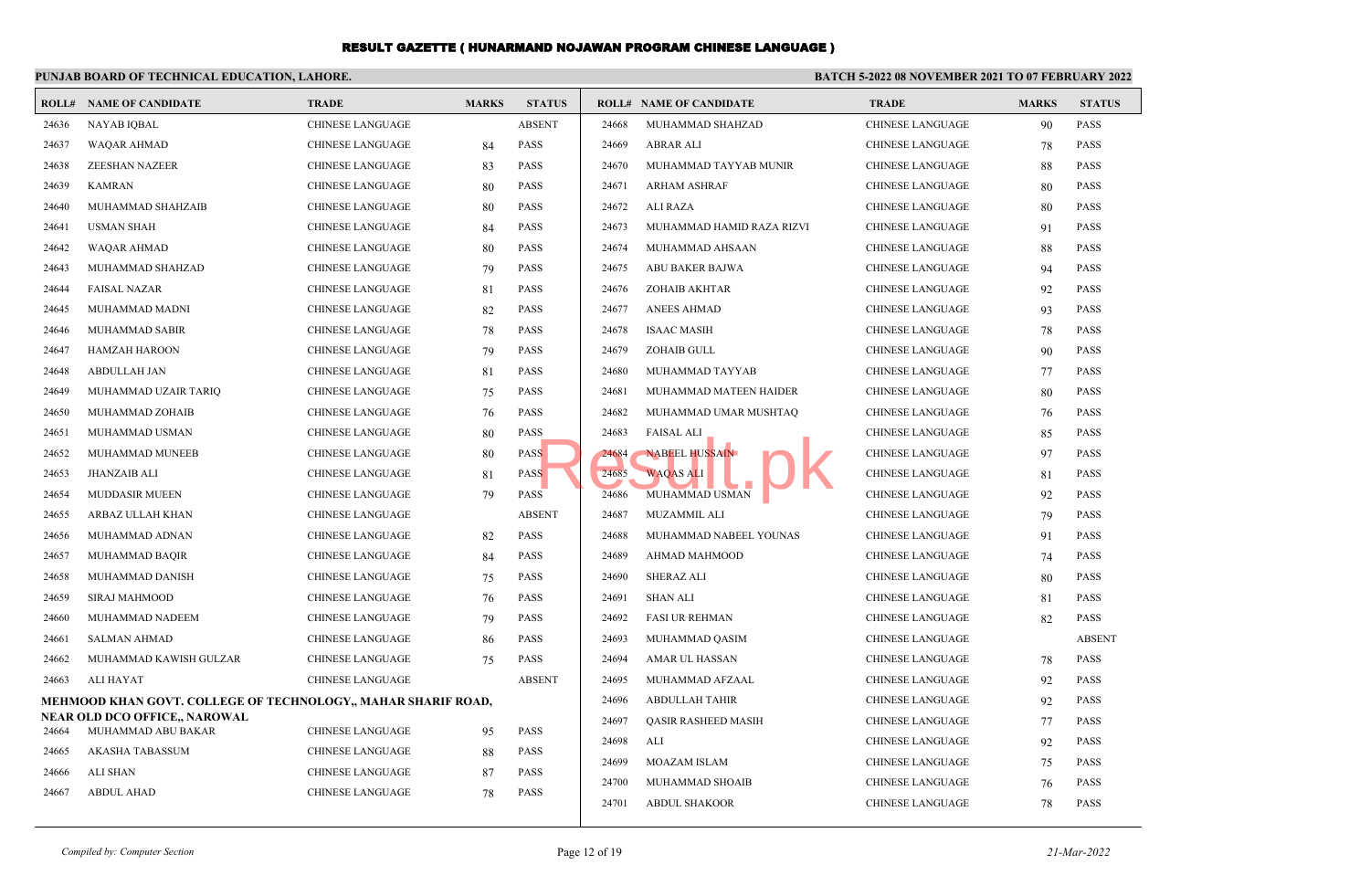|       | PUNJAB BOARD OF TECHNICAL EDUCATION, LAHORE.                  |                         |              |               | <b>BATCH 5-2022 08 NOVEMBER 2021 TO 07 FEBRUARY 2022</b> |                                |                         |              |               |  |  |
|-------|---------------------------------------------------------------|-------------------------|--------------|---------------|----------------------------------------------------------|--------------------------------|-------------------------|--------------|---------------|--|--|
| ROLL# | <b>NAME OF CANDIDATE</b>                                      | <b>TRADE</b>            | <b>MARKS</b> | <b>STATUS</b> |                                                          | <b>ROLL# NAME OF CANDIDATE</b> | <b>TRADE</b>            | <b>MARKS</b> | <b>STATUS</b> |  |  |
| 24636 | <b>NAYAB IQBAL</b>                                            | <b>CHINESE LANGUAGE</b> |              | <b>ABSENT</b> | 24668                                                    | MUHAMMAD SHAHZAD               | <b>CHINESE LANGUAGE</b> | 90           | <b>PASS</b>   |  |  |
| 24637 | <b>WAQAR AHMAD</b>                                            | <b>CHINESE LANGUAGE</b> | 84           | <b>PASS</b>   | 24669                                                    | <b>ABRAR ALI</b>               | <b>CHINESE LANGUAGE</b> | 78           | <b>PASS</b>   |  |  |
| 24638 | <b>ZEESHAN NAZEER</b>                                         | <b>CHINESE LANGUAGE</b> | 83           | <b>PASS</b>   | 24670                                                    | MUHAMMAD TAYYAB MUNIR          | <b>CHINESE LANGUAGE</b> | 88           | <b>PASS</b>   |  |  |
| 24639 | <b>KAMRAN</b>                                                 | <b>CHINESE LANGUAGE</b> | 80           | <b>PASS</b>   | 24671                                                    | <b>ARHAM ASHRAF</b>            | <b>CHINESE LANGUAGE</b> | 80           | <b>PASS</b>   |  |  |
| 24640 | MUHAMMAD SHAHZAIB                                             | <b>CHINESE LANGUAGE</b> | 80           | PASS          | 24672                                                    | <b>ALI RAZA</b>                | <b>CHINESE LANGUAGE</b> | 80           | <b>PASS</b>   |  |  |
| 24641 | <b>USMAN SHAH</b>                                             | <b>CHINESE LANGUAGE</b> | 84           | PASS          | 24673                                                    | MUHAMMAD HAMID RAZA RIZVI      | <b>CHINESE LANGUAGE</b> | 91           | <b>PASS</b>   |  |  |
| 24642 | WAQAR AHMAD                                                   | <b>CHINESE LANGUAGE</b> | 80           | PASS          | 24674                                                    | MUHAMMAD AHSAAN                | <b>CHINESE LANGUAGE</b> | 88           | <b>PASS</b>   |  |  |
| 24643 | MUHAMMAD SHAHZAD                                              | CHINESE LANGUAGE        | 79           | PASS          | 24675                                                    | ABU BAKER BAJWA                | <b>CHINESE LANGUAGE</b> | 94           | <b>PASS</b>   |  |  |
| 24644 | <b>FAISAL NAZAR</b>                                           | <b>CHINESE LANGUAGE</b> | 81           | PASS          | 24676                                                    | ZOHAIB AKHTAR                  | <b>CHINESE LANGUAGE</b> | 92           | <b>PASS</b>   |  |  |
| 24645 | MUHAMMAD MADNI                                                | <b>CHINESE LANGUAGE</b> | 82           | <b>PASS</b>   | 24677                                                    | <b>ANEES AHMAD</b>             | <b>CHINESE LANGUAGE</b> | 93           | <b>PASS</b>   |  |  |
| 24646 | MUHAMMAD SABIR                                                | <b>CHINESE LANGUAGE</b> | 78           | <b>PASS</b>   | 24678                                                    | <b>ISAAC MASIH</b>             | <b>CHINESE LANGUAGE</b> | 78           | <b>PASS</b>   |  |  |
| 24647 | <b>HAMZAH HAROON</b>                                          | <b>CHINESE LANGUAGE</b> | 79           | PASS          | 24679                                                    | ZOHAIB GULL                    | <b>CHINESE LANGUAGE</b> | 90           | <b>PASS</b>   |  |  |
| 24648 | <b>ABDULLAH JAN</b>                                           | <b>CHINESE LANGUAGE</b> | 81           | <b>PASS</b>   | 24680                                                    | MUHAMMAD TAYYAB                | <b>CHINESE LANGUAGE</b> | 77           | <b>PASS</b>   |  |  |
| 24649 | MUHAMMAD UZAIR TARIQ                                          | <b>CHINESE LANGUAGE</b> | 75           | <b>PASS</b>   | 24681                                                    | MUHAMMAD MATEEN HAIDER         | <b>CHINESE LANGUAGE</b> | 80           | <b>PASS</b>   |  |  |
| 24650 | MUHAMMAD ZOHAIB                                               | <b>CHINESE LANGUAGE</b> | 76           | <b>PASS</b>   | 24682                                                    | MUHAMMAD UMAR MUSHTAQ          | <b>CHINESE LANGUAGE</b> | 76           | <b>PASS</b>   |  |  |
| 24651 | MUHAMMAD USMAN                                                | <b>CHINESE LANGUAGE</b> | 80           | <b>PASS</b>   | 24683                                                    | <b>FAISAL ALI</b>              | <b>CHINESE LANGUAGE</b> | 85           | PASS          |  |  |
| 24652 | MUHAMMAD MUNEEB                                               | <b>CHINESE LANGUAGE</b> | 80           | <b>PASS</b>   | 24684                                                    | <b>NABEEL HUSSAIN</b>          | <b>CHINESE LANGUAGE</b> | 97           | <b>PASS</b>   |  |  |
| 24653 | <b>JHANZAIB ALI</b>                                           | <b>CHINESE LANGUAGE</b> | 81           | <b>PASS</b>   | 24685                                                    | <b>WAQAS ALI</b>               | <b>CHINESE LANGUAGE</b> | 81           | <b>PASS</b>   |  |  |
| 24654 | <b>MUDDASIR MUEEN</b>                                         | <b>CHINESE LANGUAGE</b> | 79           | <b>PASS</b>   | 24686                                                    | MUHAMMAD USMAN                 | <b>CHINESE LANGUAGE</b> | 92           | <b>PASS</b>   |  |  |
| 24655 | ARBAZ ULLAH KHAN                                              | <b>CHINESE LANGUAGE</b> |              | <b>ABSENT</b> | 24687                                                    | MUZAMMIL ALI                   | <b>CHINESE LANGUAGE</b> | 79           | <b>PASS</b>   |  |  |
| 24656 | MUHAMMAD ADNAN                                                | <b>CHINESE LANGUAGE</b> | 82           | <b>PASS</b>   | 24688                                                    | MUHAMMAD NABEEL YOUNAS         | <b>CHINESE LANGUAGE</b> | 91           | <b>PASS</b>   |  |  |
| 24657 | MUHAMMAD BAQIR                                                | <b>CHINESE LANGUAGE</b> | 84           | <b>PASS</b>   | 24689                                                    | AHMAD MAHMOOD                  | <b>CHINESE LANGUAGE</b> | 74           | <b>PASS</b>   |  |  |
| 24658 | MUHAMMAD DANISH                                               | <b>CHINESE LANGUAGE</b> | 75           | <b>PASS</b>   | 24690                                                    | <b>SHERAZ ALI</b>              | <b>CHINESE LANGUAGE</b> | 80           | <b>PASS</b>   |  |  |
| 24659 | SIRAJ MAHMOOD                                                 | CHINESE LANGUAGE        | 76           | <b>PASS</b>   | 24691                                                    | <b>SHAN ALI</b>                | <b>CHINESE LANGUAGE</b> | 81           | <b>PASS</b>   |  |  |
| 24660 | MUHAMMAD NADEEM                                               | <b>CHINESE LANGUAGE</b> | 79           | <b>PASS</b>   | 24692                                                    | <b>FASI UR REHMAN</b>          | <b>CHINESE LANGUAGE</b> | 82           | <b>PASS</b>   |  |  |
| 24661 | <b>SALMAN AHMAD</b>                                           | <b>CHINESE LANGUAGE</b> | 86           | <b>PASS</b>   | 24693                                                    | MUHAMMAD QASIM                 | <b>CHINESE LANGUAGE</b> |              | <b>ABSENT</b> |  |  |
| 24662 | MUHAMMAD KAWISH GULZAR                                        | <b>CHINESE LANGUAGE</b> | 75           | <b>PASS</b>   | 24694                                                    | AMAR UL HASSAN                 | <b>CHINESE LANGUAGE</b> | 78           | <b>PASS</b>   |  |  |
| 24663 | <b>ALI HAYAT</b>                                              | <b>CHINESE LANGUAGE</b> |              | <b>ABSENT</b> | 24695                                                    | MUHAMMAD AFZAAL                | <b>CHINESE LANGUAGE</b> | 92           | <b>PASS</b>   |  |  |
|       | MEHMOOD KHAN GOVT. COLLEGE OF TECHNOLOGY,, MAHAR SHARIF ROAD, |                         |              |               | 24696                                                    | <b>ABDULLAH TAHIR</b>          | <b>CHINESE LANGUAGE</b> | 92           | <b>PASS</b>   |  |  |
|       | <b>NEAR OLD DCO OFFICE,, NAROWAL</b>                          |                         |              |               | 24697                                                    | <b>QASIR RASHEED MASIH</b>     | <b>CHINESE LANGUAGE</b> | 77           | PASS          |  |  |
| 24664 | MUHAMMAD ABU BAKAR                                            | <b>CHINESE LANGUAGE</b> | 95           | PASS          | 24698                                                    | ALI                            | CHINESE LANGUAGE        | 92           | <b>PASS</b>   |  |  |
| 24665 | AKASHA TABASSUM                                               | <b>CHINESE LANGUAGE</b> | 88           | <b>PASS</b>   | 24699                                                    | MOAZAM ISLAM                   | <b>CHINESE LANGUAGE</b> | 75           | <b>PASS</b>   |  |  |
| 24666 | <b>ALI SHAN</b>                                               | <b>CHINESE LANGUAGE</b> | 87           | PASS          | 24700                                                    | MUHAMMAD SHOAIB                | <b>CHINESE LANGUAGE</b> | 76           | <b>PASS</b>   |  |  |
| 24667 | <b>ABDUL AHAD</b>                                             | <b>CHINESE LANGUAGE</b> | 78           | <b>PASS</b>   | 24701                                                    | <b>ABDUL SHAKOOR</b>           | <b>CHINESE LANGUAGE</b> | 78           | <b>PASS</b>   |  |  |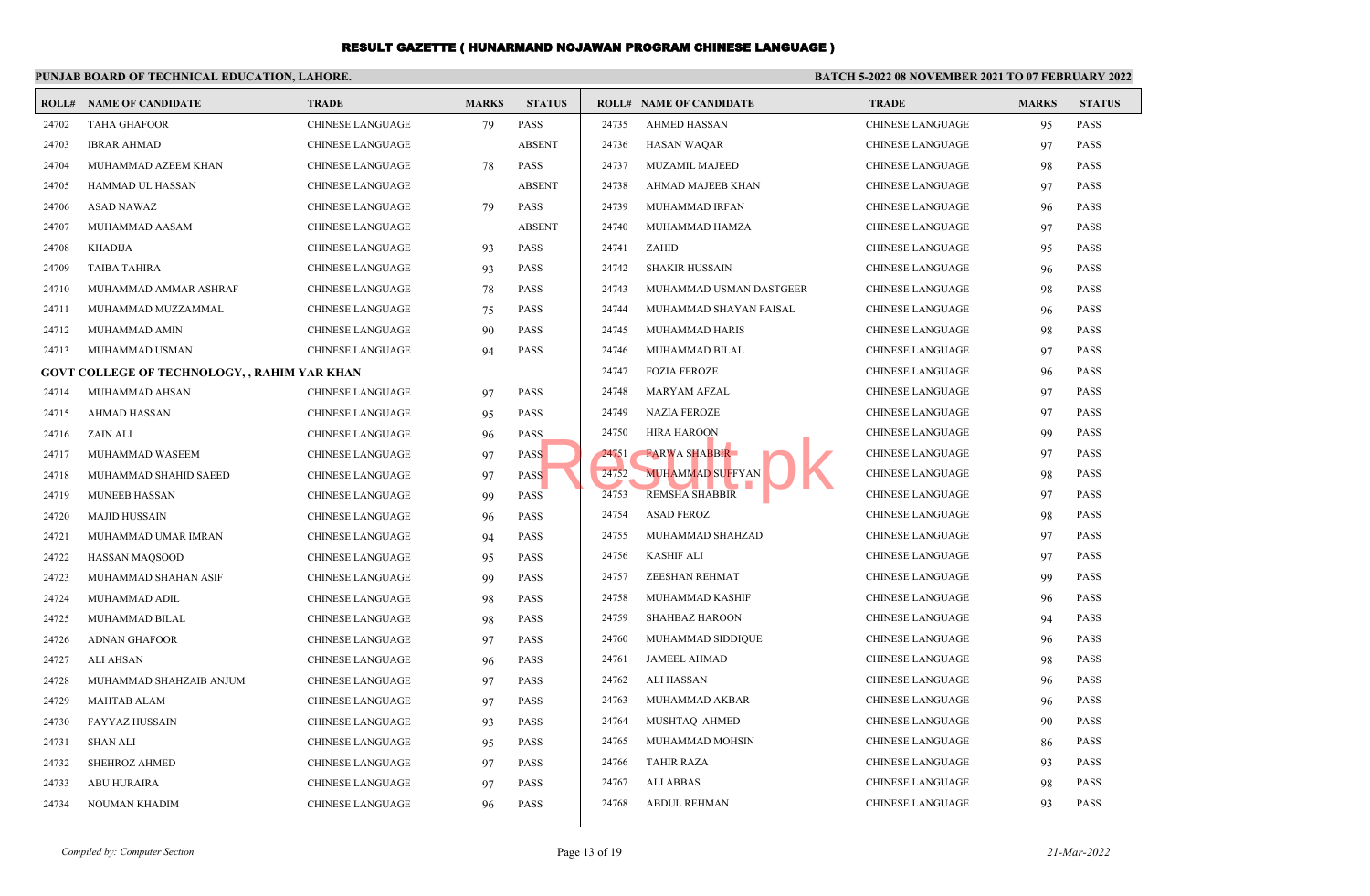|       | PUNJAB BOARD OF TECHNICAL EDUCATION, LAHORE.        |                         |              |               | <b>BATCH 5-2022 08 NOVEMBER 2021 TO 07 FEBRUARY 2022</b> |                                |                         |              |               |  |
|-------|-----------------------------------------------------|-------------------------|--------------|---------------|----------------------------------------------------------|--------------------------------|-------------------------|--------------|---------------|--|
|       | <b>ROLL# NAME OF CANDIDATE</b>                      | <b>TRADE</b>            | <b>MARKS</b> | <b>STATUS</b> |                                                          | <b>ROLL# NAME OF CANDIDATE</b> | <b>TRADE</b>            | <b>MARKS</b> | <b>STATUS</b> |  |
| 24702 | <b>TAHA GHAFOOR</b>                                 | <b>CHINESE LANGUAGE</b> | 79           | <b>PASS</b>   | 24735                                                    | <b>AHMED HASSAN</b>            | CHINESE LANGUAGE        | 95           | <b>PASS</b>   |  |
| 24703 | <b>IBRAR AHMAD</b>                                  | <b>CHINESE LANGUAGE</b> |              | <b>ABSENT</b> | 24736                                                    | <b>HASAN WAQAR</b>             | <b>CHINESE LANGUAGE</b> | 97           | PASS          |  |
| 24704 | MUHAMMAD AZEEM KHAN                                 | <b>CHINESE LANGUAGE</b> | 78           | <b>PASS</b>   | 24737                                                    | <b>MUZAMIL MAJEED</b>          | <b>CHINESE LANGUAGE</b> | 98           | <b>PASS</b>   |  |
| 24705 | HAMMAD UL HASSAN                                    | CHINESE LANGUAGE        |              | <b>ABSENT</b> | 24738                                                    | <b>AHMAD MAJEEB KHAN</b>       | CHINESE LANGUAGE        | 97           | <b>PASS</b>   |  |
| 24706 | <b>ASAD NAWAZ</b>                                   | <b>CHINESE LANGUAGE</b> | 79           | <b>PASS</b>   | 24739                                                    | MUHAMMAD IRFAN                 | <b>CHINESE LANGUAGE</b> | 96           | <b>PASS</b>   |  |
| 24707 | MUHAMMAD AASAM                                      | <b>CHINESE LANGUAGE</b> |              | <b>ABSENT</b> | 24740                                                    | MUHAMMAD HAMZA                 | CHINESE LANGUAGE        | 97           | <b>PASS</b>   |  |
| 24708 | <b>KHADIJA</b>                                      | <b>CHINESE LANGUAGE</b> | 93           | <b>PASS</b>   | 24741                                                    | ZAHID                          | <b>CHINESE LANGUAGE</b> | 95           | <b>PASS</b>   |  |
| 24709 | <b>TAIBA TAHIRA</b>                                 | CHINESE LANGUAGE        | 93           | <b>PASS</b>   | 24742                                                    | <b>SHAKIR HUSSAIN</b>          | CHINESE LANGUAGE        | 96           | <b>PASS</b>   |  |
| 24710 | MUHAMMAD AMMAR ASHRAF                               | <b>CHINESE LANGUAGE</b> | 78           | <b>PASS</b>   | 24743                                                    | MUHAMMAD USMAN DASTGEER        | <b>CHINESE LANGUAGE</b> | 98           | <b>PASS</b>   |  |
| 24711 | MUHAMMAD MUZZAMMAL                                  | <b>CHINESE LANGUAGE</b> | 75           | <b>PASS</b>   | 24744                                                    | MUHAMMAD SHAYAN FAISAL         | CHINESE LANGUAGE        | 96           | <b>PASS</b>   |  |
| 24712 | MUHAMMAD AMIN                                       | <b>CHINESE LANGUAGE</b> | 90           | <b>PASS</b>   | 24745                                                    | MUHAMMAD HARIS                 | <b>CHINESE LANGUAGE</b> | 98           | <b>PASS</b>   |  |
| 24713 | MUHAMMAD USMAN                                      | <b>CHINESE LANGUAGE</b> | 94           | <b>PASS</b>   | 24746                                                    | MUHAMMAD BILAL                 | CHINESE LANGUAGE        | 97           | <b>PASS</b>   |  |
|       | <b>GOVT COLLEGE OF TECHNOLOGY, , RAHIM YAR KHAN</b> |                         |              |               | 24747                                                    | <b>FOZIA FEROZE</b>            | CHINESE LANGUAGE        | 96           | <b>PASS</b>   |  |
| 24714 | MUHAMMAD AHSAN                                      | <b>CHINESE LANGUAGE</b> | 97           | PASS          | 24748                                                    | <b>MARYAM AFZAL</b>            | CHINESE LANGUAGE        | 97           | <b>PASS</b>   |  |
| 24715 | <b>AHMAD HASSAN</b>                                 | <b>CHINESE LANGUAGE</b> | 95           | <b>PASS</b>   | 24749                                                    | <b>NAZIA FEROZE</b>            | CHINESE LANGUAGE        | 97           | <b>PASS</b>   |  |
| 24716 | ZAIN ALI                                            | <b>CHINESE LANGUAGE</b> | 96           | <b>PASS</b>   | 24750                                                    | <b>HIRA HAROON</b>             | <b>CHINESE LANGUAGE</b> | 99           | <b>PASS</b>   |  |
| 24717 | MUHAMMAD WASEEM                                     | <b>CHINESE LANGUAGE</b> | 97           | <b>PASS</b>   | 24751                                                    | <b>FARWA SHABBIR</b>           | <b>CHINESE LANGUAGE</b> | 97           | <b>PASS</b>   |  |
| 24718 | MUHAMMAD SHAHID SAEED                               | CHINESE LANGUAGE        | 97           | <b>PASS</b>   | 24752                                                    | <b>MUHAMMAD SUFFYAN</b>        | <b>CHINESE LANGUAGE</b> | 98           | <b>PASS</b>   |  |
| 24719 | <b>MUNEEB HASSAN</b>                                | <b>CHINESE LANGUAGE</b> | 99           | PASS          | 24753                                                    | <b>REMSHA SHABBIR</b>          | CHINESE LANGUAGE        | 97           | <b>PASS</b>   |  |
| 24720 | <b>MAJID HUSSAIN</b>                                | CHINESE LANGUAGE        | 96           | <b>PASS</b>   | 24754                                                    | <b>ASAD FEROZ</b>              | <b>CHINESE LANGUAGE</b> | 98           | <b>PASS</b>   |  |
| 24721 | MUHAMMAD UMAR IMRAN                                 | <b>CHINESE LANGUAGE</b> | 94           | <b>PASS</b>   | 24755                                                    | MUHAMMAD SHAHZAD               | <b>CHINESE LANGUAGE</b> | 97           | <b>PASS</b>   |  |
| 24722 | <b>HASSAN MAQSOOD</b>                               | CHINESE LANGUAGE        | 95           | <b>PASS</b>   | 24756                                                    | <b>KASHIF ALI</b>              | CHINESE LANGUAGE        | 97           | <b>PASS</b>   |  |
| 24723 | MUHAMMAD SHAHAN ASIF                                | <b>CHINESE LANGUAGE</b> | 99           | <b>PASS</b>   | 24757                                                    | ZEESHAN REHMAT                 | CHINESE LANGUAGE        | 99           | <b>PASS</b>   |  |
| 24724 | MUHAMMAD ADIL                                       | <b>CHINESE LANGUAGE</b> | 98           | <b>PASS</b>   | 24758                                                    | MUHAMMAD KASHIF                | CHINESE LANGUAGE        | 96           | <b>PASS</b>   |  |
| 24725 | MUHAMMAD BILAL                                      | <b>CHINESE LANGUAGE</b> | 98           | <b>PASS</b>   | 24759                                                    | <b>SHAHBAZ HAROON</b>          | <b>CHINESE LANGUAGE</b> | 94           | <b>PASS</b>   |  |
| 24726 | <b>ADNAN GHAFOOR</b>                                | CHINESE LANGUAGE        | 97           | <b>PASS</b>   | 24760                                                    | MUHAMMAD SIDDIQUE              | CHINESE LANGUAGE        | 96           | <b>PASS</b>   |  |
| 24727 | <b>ALI AHSAN</b>                                    | <b>CHINESE LANGUAGE</b> | 96           | <b>PASS</b>   | 24761                                                    | <b>JAMEEL AHMAD</b>            | CHINESE LANGUAGE        | 98           | <b>PASS</b>   |  |
| 24728 | MUHAMMAD SHAHZAIB ANJUM                             | CHINESE LANGUAGE        | 97           | <b>PASS</b>   | 24762                                                    | <b>ALI HASSAN</b>              | CHINESE LANGUAGE        | 96           | <b>PASS</b>   |  |
| 24729 | <b>MAHTAB ALAM</b>                                  | CHINESE LANGUAGE        | 97           | <b>PASS</b>   | 24763                                                    | MUHAMMAD AKBAR                 | <b>CHINESE LANGUAGE</b> | 96           | <b>PASS</b>   |  |
| 24730 | FAYYAZ HUSSAIN                                      | <b>CHINESE LANGUAGE</b> | 93           | <b>PASS</b>   | 24764                                                    | MUSHTAQ AHMED                  | CHINESE LANGUAGE        | 90           | <b>PASS</b>   |  |
| 24731 | <b>SHAN ALI</b>                                     | <b>CHINESE LANGUAGE</b> | 95           | <b>PASS</b>   | 24765                                                    | MUHAMMAD MOHSIN                | <b>CHINESE LANGUAGE</b> | 86           | <b>PASS</b>   |  |
| 24732 | <b>SHEHROZ AHMED</b>                                | <b>CHINESE LANGUAGE</b> | 97           | <b>PASS</b>   | 24766                                                    | <b>TAHIR RAZA</b>              | CHINESE LANGUAGE        | 93           | <b>PASS</b>   |  |
| 24733 | <b>ABU HURAIRA</b>                                  | <b>CHINESE LANGUAGE</b> | 97           | <b>PASS</b>   | 24767                                                    | <b>ALI ABBAS</b>               | CHINESE LANGUAGE        | 98           | <b>PASS</b>   |  |
| 24734 | <b>NOUMAN KHADIM</b>                                | <b>CHINESE LANGUAGE</b> | 96           | <b>PASS</b>   | 24768                                                    | <b>ABDUL REHMAN</b>            | <b>CHINESE LANGUAGE</b> | 93           | <b>PASS</b>   |  |
|       |                                                     |                         |              |               |                                                          |                                |                         |              |               |  |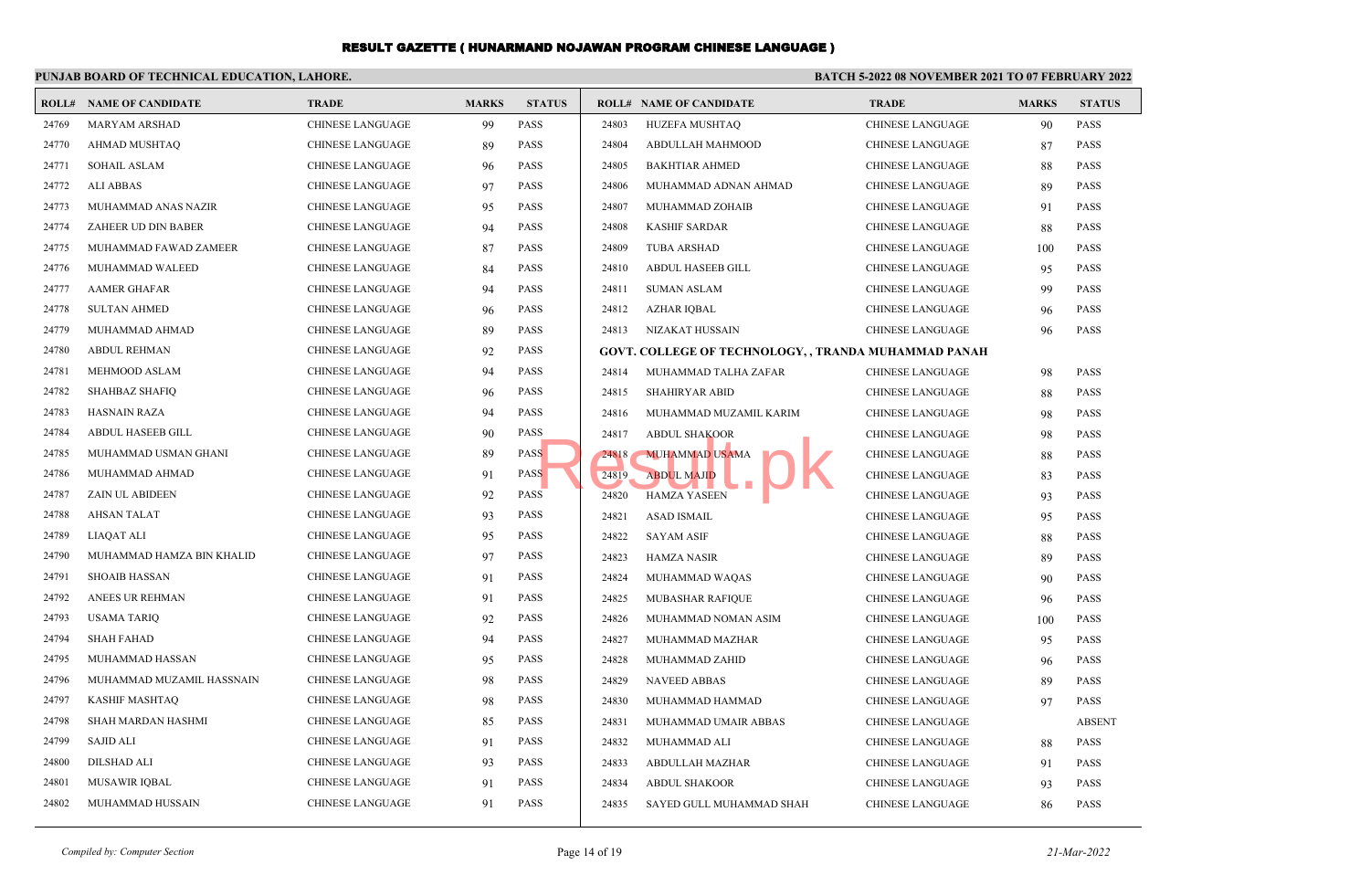|       | PUNJAB BOARD OF TECHNICAL EDUCATION, LAHORE. |                         |              |               |       | <b>BATCH 5-2022 08 NOVEMBER 2021 TO 07 FEBRUARY 2022</b> |                         |              |               |  |
|-------|----------------------------------------------|-------------------------|--------------|---------------|-------|----------------------------------------------------------|-------------------------|--------------|---------------|--|
|       | <b>ROLL# NAME OF CANDIDATE</b>               | <b>TRADE</b>            | <b>MARKS</b> | <b>STATUS</b> |       | <b>ROLL# NAME OF CANDIDATE</b>                           | <b>TRADE</b>            | <b>MARKS</b> | <b>STATUS</b> |  |
| 24769 | MARYAM ARSHAD                                | <b>CHINESE LANGUAGE</b> | 99           | <b>PASS</b>   | 24803 | HUZEFA MUSHTAQ                                           | CHINESE LANGUAGE        | 90           | <b>PASS</b>   |  |
| 24770 | <b>AHMAD MUSHTAQ</b>                         | <b>CHINESE LANGUAGE</b> | 89           | <b>PASS</b>   | 24804 | ABDULLAH MAHMOOD                                         | <b>CHINESE LANGUAGE</b> | 87           | <b>PASS</b>   |  |
| 24771 | <b>SOHAIL ASLAM</b>                          | <b>CHINESE LANGUAGE</b> | 96           | PASS          | 24805 | <b>BAKHTIAR AHMED</b>                                    | CHINESE LANGUAGE        | 88           | <b>PASS</b>   |  |
| 24772 | <b>ALI ABBAS</b>                             | <b>CHINESE LANGUAGE</b> | 97           | <b>PASS</b>   | 24806 | MUHAMMAD ADNAN AHMAD                                     | <b>CHINESE LANGUAGE</b> | 89           | <b>PASS</b>   |  |
| 24773 | MUHAMMAD ANAS NAZIR                          | <b>CHINESE LANGUAGE</b> | 95           | <b>PASS</b>   | 24807 | MUHAMMAD ZOHAIB                                          | CHINESE LANGUAGE        | 91           | <b>PASS</b>   |  |
| 24774 | ZAHEER UD DIN BABER                          | CHINESE LANGUAGE        | 94           | <b>PASS</b>   | 24808 | <b>KASHIF SARDAR</b>                                     | CHINESE LANGUAGE        | 88           | <b>PASS</b>   |  |
| 24775 | MUHAMMAD FAWAD ZAMEER                        | <b>CHINESE LANGUAGE</b> | 87           | <b>PASS</b>   | 24809 | <b>TUBA ARSHAD</b>                                       | CHINESE LANGUAGE        | 100          | <b>PASS</b>   |  |
| 24776 | MUHAMMAD WALEED                              | <b>CHINESE LANGUAGE</b> | 84           | <b>PASS</b>   | 24810 | ABDUL HASEEB GILL                                        | CHINESE LANGUAGE        | 95           | <b>PASS</b>   |  |
| 24777 | <b>AAMER GHAFAR</b>                          | <b>CHINESE LANGUAGE</b> | 94           | <b>PASS</b>   | 24811 | <b>SUMAN ASLAM</b>                                       | <b>CHINESE LANGUAGE</b> | 99           | <b>PASS</b>   |  |
| 24778 | <b>SULTAN AHMED</b>                          | <b>CHINESE LANGUAGE</b> | 96           | <b>PASS</b>   | 24812 | <b>AZHAR IQBAL</b>                                       | CHINESE LANGUAGE        | 96           | <b>PASS</b>   |  |
| 24779 | MUHAMMAD AHMAD                               | <b>CHINESE LANGUAGE</b> | 89           | <b>PASS</b>   | 24813 | NIZAKAT HUSSAIN                                          | CHINESE LANGUAGE        | 96           | <b>PASS</b>   |  |
| 24780 | <b>ABDUL REHMAN</b>                          | <b>CHINESE LANGUAGE</b> | 92           | <b>PASS</b>   |       | GOVT. COLLEGE OF TECHNOLOGY, , TRANDA MUHAMMAD PANAH     |                         |              |               |  |
| 24781 | <b>MEHMOOD ASLAM</b>                         | <b>CHINESE LANGUAGE</b> | 94           | <b>PASS</b>   | 24814 | MUHAMMAD TALHA ZAFAR                                     | CHINESE LANGUAGE        | 98           | <b>PASS</b>   |  |
| 24782 | <b>SHAHBAZ SHAFIQ</b>                        | <b>CHINESE LANGUAGE</b> | 96           | <b>PASS</b>   | 24815 | <b>SHAHIRYAR ABID</b>                                    | CHINESE LANGUAGE        | 88           | <b>PASS</b>   |  |
| 24783 | <b>HASNAIN RAZA</b>                          | <b>CHINESE LANGUAGE</b> | 94           | <b>PASS</b>   | 24816 | MUHAMMAD MUZAMIL KARIM                                   | CHINESE LANGUAGE        | 98           | <b>PASS</b>   |  |
| 24784 | ABDUL HASEEB GILL                            | <b>CHINESE LANGUAGE</b> | 90           | <b>PASS</b>   | 24817 | <b>ABDUL SHAKOOR</b>                                     | <b>CHINESE LANGUAGE</b> | 98           | <b>PASS</b>   |  |
| 24785 | MUHAMMAD USMAN GHANI                         | CHINESE LANGUAGE        | 89           | <b>PASS</b>   | 24818 | <b>MUHAMMAD USAMA</b>                                    | CHINESE LANGUAGE        | 88           | <b>PASS</b>   |  |
| 24786 | MUHAMMAD AHMAD                               | <b>CHINESE LANGUAGE</b> | 91           | <b>PASS</b>   | 24819 | <b>ABDUL MAJID</b>                                       | <b>CHINESE LANGUAGE</b> | 83           | <b>PASS</b>   |  |
| 24787 | ZAIN UL ABIDEEN                              | <b>CHINESE LANGUAGE</b> | 92           | PASS          | 24820 | <b>HAMZA YASEEN</b>                                      | CHINESE LANGUAGE        | 93           | <b>PASS</b>   |  |
| 24788 | <b>AHSAN TALAT</b>                           | <b>CHINESE LANGUAGE</b> | 93           | <b>PASS</b>   | 24821 | <b>ASAD ISMAIL</b>                                       | CHINESE LANGUAGE        | 95           | <b>PASS</b>   |  |
| 24789 | <b>LIAOAT ALI</b>                            | <b>CHINESE LANGUAGE</b> | 95           | <b>PASS</b>   | 24822 | <b>SAYAM ASIF</b>                                        | <b>CHINESE LANGUAGE</b> | 88           | <b>PASS</b>   |  |
| 24790 | MUHAMMAD HAMZA BIN KHALID                    | <b>CHINESE LANGUAGE</b> | 97           | <b>PASS</b>   | 24823 | <b>HAMZA NASIR</b>                                       | CHINESE LANGUAGE        | 89           | <b>PASS</b>   |  |
| 24791 | <b>SHOAIB HASSAN</b>                         | <b>CHINESE LANGUAGE</b> | 91           | <b>PASS</b>   | 24824 | MUHAMMAD WAQAS                                           | <b>CHINESE LANGUAGE</b> | 90           | <b>PASS</b>   |  |
| 24792 | ANEES UR REHMAN                              | <b>CHINESE LANGUAGE</b> | 91           | PASS          | 24825 | MUBASHAR RAFIQUE                                         | <b>CHINESE LANGUAGE</b> | 96           | <b>PASS</b>   |  |
| 24793 | <b>USAMA TARIQ</b>                           | CHINESE LANGUAGE        | 92           | <b>PASS</b>   | 24826 | MUHAMMAD NOMAN ASIM                                      | <b>CHINESE LANGUAGE</b> | 100          | <b>PASS</b>   |  |
| 24794 | <b>SHAH FAHAD</b>                            | <b>CHINESE LANGUAGE</b> | 94           | <b>PASS</b>   | 24827 | MUHAMMAD MAZHAR                                          | CHINESE LANGUAGE        | 95           | <b>PASS</b>   |  |
| 24795 | MUHAMMAD HASSAN                              | <b>CHINESE LANGUAGE</b> | 95           | <b>PASS</b>   | 24828 | MUHAMMAD ZAHID                                           | <b>CHINESE LANGUAGE</b> | 96           | <b>PASS</b>   |  |
| 24796 | MUHAMMAD MUZAMIL HASSNAIN                    | <b>CHINESE LANGUAGE</b> | 98           | <b>PASS</b>   | 24829 | <b>NAVEED ABBAS</b>                                      | CHINESE LANGUAGE        | 89           | <b>PASS</b>   |  |
| 24797 | <b>KASHIF MASHTAQ</b>                        | <b>CHINESE LANGUAGE</b> | 98           | <b>PASS</b>   | 24830 | MUHAMMAD HAMMAD                                          | <b>CHINESE LANGUAGE</b> | 97           | <b>PASS</b>   |  |
| 24798 | SHAH MARDAN HASHMI                           | <b>CHINESE LANGUAGE</b> | 85           | <b>PASS</b>   | 24831 | MUHAMMAD UMAIR ABBAS                                     | CHINESE LANGUAGE        |              | <b>ABSENT</b> |  |
| 24799 | <b>SAJID ALI</b>                             | <b>CHINESE LANGUAGE</b> | 91           | <b>PASS</b>   | 24832 | MUHAMMAD ALI                                             | CHINESE LANGUAGE        | 88           | <b>PASS</b>   |  |
| 24800 | <b>DILSHAD ALI</b>                           | <b>CHINESE LANGUAGE</b> | 93           | <b>PASS</b>   | 24833 | <b>ABDULLAH MAZHAR</b>                                   | <b>CHINESE LANGUAGE</b> | 91           | <b>PASS</b>   |  |
| 24801 | MUSAWIR IQBAL                                | <b>CHINESE LANGUAGE</b> | 91           | <b>PASS</b>   | 24834 | <b>ABDUL SHAKOOR</b>                                     | CHINESE LANGUAGE        | 93           | <b>PASS</b>   |  |
| 24802 | MUHAMMAD HUSSAIN                             | <b>CHINESE LANGUAGE</b> | 91           | <b>PASS</b>   | 24835 | SAYED GULL MUHAMMAD SHAH                                 | <b>CHINESE LANGUAGE</b> | 86           | <b>PASS</b>   |  |
|       |                                              |                         |              |               |       |                                                          |                         |              |               |  |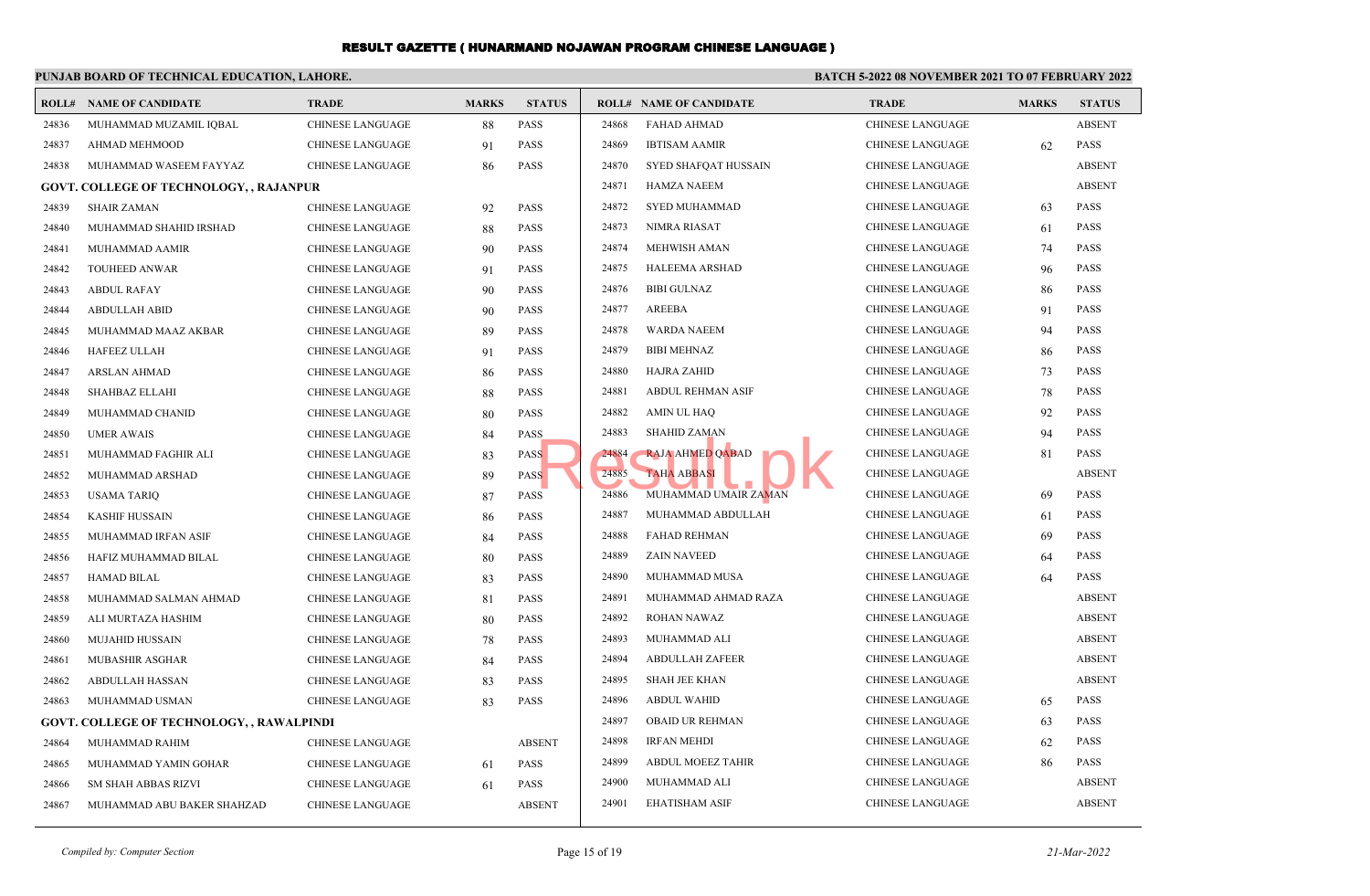## **PUNJAB BOARD OF TECHNICAL EDUCATION, LAHORE.**

### **BATCH 5-2022 08 NOVEMBER 2021 TO 07 FEBRUARY 2022**

|       | <b>ROLL# NAME OF CANDIDATE</b>                   | <b>TRADE</b>            | <b>MARKS</b> | <b>STATUS</b> |       | <b>ROLL# NAME OF CANDIDATE</b> | <b>TRADE</b>            | <b>MARKS</b> | <b>STATUS</b> |
|-------|--------------------------------------------------|-------------------------|--------------|---------------|-------|--------------------------------|-------------------------|--------------|---------------|
| 24836 | MUHAMMAD MUZAMIL IQBAL                           | CHINESE LANGUAGE        | 88           | PASS          | 24868 | <b>FAHAD AHMAD</b>             | <b>CHINESE LANGUAGE</b> |              | <b>ABSENT</b> |
| 24837 | AHMAD MEHMOOD                                    | CHINESE LANGUAGE        | 91           | <b>PASS</b>   | 24869 | <b>IBTISAM AAMIR</b>           | <b>CHINESE LANGUAGE</b> | 62           | <b>PASS</b>   |
| 24838 | MUHAMMAD WASEEM FAYYAZ                           | <b>CHINESE LANGUAGE</b> | 86           | <b>PASS</b>   | 24870 | <b>SYED SHAFQAT HUSSAIN</b>    | <b>CHINESE LANGUAGE</b> |              | <b>ABSENT</b> |
|       | <b>GOVT. COLLEGE OF TECHNOLOGY, , RAJANPUR</b>   |                         |              |               | 24871 | <b>HAMZA NAEEM</b>             | <b>CHINESE LANGUAGE</b> |              | <b>ABSENT</b> |
| 24839 | <b>SHAIR ZAMAN</b>                               | <b>CHINESE LANGUAGE</b> | 92           | <b>PASS</b>   | 24872 | <b>SYED MUHAMMAD</b>           | <b>CHINESE LANGUAGE</b> | 63           | <b>PASS</b>   |
| 24840 | MUHAMMAD SHAHID IRSHAD                           | <b>CHINESE LANGUAGE</b> | 88           | <b>PASS</b>   | 24873 | NIMRA RIASAT                   | <b>CHINESE LANGUAGE</b> | 61           | <b>PASS</b>   |
| 24841 | MUHAMMAD AAMIR                                   | <b>CHINESE LANGUAGE</b> | 90           | <b>PASS</b>   | 24874 | <b>MEHWISH AMAN</b>            | <b>CHINESE LANGUAGE</b> | 74           | <b>PASS</b>   |
| 24842 | TOUHEED ANWAR                                    | <b>CHINESE LANGUAGE</b> | 91           | <b>PASS</b>   | 24875 | <b>HALEEMA ARSHAD</b>          | <b>CHINESE LANGUAGE</b> | 96           | <b>PASS</b>   |
| 24843 | <b>ABDUL RAFAY</b>                               | <b>CHINESE LANGUAGE</b> | 90           | <b>PASS</b>   | 24876 | <b>BIBI GULNAZ</b>             | <b>CHINESE LANGUAGE</b> | 86           | <b>PASS</b>   |
| 24844 | <b>ABDULLAH ABID</b>                             | <b>CHINESE LANGUAGE</b> | 90           | <b>PASS</b>   | 24877 | AREEBA                         | <b>CHINESE LANGUAGE</b> | 91           | <b>PASS</b>   |
| 24845 | MUHAMMAD MAAZ AKBAR                              | <b>CHINESE LANGUAGE</b> | 89           | <b>PASS</b>   | 24878 | <b>WARDA NAEEM</b>             | <b>CHINESE LANGUAGE</b> | 94           | <b>PASS</b>   |
| 24846 | <b>HAFEEZ ULLAH</b>                              | <b>CHINESE LANGUAGE</b> | 91           | <b>PASS</b>   | 24879 | <b>BIBI MEHNAZ</b>             | <b>CHINESE LANGUAGE</b> | 86           | <b>PASS</b>   |
| 24847 | <b>ARSLAN AHMAD</b>                              | <b>CHINESE LANGUAGE</b> | 86           | <b>PASS</b>   | 24880 | <b>HAJRA ZAHID</b>             | <b>CHINESE LANGUAGE</b> | 73           | <b>PASS</b>   |
| 24848 | SHAHBAZ ELLAHI                                   | <b>CHINESE LANGUAGE</b> | 88           | <b>PASS</b>   | 24881 | ABDUL REHMAN ASIF              | <b>CHINESE LANGUAGE</b> | 78           | <b>PASS</b>   |
| 24849 | MUHAMMAD CHANID                                  | <b>CHINESE LANGUAGE</b> | 80           | <b>PASS</b>   | 24882 | <b>AMIN UL HAQ</b>             | <b>CHINESE LANGUAGE</b> | 92           | <b>PASS</b>   |
| 24850 | <b>UMER AWAIS</b>                                | <b>CHINESE LANGUAGE</b> | 84           | <b>PASS</b>   | 24883 | <b>SHAHID ZAMAN</b>            | <b>CHINESE LANGUAGE</b> | 94           | <b>PASS</b>   |
| 24851 | MUHAMMAD FAGHIR ALI                              | <b>CHINESE LANGUAGE</b> | 83           | <b>PASS</b>   | 24884 | <b>RAJA AHMED QABAD</b>        | <b>CHINESE LANGUAGE</b> | 81           | <b>PASS</b>   |
| 24852 | MUHAMMAD ARSHAD                                  | <b>CHINESE LANGUAGE</b> | 89           | <b>PASS</b>   | 24885 | <b>TAHA ABBASI</b>             | <b>CHINESE LANGUAGE</b> |              | <b>ABSENT</b> |
| 24853 | <b>USAMA TARIQ</b>                               | <b>CHINESE LANGUAGE</b> | 87           | PASS          | 24886 | MUHAMMAD UMAIR ZAMAN           | <b>CHINESE LANGUAGE</b> | 69           | <b>PASS</b>   |
| 24854 | <b>KASHIF HUSSAIN</b>                            | <b>CHINESE LANGUAGE</b> | 86           | <b>PASS</b>   | 24887 | MUHAMMAD ABDULLAH              | <b>CHINESE LANGUAGE</b> | 61           | <b>PASS</b>   |
| 24855 | MUHAMMAD IRFAN ASIF                              | <b>CHINESE LANGUAGE</b> | 84           | <b>PASS</b>   | 24888 | <b>FAHAD REHMAN</b>            | <b>CHINESE LANGUAGE</b> | 69           | <b>PASS</b>   |
| 24856 | HAFIZ MUHAMMAD BILAL                             | <b>CHINESE LANGUAGE</b> | 80           | <b>PASS</b>   | 24889 | <b>ZAIN NAVEED</b>             | <b>CHINESE LANGUAGE</b> | 64           | <b>PASS</b>   |
| 24857 | <b>HAMAD BILAL</b>                               | CHINESE LANGUAGE        | 83           | <b>PASS</b>   | 24890 | MUHAMMAD MUSA                  | CHINESE LANGUAGE        | 64           | <b>PASS</b>   |
| 24858 | MUHAMMAD SALMAN AHMAD                            | CHINESE LANGUAGE        | 81           | <b>PASS</b>   | 24891 | MUHAMMAD AHMAD RAZA            | <b>CHINESE LANGUAGE</b> |              | <b>ABSENT</b> |
| 24859 | ALI MURTAZA HASHIM                               | <b>CHINESE LANGUAGE</b> | 80           | <b>PASS</b>   | 24892 | <b>ROHAN NAWAZ</b>             | <b>CHINESE LANGUAGE</b> |              | <b>ABSENT</b> |
| 24860 | <b>MUJAHID HUSSAIN</b>                           | <b>CHINESE LANGUAGE</b> | 78           | <b>PASS</b>   | 24893 | MUHAMMAD ALI                   | <b>CHINESE LANGUAGE</b> |              | <b>ABSENT</b> |
| 24861 | <b>MUBASHIR ASGHAR</b>                           | <b>CHINESE LANGUAGE</b> | 84           | <b>PASS</b>   | 24894 | <b>ABDULLAH ZAFEER</b>         | <b>CHINESE LANGUAGE</b> |              | <b>ABSENT</b> |
| 24862 | ABDULLAH HASSAN                                  | <b>CHINESE LANGUAGE</b> | 83           | <b>PASS</b>   | 24895 | <b>SHAH JEE KHAN</b>           | <b>CHINESE LANGUAGE</b> |              | <b>ABSENT</b> |
| 24863 | MUHAMMAD USMAN                                   | <b>CHINESE LANGUAGE</b> | 83           | <b>PASS</b>   | 24896 | <b>ABDUL WAHID</b>             | <b>CHINESE LANGUAGE</b> | 65           | <b>PASS</b>   |
|       | <b>GOVT. COLLEGE OF TECHNOLOGY, , RAWALPINDI</b> |                         |              |               | 24897 | <b>OBAID UR REHMAN</b>         | <b>CHINESE LANGUAGE</b> | 63           | <b>PASS</b>   |
| 24864 | MUHAMMAD RAHIM                                   | CHINESE LANGUAGE        |              | <b>ABSENT</b> | 24898 | <b>IRFAN MEHDI</b>             | <b>CHINESE LANGUAGE</b> | 62           | <b>PASS</b>   |
| 24865 | MUHAMMAD YAMIN GOHAR                             | CHINESE LANGUAGE        | 61           | PASS          | 24899 | <b>ABDUL MOEEZ TAHIR</b>       | <b>CHINESE LANGUAGE</b> | 86           | <b>PASS</b>   |
| 24866 | <b>SM SHAH ABBAS RIZVI</b>                       | <b>CHINESE LANGUAGE</b> | 61           | <b>PASS</b>   | 24900 | MUHAMMAD ALI                   | <b>CHINESE LANGUAGE</b> |              | <b>ABSENT</b> |
| 24867 | MUHAMMAD ABU BAKER SHAHZAD                       | <b>CHINESE LANGUAGE</b> |              | <b>ABSENT</b> | 24901 | <b>EHATISHAM ASIF</b>          | <b>CHINESE LANGUAGE</b> |              | <b>ABSENT</b> |
|       |                                                  |                         |              |               |       |                                |                         |              |               |

*Compiled by: Computer Section* Page 15 of 19 *21-Mar-2022*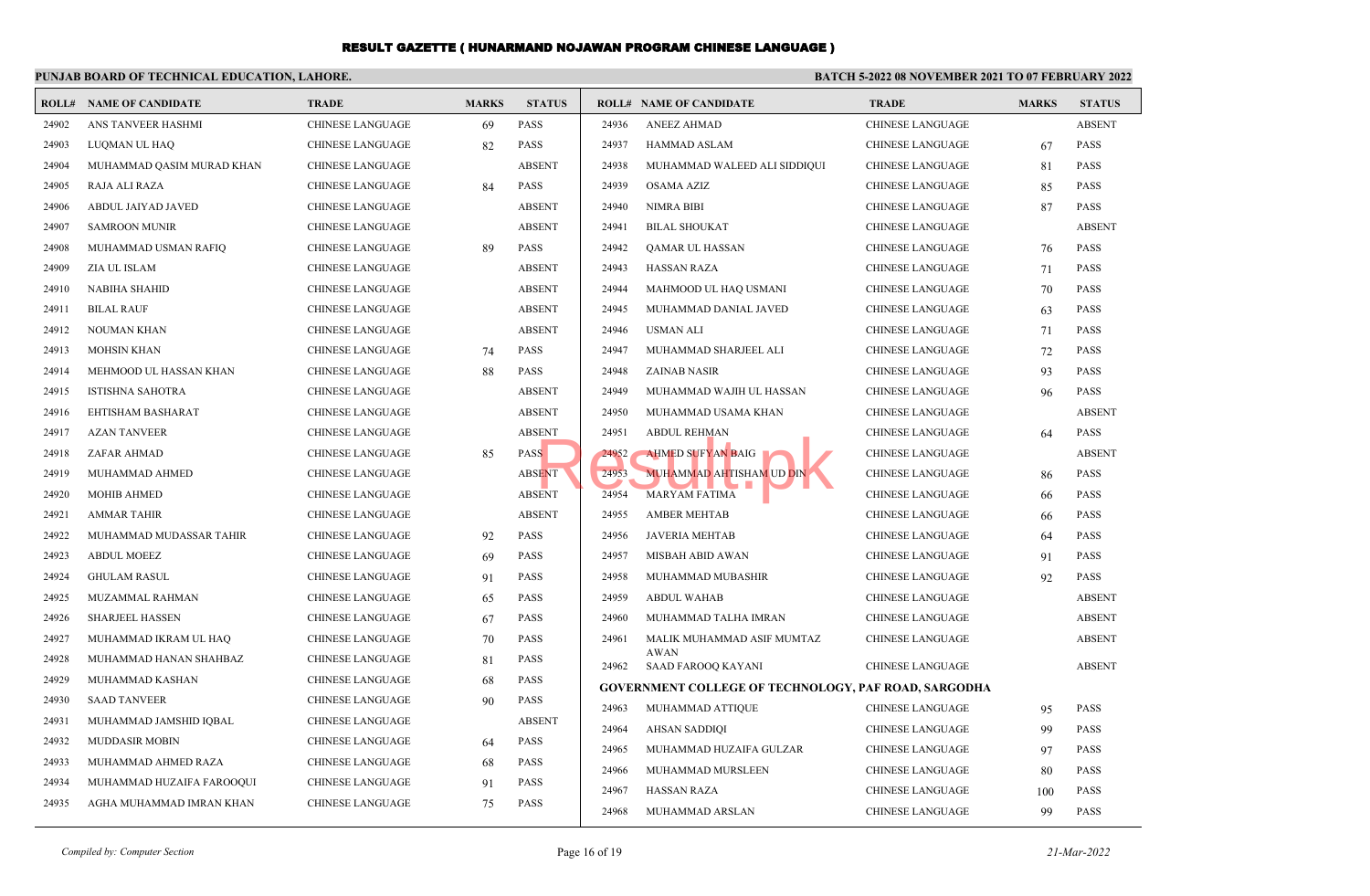#### **PUNJAB BOARD OF TECHNICAL EDUCATION, LAHORE. BATCH 5-2022 08 NOVEMBER 2021 TO 07 FEBRUARY 2022 ROLL# NAME OF CANDIDATE TRADE MARKS STATUS ROLL# NAME OF CANDIDATE TRADE MARKS STATUS** 24902 ANS TANVEER HASHMI CHINESE LANGUAGE 69 PASS 24903 LUQMAN UL HAQ CHINESE LANGUAGE 82 PASS 24904 MUHAMMAD QASIM MURAD KHAN CHINESE LANGUAGE ABSENT 24905 RAJA ALI RAZA CHINESE LANGUAGE 84 PASS 24906 ABDUL JAIYAD JAVED CHINESE LANGUAGE ABSENT 24907 SAMROON MUNIR CHINESE LANGUAGE ABSENT 24908 MUHAMMAD USMAN RAFIQ CHINESE LANGUAGE 89 PASS 24909 ZIA UL ISLAM CHINESE LANGUAGE ABSENT 24910 NABIHA SHAHID CHINESE LANGUAGE ABSENT 24911 BILAL RAUF CHINESE LANGUAGE ABSENT 24912 NOUMAN KHAN CHINESE LANGUAGE ABSENT 24913 MOHSIN KHAN CHINESE LANGUAGE 74 PASS 24914 MEHMOOD UL HASSAN KHAN CHINESE LANGUAGE 88 PASS 24915 ISTISHNA SAHOTRA CHINESE LANGUAGE ABSENT 24916 EHTISHAM BASHARAT CHINESE LANGUAGE ABSENT 24917 AZAN TANVEER CHINESE LANGUAGE ABSENT 24918 ZAFAR AHMAD CHINESE LANGUAGE 85 PASS 24919 MUHAMMAD AHMED CHINESE LANGUAGE ABSENT 24920 MOHIB AHMED CHINESE LANGUAGE ABSENT 24921 AMMAR TAHIR CHINESE LANGUAGE ABSENT 24922 MUHAMMAD MUDASSAR TAHIR CHINESE LANGUAGE 92 PASS 24923 ABDUL MOEEZ CHINESE LANGUAGE 69 PASS 24924 GHULAM RASUL CHINESE LANGUAGE 91 PASS 24925 MUZAMMAL RAHMAN CHINESE LANGUAGE 65 PASS 24926 SHARJEEL HASSEN CHINESE LANGUAGE 67 PASS 24927 MUHAMMAD IKRAM UL HAQ CHINESE LANGUAGE 70 PASS 24928 MUHAMMAD HANAN SHAHBAZ CHINESE LANGUAGE 81 PASS 24929 MUHAMMAD KASHAN CHINESE LANGUAGE 68 PASS 24930 SAAD TANVEER CHINESE LANGUAGE 90 PASS 24931 MUHAMMAD JAMSHID IOBAL CHINESE LANGUAGE ABSENT 24932 MUDDASIR MOBIN CHINESE LANGUAGE 64 PASS 24933 MUHAMMAD AHMED RAZA CHINESE LANGUAGE 68 PASS 24934 MUHAMMAD HUZAIFA FAROOQUI CHINESE LANGUAGE 91 PASS 24935 AGHA MUHAMMAD IMRAN KHAN CHINESE LANGUAGE 75 PASS 24936 ANEEZ AHMAD CHINESE LANGUAGE ABSENT 24937 HAMMAD ASLAM CHINESE LANGUAGE 67 PASS 24938 MUHAMMAD WALEED ALI SIDDIQUI CHINESE LANGUAGE 81 PASS 24939 OSAMA AZIZ CHINESE LANGUAGE 85 PASS 24940 NIMRA BIBI CHINESE LANGUAGE 87 PASS 24941 BILAL SHOUKAT CHINESE LANGUAGE ABSENT 24942 QAMAR UL HASSAN CHINESE LANGUAGE 76 PASS 24943 HASSAN RAZA CHINESE LANGUAGE 71 PASS 24944 MAHMOOD UL HAQ USMANI CHINESE LANGUAGE 70 PASS 24945 MUHAMMAD DANIAL JAVED CHINESE LANGUAGE 63 PASS 24946 USMAN ALI CHINESE LANGUAGE 71 PASS 24947 MUHAMMAD SHARJEEL ALI CHINESE LANGUAGE 72 PASS 24948 ZAINAB NASIR CHINESE LANGUAGE 93 PASS 24949 MUHAMMAD WAJIH UL HASSAN CHINESE LANGUAGE 96 PASS 24950 MUHAMMAD USAMA KHAN CHINESE LANGUAGE ABSENT 24951 ABDUL REHMAN LEEP CHINESE LANGUAGE 64 PASS 24952 AHMED SUFYAN BAIG CHINESE LANGUAGE ABSENT 24953 MUHAMMAD AHTISHAM UD DIN CHINESE LANGUAGE 86 PASS 24954 MARYAM FATIMA CHINESE LANGUAGE 66 PASS 24955 AMBER MEHTAB CHINESE LANGUAGE 66 PASS 24956 JAVERIA MEHTAB CHINESE LANGUAGE 64 PASS 24957 MISBAH ABID AWAN CHINESE LANGUAGE 91 PASS 24958 MUHAMMAD MUBASHIR CHINESE LANGUAGE 92 PASS 24959 ABDUL WAHAB CHINESE LANGUAGE ABSENT 24960 MUHAMMAD TALHA IMRAN CHINESE LANGUAGE ABSENT MALIK MUHAMMAD ASIF MUMTAZ CHINESE LANGUAGE ABSENT AWAN 24961 24962 SAAD FAROOQ KAYANI CHINESE LANGUAGE ABSENT **GOVERNMENT COLLEGE OF TECHNOLOGY, PAF ROAD, SARGODHA** 24963 MUHAMMAD ATTIQUE CHINESE LANGUAGE 95 PASS 24964 AHSAN SADDIQI CHINESE LANGUAGE 99 PASS 24965 MUHAMMAD HUZAIFA GULZAR CHINESE LANGUAGE 97 PASS 24966 MUHAMMAD MURSLEEN CHINESE LANGUAGE 80 PASS 24967 HASSAN RAZA CHINESE LANGUAGE 100 PASS 24968 MUHAMMAD ARSLAN CHINESE LANGUAGE 99 PASS ENT 24951 ABDUL REHMAN<br>
24952 AHMED SUFYAN BAIG<br>
24953 MUHAMMAD AHTISHAM UD DIN<br>
24954 MARYAM FATIMA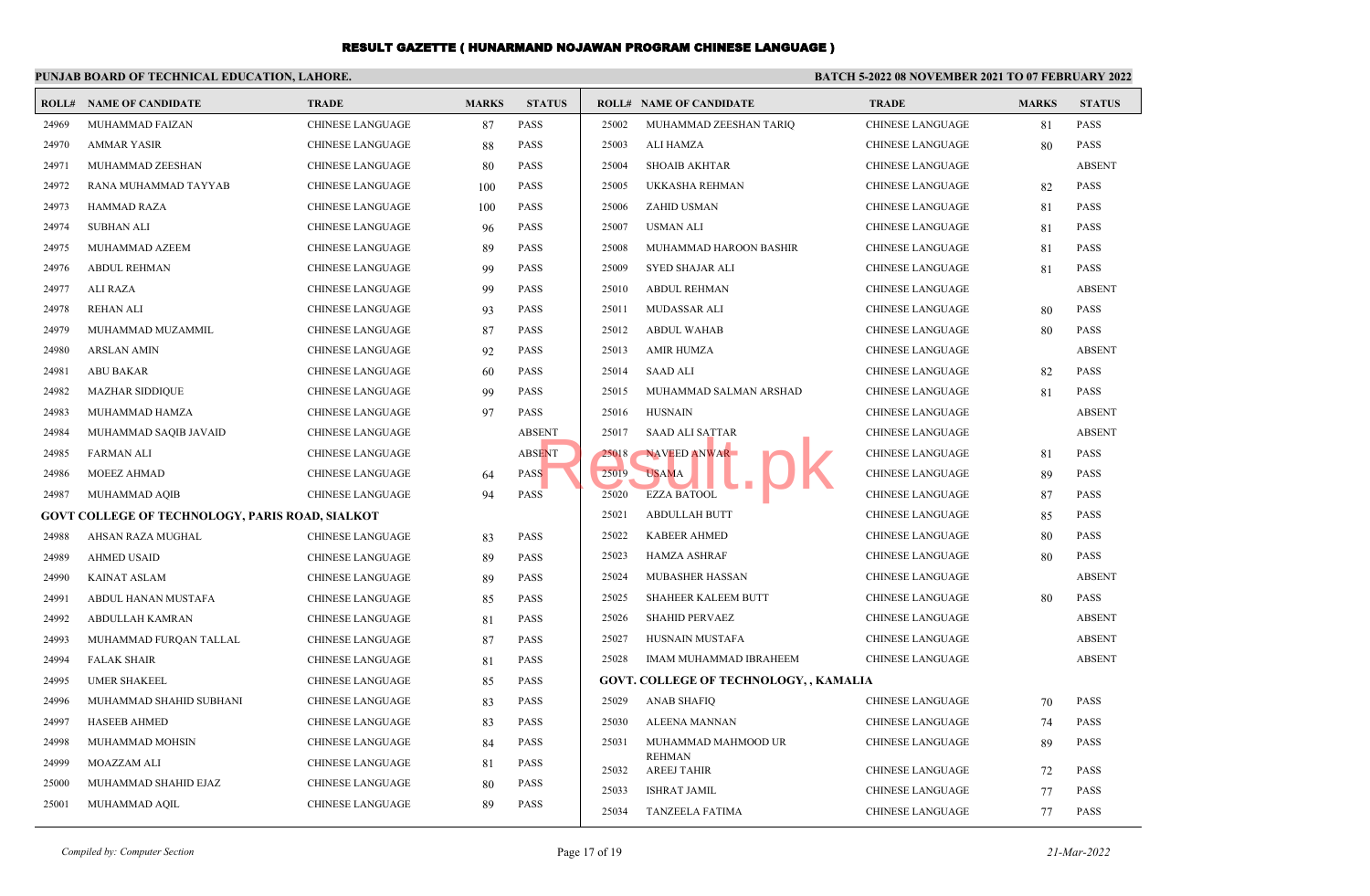|       | PUNJAB BOARD OF TECHNICAL EDUCATION, LAHORE.           |                         | <b>BATCH 5-2022 08 NOVEMBER 2021 TO 07 FEBRUARY 2022</b> |               |       |                                               |                         |              |               |
|-------|--------------------------------------------------------|-------------------------|----------------------------------------------------------|---------------|-------|-----------------------------------------------|-------------------------|--------------|---------------|
| ROLL# | NAME OF CANDIDATE                                      | <b>TRADE</b>            | <b>MARKS</b>                                             | <b>STATUS</b> |       | <b>ROLL# NAME OF CANDIDATE</b>                | <b>TRADE</b>            | <b>MARKS</b> | <b>STATUS</b> |
| 24969 | MUHAMMAD FAIZAN                                        | <b>CHINESE LANGUAGE</b> | 87                                                       | <b>PASS</b>   | 25002 | MUHAMMAD ZEESHAN TARIQ                        | <b>CHINESE LANGUAGE</b> | 81           | <b>PASS</b>   |
| 24970 | <b>AMMAR YASIR</b>                                     | <b>CHINESE LANGUAGE</b> | 88                                                       | PASS          | 25003 | ALI HAMZA                                     | CHINESE LANGUAGE        | 80           | <b>PASS</b>   |
| 24971 | MUHAMMAD ZEESHAN                                       | <b>CHINESE LANGUAGE</b> | 80                                                       | <b>PASS</b>   | 25004 | <b>SHOAIB AKHTAR</b>                          | <b>CHINESE LANGUAGE</b> |              | <b>ABSENT</b> |
| 24972 | RANA MUHAMMAD TAYYAB                                   | <b>CHINESE LANGUAGE</b> | 100                                                      | <b>PASS</b>   | 25005 | UKKASHA REHMAN                                | <b>CHINESE LANGUAGE</b> | 82           | <b>PASS</b>   |
| 24973 | <b>HAMMAD RAZA</b>                                     | <b>CHINESE LANGUAGE</b> | 100                                                      | <b>PASS</b>   | 25006 | ZAHID USMAN                                   | CHINESE LANGUAGE        | 81           | <b>PASS</b>   |
| 24974 | <b>SUBHAN ALI</b>                                      | <b>CHINESE LANGUAGE</b> | 96                                                       | <b>PASS</b>   | 25007 | <b>USMAN ALI</b>                              | <b>CHINESE LANGUAGE</b> | 81           | <b>PASS</b>   |
| 24975 | MUHAMMAD AZEEM                                         | <b>CHINESE LANGUAGE</b> | 89                                                       | <b>PASS</b>   | 25008 | MUHAMMAD HAROON BASHIR                        | <b>CHINESE LANGUAGE</b> | 81           | <b>PASS</b>   |
| 24976 | <b>ABDUL REHMAN</b>                                    | <b>CHINESE LANGUAGE</b> | 99                                                       | <b>PASS</b>   | 25009 | <b>SYED SHAJAR ALI</b>                        | <b>CHINESE LANGUAGE</b> | 81           | <b>PASS</b>   |
| 24977 | ALI RAZA                                               | <b>CHINESE LANGUAGE</b> | 99                                                       | <b>PASS</b>   | 25010 | <b>ABDUL REHMAN</b>                           | CHINESE LANGUAGE        |              | <b>ABSENT</b> |
| 24978 | <b>REHAN ALI</b>                                       | <b>CHINESE LANGUAGE</b> | 93                                                       | <b>PASS</b>   | 25011 | MUDASSAR ALI                                  | CHINESE LANGUAGE        | 80           | <b>PASS</b>   |
| 24979 | MUHAMMAD MUZAMMIL                                      | CHINESE LANGUAGE        | 87                                                       | <b>PASS</b>   | 25012 | <b>ABDUL WAHAB</b>                            | CHINESE LANGUAGE        | 80           | <b>PASS</b>   |
| 24980 | <b>ARSLAN AMIN</b>                                     | <b>CHINESE LANGUAGE</b> | 92                                                       | <b>PASS</b>   | 25013 | <b>AMIR HUMZA</b>                             | <b>CHINESE LANGUAGE</b> |              | <b>ABSENT</b> |
| 24981 | <b>ABU BAKAR</b>                                       | <b>CHINESE LANGUAGE</b> | 60                                                       | <b>PASS</b>   | 25014 | <b>SAAD ALI</b>                               | CHINESE LANGUAGE        | 82           | <b>PASS</b>   |
| 24982 | <b>MAZHAR SIDDIQUE</b>                                 | <b>CHINESE LANGUAGE</b> | 99                                                       | <b>PASS</b>   | 25015 | MUHAMMAD SALMAN ARSHAD                        | CHINESE LANGUAGE        | 81           | <b>PASS</b>   |
| 24983 | MUHAMMAD HAMZA                                         | <b>CHINESE LANGUAGE</b> | 97                                                       | <b>PASS</b>   | 25016 | <b>HUSNAIN</b>                                | <b>CHINESE LANGUAGE</b> |              | <b>ABSENT</b> |
| 24984 | MUHAMMAD SAQIB JAVAID                                  | <b>CHINESE LANGUAGE</b> |                                                          | <b>ABSENT</b> | 25017 | <b>SAAD ALI SATTAR</b>                        | CHINESE LANGUAGE        |              | <b>ABSENT</b> |
| 24985 | <b>FARMAN ALI</b>                                      | <b>CHINESE LANGUAGE</b> |                                                          | <b>ABSENT</b> | 25018 | NAVEED ANWAR                                  | <b>CHINESE LANGUAGE</b> | 81           | <b>PASS</b>   |
| 24986 | MOEEZ AHMAD                                            | <b>CHINESE LANGUAGE</b> | 64                                                       | <b>PASS</b>   | 25019 | <b>USAMA</b>                                  | CHINESE LANGUAGE        | 89           | <b>PASS</b>   |
| 24987 | MUHAMMAD AQIB                                          | <b>CHINESE LANGUAGE</b> | 94                                                       | <b>PASS</b>   | 25020 | <b>EZZA BATOOL</b>                            | <b>CHINESE LANGUAGE</b> | 87           | <b>PASS</b>   |
|       | <b>GOVT COLLEGE OF TECHNOLOGY, PARIS ROAD, SIALKOT</b> |                         |                                                          |               | 25021 | <b>ABDULLAH BUTT</b>                          | CHINESE LANGUAGE        | 85           | <b>PASS</b>   |
| 24988 | AHSAN RAZA MUGHAL                                      | <b>CHINESE LANGUAGE</b> | 83                                                       | <b>PASS</b>   | 25022 | <b>KABEER AHMED</b>                           | <b>CHINESE LANGUAGE</b> | 80           | <b>PASS</b>   |
| 24989 | <b>AHMED USAID</b>                                     | <b>CHINESE LANGUAGE</b> | 89                                                       | <b>PASS</b>   | 25023 | <b>HAMZA ASHRAF</b>                           | CHINESE LANGUAGE        | 80           | <b>PASS</b>   |
| 24990 | <b>KAINAT ASLAM</b>                                    | <b>CHINESE LANGUAGE</b> | 89                                                       | <b>PASS</b>   | 25024 | <b>MUBASHER HASSAN</b>                        | <b>CHINESE LANGUAGE</b> |              | <b>ABSENT</b> |
| 24991 | ABDUL HANAN MUSTAFA                                    | <b>CHINESE LANGUAGE</b> | 85                                                       | <b>PASS</b>   | 25025 | SHAHEER KALEEM BUTT                           | CHINESE LANGUAGE        | 80           | <b>PASS</b>   |
| 24992 | ABDULLAH KAMRAN                                        | <b>CHINESE LANGUAGE</b> | 81                                                       | <b>PASS</b>   | 25026 | <b>SHAHID PERVAEZ</b>                         | CHINESE LANGUAGE        |              | <b>ABSENT</b> |
| 24993 | MUHAMMAD FURQAN TALLAL                                 | CHINESE LANGUAGE        | 87                                                       | <b>PASS</b>   | 25027 | HUSNAIN MUSTAFA                               | <b>CHINESE LANGUAGE</b> |              | <b>ABSENT</b> |
| 24994 | <b>FALAK SHAIR</b>                                     | <b>CHINESE LANGUAGE</b> | 81                                                       | <b>PASS</b>   | 25028 | IMAM MUHAMMAD IBRAHEEM                        | <b>CHINESE LANGUAGE</b> |              | <b>ABSENT</b> |
| 24995 | <b>UMER SHAKEEL</b>                                    | <b>CHINESE LANGUAGE</b> | 85                                                       | <b>PASS</b>   |       | <b>GOVT. COLLEGE OF TECHNOLOGY, , KAMALIA</b> |                         |              |               |
| 24996 | MUHAMMAD SHAHID SUBHANI                                | <b>CHINESE LANGUAGE</b> | 83                                                       | <b>PASS</b>   | 25029 | <b>ANAB SHAFIQ</b>                            | <b>CHINESE LANGUAGE</b> | 70           | <b>PASS</b>   |
| 24997 | <b>HASEEB AHMED</b>                                    | CHINESE LANGUAGE        | 83                                                       | <b>PASS</b>   | 25030 | ALEENA MANNAN                                 | <b>CHINESE LANGUAGE</b> | 74           | <b>PASS</b>   |
| 24998 | MUHAMMAD MOHSIN                                        | <b>CHINESE LANGUAGE</b> | 84                                                       | <b>PASS</b>   | 25031 | MUHAMMAD MAHMOOD UR                           | CHINESE LANGUAGE        | 89           | <b>PASS</b>   |
| 24999 | <b>MOAZZAM ALI</b>                                     | <b>CHINESE LANGUAGE</b> | 81                                                       | <b>PASS</b>   | 25032 | <b>REHMAN</b><br><b>AREEJ TAHIR</b>           | <b>CHINESE LANGUAGE</b> | 72           | <b>PASS</b>   |
| 25000 | MUHAMMAD SHAHID EJAZ                                   | CHINESE LANGUAGE        | 80                                                       | <b>PASS</b>   | 25033 | <b>ISHRAT JAMIL</b>                           | <b>CHINESE LANGUAGE</b> | 77           | <b>PASS</b>   |
| 25001 | MUHAMMAD AQIL                                          | <b>CHINESE LANGUAGE</b> | 89                                                       | <b>PASS</b>   | 25034 | <b>TANZEELA FATIMA</b>                        | <b>CHINESE LANGUAGE</b> | 77           | <b>PASS</b>   |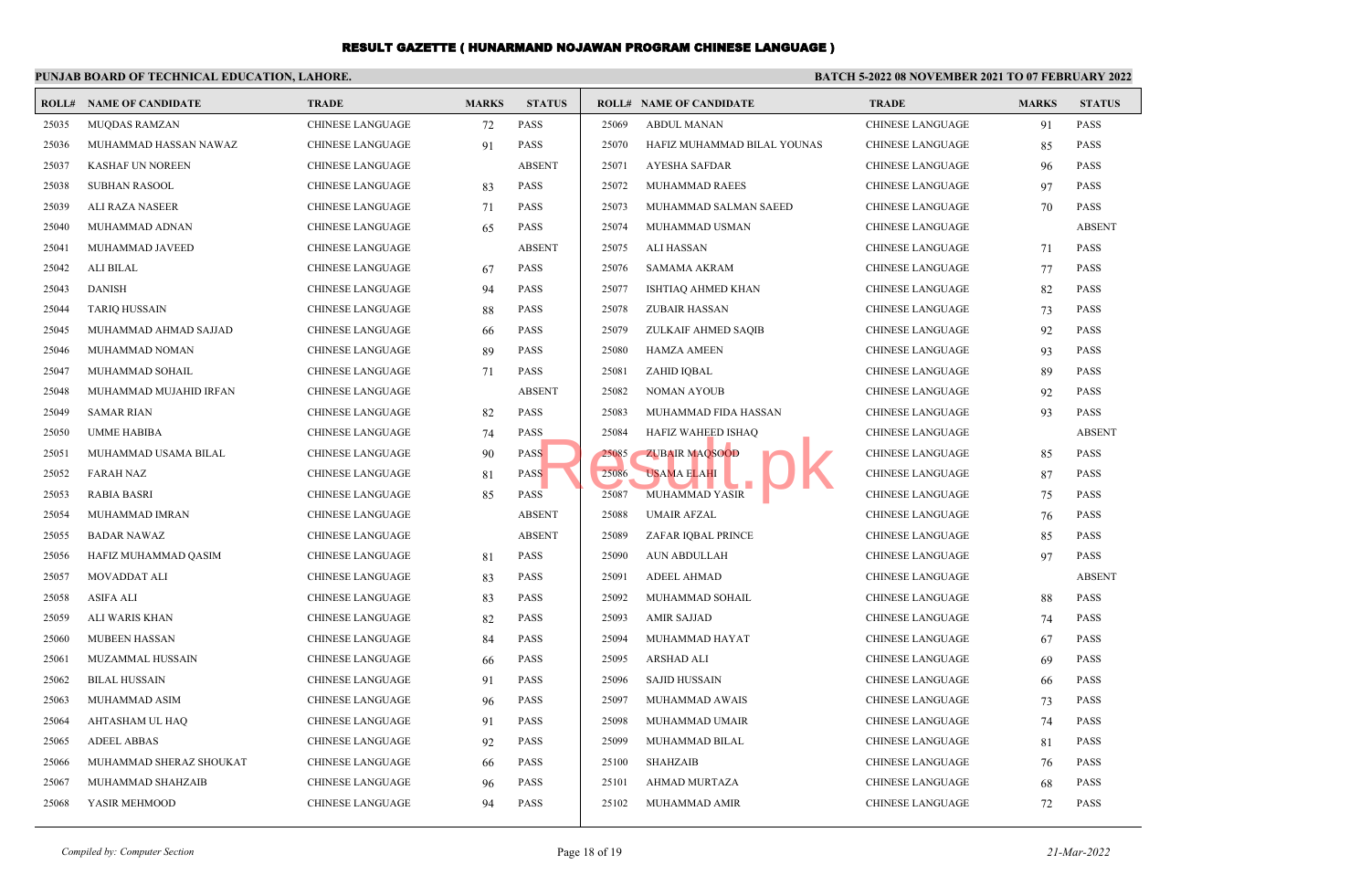#### **PUNJAB BOARD OF TECHNICAL EDUCATION, LAHORE. BATCH 5-2022 08 NOVEMBER 2021 TO 07 FEBRUARY 2022 ROLL# NAME OF CANDIDATE TRADE MARKS STATUS ROLL# NAME OF CANDIDATE TRADE MARKS STATUS** 25035 MUQDAS RAMZAN CHINESE LANGUAGE 72 PASS 25036 MUHAMMAD HASSAN NAWAZ CHINESE LANGUAGE 91 PASS 25037 KASHAF UN NOREEN CHINESE LANGUAGE ABSENT 25038 SUBHAN RASOOL CHINESE LANGUAGE 83 PASS 25039 ALI RAZA NASEER CHINESE LANGUAGE 71 PASS 25040 MUHAMMAD ADNAN CHINESE LANGUAGE 65 PASS 25041 MUHAMMAD JAVEED CHINESE LANGUAGE ABSENT 25042 ALI BILAL CHINESE LANGUAGE 67 PASS 25043 DANISH CHINESE LANGUAGE 94 PASS 25044 TARIQ HUSSAIN CHINESE LANGUAGE 88 PASS 25045 MUHAMMAD AHMAD SAJJAD CHINESE LANGUAGE 66 PASS 25046 MUHAMMAD NOMAN CHINESE LANGUAGE 89 PASS 25047 MUHAMMAD SOHAIL CHINESE LANGUAGE 71 PASS 25048 MUHAMMAD MUJAHID IRFAN CHINESE LANGUAGE ABSENT 25049 SAMAR RIAN CHINESE LANGUAGE 82 PASS 25050 UMME HABIBA CHINESE LANGUAGE 74 PASS 25051 MUHAMMAD USAMA BILAL CHINESE LANGUAGE 90 PASS 25052 FARAH NAZ CHINESE LANGUAGE 81 PASS 25053 RABIA BASRI CHINESE LANGUAGE 85 PASS 25054 MUHAMMAD IMRAN CHINESE LANGUAGE ABSENT 25055 BADAR NAWAZ CHINESE LANGUAGE ABSENT 25056 HAFIZ MUHAMMAD QASIM CHINESE LANGUAGE 81 PASS 25057 MOVADDAT ALI CHINESE LANGUAGE 83 PASS 25058 ASIFA ALI CHINESE LANGUAGE 83 PASS 25059 ALI WARIS KHAN CHINESE LANGUAGE 82 PASS 25060 MUBEEN HASSAN CHINESE LANGUAGE 84 PASS 25061 MUZAMMAL HUSSAIN CHINESE LANGUAGE 66 PASS 25062 BILAL HUSSAIN CHINESE LANGUAGE 91 PASS 25063 MUHAMMAD ASIM CHINESE LANGUAGE 96 PASS 25064 AHTASHAM UL HAQ CHINESE LANGUAGE 91 PASS 25065 ADEEL ABBAS CHINESE LANGUAGE 92 PASS 25066 MUHAMMAD SHERAZ SHOUKAT CHINESE LANGUAGE 66 PASS 25067 MUHAMMAD SHAHZAIB CHINESE LANGUAGE 96 PASS 25068 YASIR MEHMOOD CHINESE LANGUAGE 94 PASS 25069 ABDUL MANAN CHINESE LANGUAGE 91 PASS 25070 HAFIZ MUHAMMAD BILAL YOUNAS CHINESE LANGUAGE 85 PASS 25071 AYESHA SAFDAR CHINESE LANGUAGE 96 PASS 25072 MUHAMMAD RAEES CHINESE LANGUAGE 97 PASS 25073 MUHAMMAD SALMAN SAEED CHINESE LANGUAGE 70 PASS 25074 MUHAMMAD USMAN CHINESE LANGUAGE ABSENT 25075 ALI HASSAN CHINESE LANGUAGE 71 PASS 25076 SAMAMA AKRAM CHINESE LANGUAGE 77 PASS 25077 ISHTIAQ AHMED KHAN CHINESE LANGUAGE 82 PASS 25078 ZUBAIR HASSAN CHINESE LANGUAGE 73 PASS 25079 ZULKAIF AHMED SAQIB CHINESE LANGUAGE 92 PASS 25080 HAMZA AMEEN CHINESE LANGUAGE 93 PASS 25081 ZAHID IQBAL CHINESE LANGUAGE 89 PASS 25082 NOMAN AYOUB CHINESE LANGUAGE 92 PASS 25083 MUHAMMAD FIDA HASSAN CHINESE LANGUAGE 93 PASS 25084 HAFIZ WAHEED ISHAQ CHINESE LANGUAGE ABSENT 25085 ZUBAIR MAQSOOD CHINESE LANGUAGE 85 PASS 25086 USAMA ELAHI CHINESE LANGUAGE 87 PASS 25087 MUHAMMAD YASIR CHINESE LANGUAGE 75 PASS 25088 UMAIR AFZAL CHINESE LANGUAGE 76 PASS 25089 ZAFAR IQBAL PRINCE CHINESE LANGUAGE 85 PASS 25090 AUN ABDULLAH CHINESE LANGUAGE 97 PASS 25091 ADEEL AHMAD CHINESE LANGUAGE ABSENT 25092 MUHAMMAD SOHAIL CHINESE LANGUAGE 88 PASS 25093 AMIR SAJJAD CHINESE LANGUAGE 74 PASS 25094 MUHAMMAD HAYAT CHINESE LANGUAGE 67 PASS 25095 ARSHAD ALI CHINESE LANGUAGE 69 PASS 25096 SAJID HUSSAIN CHINESE LANGUAGE 66 PASS 25097 MUHAMMAD AWAIS CHINESE LANGUAGE 73 PASS 25098 MUHAMMAD UMAIR CHINESE LANGUAGE 74 PASS 25099 MUHAMMAD BILAL CHINESE LANGUAGE 81 PASS 25100 SHAHZAIB CHINESE LANGUAGE 76 PASS 25101 AHMAD MURTAZA CHINESE LANGUAGE 68 PASS 25102 MUHAMMAD AMIR CHINESE LANGUAGE 72 PASS S<br>
S<br>
S<br>
S<br>
S<br>
S<br>
S<br>
S<br>
S<br>
S<br>
S<br>
MUHAMAD YASIR<br>
MUHAMMAD YASIR<br>
MUHAMMAD YASIR